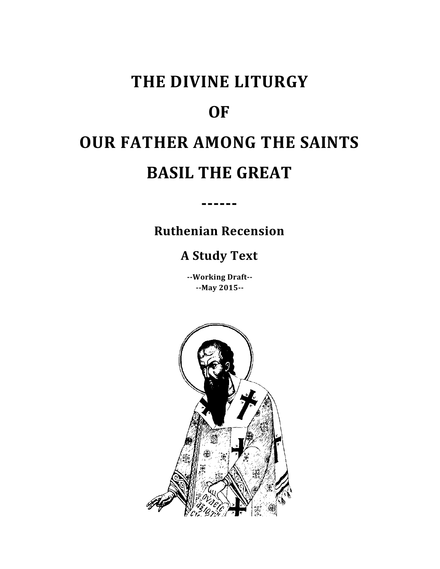# **THE DIVINE LITURGY**

# **OF**

# **OUR FATHER AMONG THE SAINTS BASIL THE GREAT**

**Ruthenian Recension**

**‐‐‐‐‐‐** 

# **A Study Text**

**‐‐Working Draft‐‐ ‐‐May 2015‐‐** 

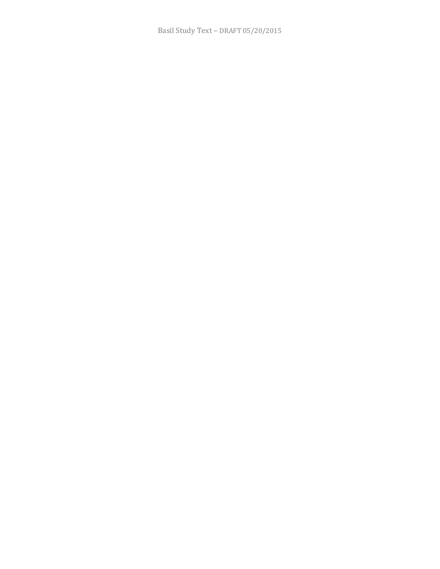Basil Study Text - DRAFT 05/20/2015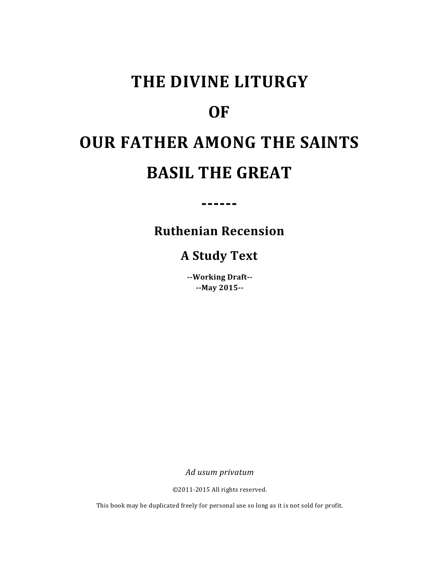# **THE DIVINE LITURGY**

# **OF**

# **OUR FATHER AMONG THE SAINTS BASIL THE GREAT**

**Ruthenian Recension**

**‐‐‐‐‐‐** 

# **A Study Text**

**‐‐Working Draft‐‐ ‐‐May 2015‐‐** 

*Ad usum privatum*

©2011-2015 All rights reserved.

This book may be duplicated freely for personal use so long as it is not sold for profit.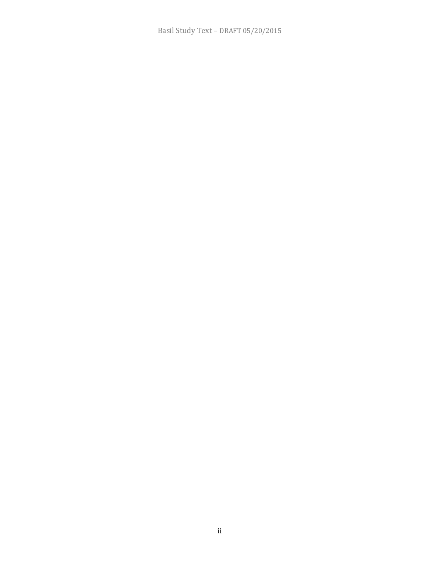Basil Study Text - DRAFT 05/20/2015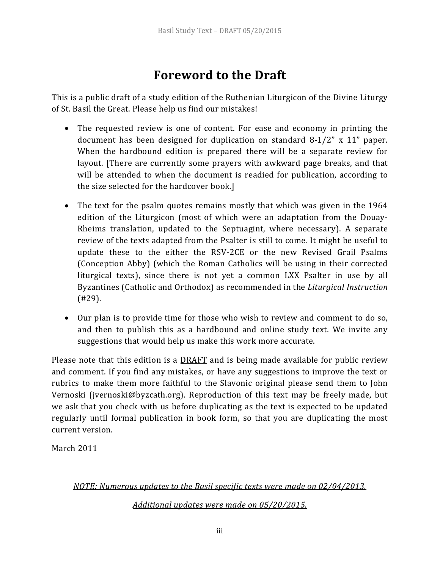# **Foreword to the Draft**

This is a public draft of a study edition of the Ruthenian Liturgicon of the Divine Liturgy of St. Basil the Great. Please help us find our mistakes!

- The requested review is one of content. For ease and economy in printing the document has been designed for duplication on standard  $8-1/2$ " x  $11$ " paper. When the hardbound edition is prepared there will be a separate review for layout. [There are currently some prayers with awkward page breaks, and that will be attended to when the document is readied for publication, according to the size selected for the hardcover book.]
- The text for the psalm quotes remains mostly that which was given in the 1964 edition of the Liturgicon (most of which were an adaptation from the Douay-Rheims translation, updated to the Septuagint, where necessary). A separate review of the texts adapted from the Psalter is still to come. It might be useful to update these to the either the RSV-2CE or the new Revised Grail Psalms (Conception Abby) (which the Roman Catholics will be using in their corrected liturgical texts), since there is not yet a common LXX Psalter in use by all Byzantines (Catholic and Orthodox) as recommended in the *Liturgical Instruction* (#29).
- Our plan is to provide time for those who wish to review and comment to do so, and then to publish this as a hardbound and online study text. We invite any suggestions that would help us make this work more accurate.

Please note that this edition is a DRAFT and is being made available for public review and comment. If you find any mistakes, or have any suggestions to improve the text or rubrics to make them more faithful to the Slavonic original please send them to John Vernoski (jvernoski@byzcath.org). Reproduction of this text may be freely made, but we ask that you check with us before duplicating as the text is expected to be updated regularly until formal publication in book form, so that you are duplicating the most current version.

March 2011

*NOTE: Numerous updates to the Basil specific texts were made on 02/04/2013. Additional updates were made on 05/20/2015.*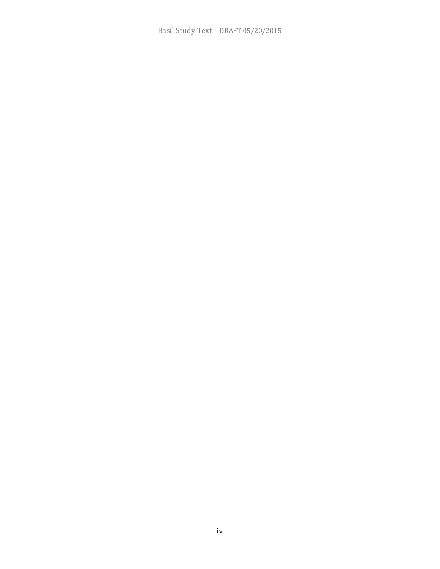Basil Study Text - DRAFT 05/20/2015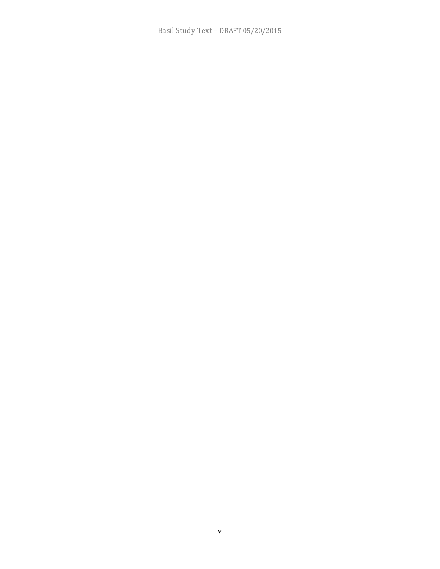Basil Study Text - DRAFT 05/20/2015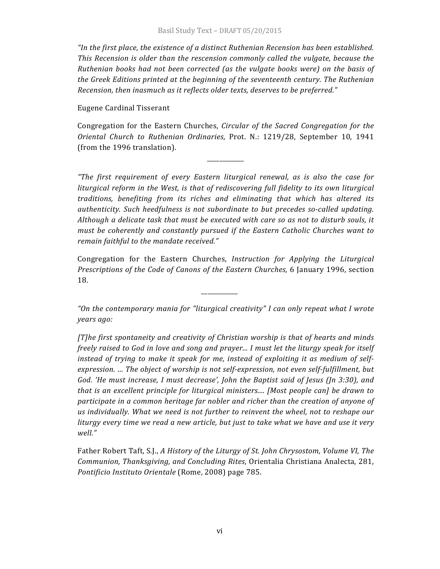*"In the first place, the existence of a distinct Ruthenian Recension has been established. This Recension is older than the rescension commonly called the vulgate, because the Ruthenian books had not been corrected (as the vulgate books were) on the basis of the Greek Editions printed at the beginning of the seventeenth century. The Ruthenian Recension, then inasmuch as it reflects older texts, deserves to be preferred."*

Eugene Cardinal Tisserant 

Congregation for the Eastern Churches, *Circular of the Sacred Congregation for the Oriental Church to Ruthenian Ordinaries*, Prot. N.: 1219/28, September 10, 1941 (from the 1996 translation).

\_\_\_\_\_\_\_\_\_\_\_\_\_

*"The first requirement of every Eastern liturgical renewal, as is also the case for liturgical reform in the West, is that of rediscovering full fidelity to its own liturgical traditions, benefiting from its riches and eliminating that which has altered its authenticity. Such heedfulness is not subordinate to but precedes so‐called updating. Although a delicate task that must be executed with care so as not to disturb souls, it must be coherently and constantly pursued if the Eastern Catholic Churches want to remain faithful to the mandate received."* 

Congregation for the Eastern Churches, *Instruction for Applying the Liturgical Prescriptions of the Code of Canons of the Eastern Churches,* 6 January 1996, section 18. 

\_\_\_\_\_\_\_\_\_\_\_\_ 

*"On the contemporary mania for "liturgical creativity" Ι can only repeat what Ι wrote years ago:*

*[T]he first spontaneity and creativity of Christian worship is that of hearts and minds freely raised to God in love and song and prayer... Ι must let the liturgy speak for itself instead of trying to make it speak for me, instead of exploiting it as medium of self‐ expression. … The object of worship is not self‐expression, not even self‐fulfillment, but God. 'He must increase, Ι must decrease', John the Baptist said of Jesus (Jn 3:30), and that is an excellent principle for liturgical ministers.... [Most people can] be drawn to participate in a common heritage far nobler and richer than the creation of anyone of us individually. What we need is not further to reinvent the wheel, not to reshape our liturgy every time we read a new article, but just to take what we have and use it very well."*

Father Robert Taft, S.J., *A History of the Liturgy of St. John Chrysostom, Volume VI, The Communion, Thanksgiving, and Concluding Rites*, Orientalia Christiana Analecta, 281, *Pontificio Instituto Orientale* (Rome, 2008) page 785.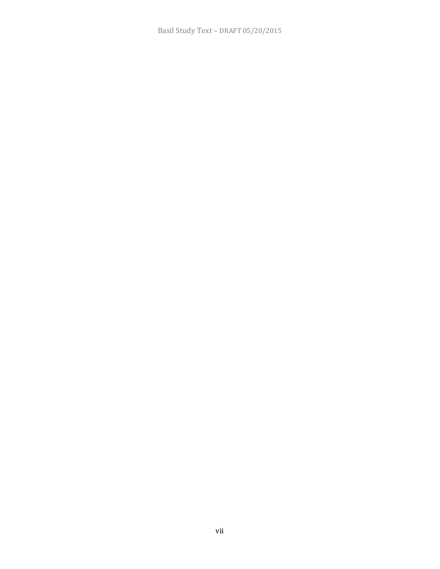Basil Study Text - DRAFT 05/20/2015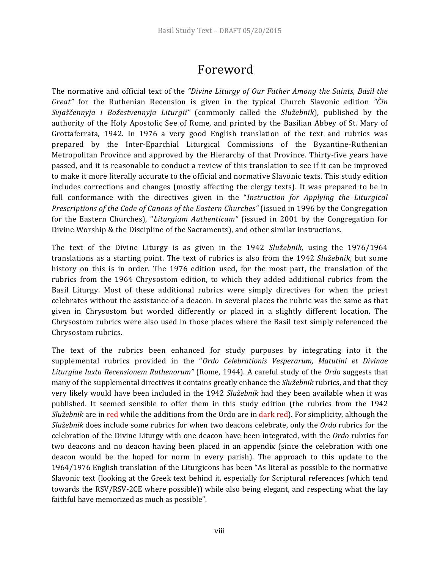# Foreword

The normative and official text of the *"Divine Liturgy of Our Father Among the Saints, Basil the Great*" for the Ruthenian Recension is given in the typical Church Slavonic edition "Cin *Svjaščennyja i Božestvennyja Liturgii"* (commonly called the *Služebnik*), published by the authority of the Holy Apostolic See of Rome, and printed by the Basilian Abbey of St. Mary of Grottaferrata, 1942. In 1976 a very good English translation of the text and rubrics was prepared by the Inter‐Eparchial Liturgical Commissions of the Byzantine‐Ruthenian Metropolitan Province and approved by the Hierarchy of that Province. Thirty-five years have passed, and it is reasonable to conduct a review of this translation to see if it can be improved to make it more literally accurate to the official and normative Slavonic texts. This study edition includes corrections and changes (mostly affecting the clergy texts). It was prepared to be in full conformance with the directives given in the "Instruction for Applying the Liturgical *Prescriptions of the Code of Canons of the Eastern Churches"* (issued in 1996 by the Congregation for the Eastern Churches), "*Liturgiam Authenticam*" (issued in 2001 by the Congregation for Divine Worship  $&$  the Discipline of the Sacraments), and other similar instructions.

The text of the Divine Liturgy is as given in the 1942 *Služebnik*, using the 1976/1964 translations as a starting point. The text of rubrics is also from the 1942 *Služebnik*, but some history on this is in order. The 1976 edition used, for the most part, the translation of the rubrics from the 1964 Chrysostom edition, to which they added additional rubrics from the Basil Liturgy. Most of these additional rubrics were simply directives for when the priest celebrates without the assistance of a deacon. In several places the rubric was the same as that given in Chrysostom but worded differently or placed in a slightly different location. The Chrysostom rubrics were also used in those places where the Basil text simply referenced the Chrysostom rubrics.

The text of the rubrics been enhanced for study purposes by integrating into it the supplemental rubrics provided in the "*Ordo Celebrationis Vesperarum, Matutini et Divinae* Liturgiae *Iuxta Recensionem Ruthenorum*" (Rome, 1944). A careful study of the *Ordo* suggests that many of the supplemental directives it contains greatly enhance the *Služebnik* rubrics, and that they very likely would have been included in the 1942 *Služebnik* had they been available when it was published. It seemed sensible to offer them in this study edition (the rubrics from the 1942 *Služebnik* are in red while the additions from the Ordo are in dark red). For simplicity, although the *Služebnik* does include some rubrics for when two deacons celebrate, only the *Ordo* rubrics for the celebration of the Divine Liturgy with one deacon have been integrated, with the *Ordo* rubrics for two deacons and no deacon having been placed in an appendix (since the celebration with one deacon would be the hoped for norm in every parish). The approach to this update to the 1964/1976 English translation of the Liturgicons has been "As literal as possible to the normative Slavonic text (looking at the Greek text behind it, especially for Scriptural references (which tend towards the RSV/RSV-2CE where possible)) while also being elegant, and respecting what the lay faithful have memorized as much as possible".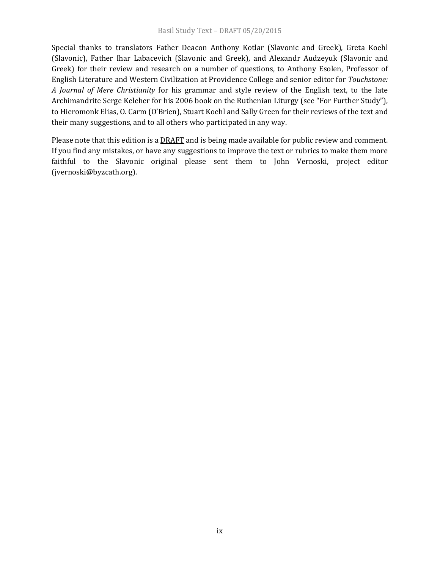Special thanks to translators Father Deacon Anthony Kotlar (Slavonic and Greek), Greta Koehl (Slavonic), Father Ihar Labacevich (Slavonic and Greek), and Alexandr Audzeyuk (Slavonic and Greek) for their review and research on a number of questions, to Anthony Esolen, Professor of English Literature and Western Civilization at Providence College and senior editor for *Touchstone: A Journal of Mere Christianity* for his grammar and style review of the English text, to the late Archimandrite Serge Keleher for his 2006 book on the Ruthenian Liturgy (see "For Further Study"), to Hieromonk Elias, O. Carm (O'Brien), Stuart Koehl and Sally Green for their reviews of the text and their many suggestions, and to all others who participated in any way.

Please note that this edition is a **DRAFT** and is being made available for public review and comment. If you find any mistakes, or have any suggestions to improve the text or rubrics to make them more faithful to the Slavonic original please sent them to John Vernoski, project editor (jvernoski@byzcath.org).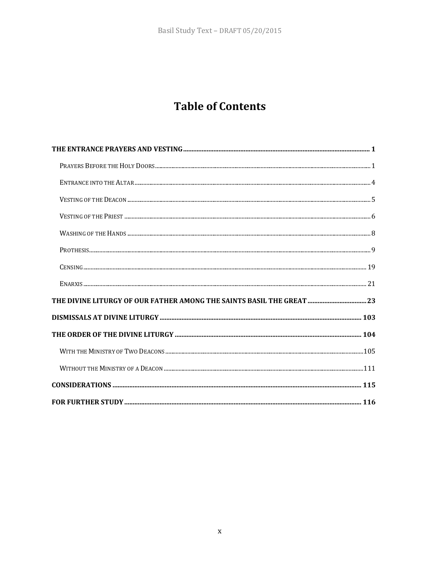# **Table of Contents**

| THE DIVINE LITURGY OF OUR FATHER AMONG THE SAINTS BASIL THE GREAT  23 |  |
|-----------------------------------------------------------------------|--|
|                                                                       |  |
|                                                                       |  |
|                                                                       |  |
|                                                                       |  |
|                                                                       |  |
|                                                                       |  |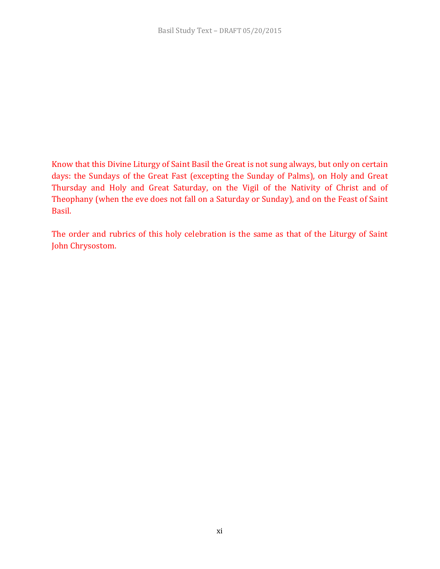Know that this Divine Liturgy of Saint Basil the Great is not sung always, but only on certain days: the Sundays of the Great Fast (excepting the Sunday of Palms), on Holy and Great Thursday and Holy and Great Saturday, on the Vigil of the Nativity of Christ and of Theophany (when the eve does not fall on a Saturday or Sunday), and on the Feast of Saint Basil. 

The order and rubrics of this holy celebration is the same as that of the Liturgy of Saint John Chrysostom.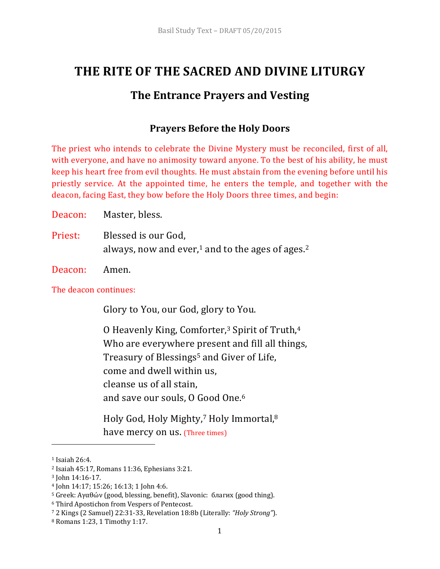# **THE RITE OF THE SACRED AND DIVINE LITURGY The Entrance Prayers and Vesting**

#### **Prayers Before the Holy Doors**

The priest who intends to celebrate the Divine Mystery must be reconciled, first of all, with everyone, and have no animosity toward anyone. To the best of his ability, he must keep his heart free from evil thoughts. He must abstain from the evening before until his priestly service. At the appointed time, he enters the temple, and together with the deacon, facing East, they bow before the Holy Doors three times, and begin:

|               | Deacon: Master, bless.                                                                          |
|---------------|-------------------------------------------------------------------------------------------------|
| Priest:       | Blessed is our God,<br>always, now and ever, <sup>1</sup> and to the ages of ages. <sup>2</sup> |
| Deacon: Amen. |                                                                                                 |

The deacon continues:

Glory to You, our God, glory to You.

O Heavenly King, Comforter,<sup>3</sup> Spirit of Truth,<sup>4</sup> Who are everywhere present and fill all things, Treasury of Blessings<sup>5</sup> and Giver of Life, come and dwell within us, cleanse us of all stain. and save our souls, O Good One.<sup>6</sup>

Holy God, Holy Mighty,<sup>7</sup> Holy Immortal,<sup>8</sup> have mercy on us. (Three times)

 $1$  Isaiah 26:4.

 $2$  Isaiah 45:17, Romans 11:36, Ephesians 3:21.

<sup>&</sup>lt;sup>3</sup> John 14:16-17.

<sup>&</sup>lt;sup>4</sup> John 14:17; 15:26; 16:13; 1 John 4:6.

 $5$  Greek: Αγαθών (good, blessing, benefit), Slavonic:  $6$ лагих (good thing).

<sup>&</sup>lt;sup>6</sup> Third Apostichon from Vespers of Pentecost.

<sup>7 2</sup> Kings (2 Samuel) 22:31‐33, Revelation 18:8b (Literally: *"Holy Strong"*). 

<sup>&</sup>lt;sup>8</sup> Romans 1:23, 1 Timothy 1:17.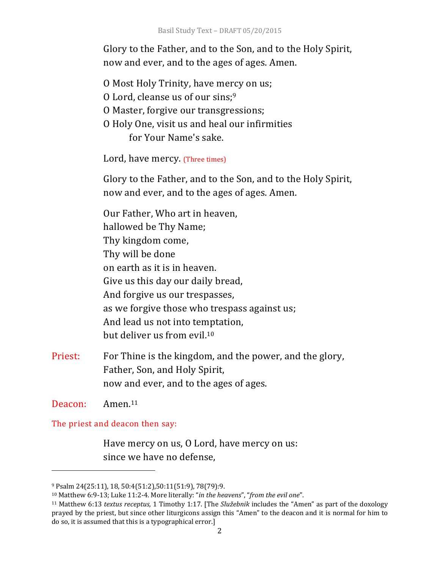Glory to the Father, and to the Son, and to the Holy Spirit, now and ever, and to the ages of ages. Amen.

O Most Holy Trinity, have mercy on us; O Lord, cleanse us of our sins;<sup>9</sup> O Master, forgive our transgressions; O Holy One, visit us and heal our infirmities for Your Name's sake.

Lord, have mercy. (Three times)

Glory to the Father, and to the Son, and to the Holy Spirit, now and ever, and to the ages of ages. Amen.

Our Father, Who art in heaven, hallowed be Thy Name; Thy kingdom come, Thy will be done on earth as it is in heaven. Give us this day our daily bread, And forgive us our trespasses, as we forgive those who trespass against us; And lead us not into temptation, but deliver us from evil.<sup>10</sup>

Priest: For Thine is the kingdom, and the power, and the glory, Father, Son, and Holy Spirit, now and ever, and to the ages of ages.

Deacon: Amen.<sup>11</sup>

The priest and deacon then say:

<u> 1989 - Johann Stein, fransk politiker (d. 1989)</u>

Have mercy on us, O Lord, have mercy on us: since we have no defense.

<sup>9</sup> Psalm 24(25:11), 18, 50:4(51:2),50:11(51:9), 78(79):9.

<sup>10</sup> Matthew 6:9-13; Luke 11:2-4. More literally: "in the heavens", "from the evil one".

<sup>&</sup>lt;sup>11</sup> Matthew 6:13 *textus receptus*, 1 Timothy 1:17. [The *Služebnik* includes the "Amen" as part of the doxology prayed by the priest, but since other liturgicons assign this "Amen" to the deacon and it is normal for him to do so, it is assumed that this is a typographical error.]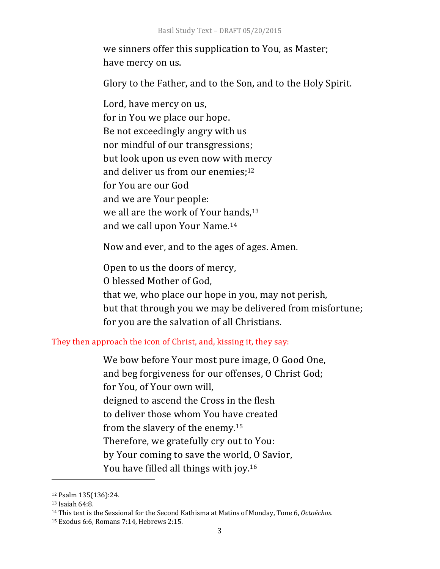we sinners offer this supplication to You, as Master; have mercy on us.

Glory to the Father, and to the Son, and to the Holy Spirit.

Lord, have mercy on us, for in You we place our hope. Be not exceedingly angry with us nor mindful of our transgressions; but look upon us even now with mercy and deliver us from our enemies;<sup>12</sup> for You are our God and we are Your people: we all are the work of Your hands,<sup>13</sup> and we call upon Your Name.<sup>14</sup>

Now and ever, and to the ages of ages. Amen.

Open to us the doors of mercy, O blessed Mother of God, that we, who place our hope in you, may not perish, but that through you we may be delivered from misfortune; for you are the salvation of all Christians.

They then approach the icon of Christ, and, kissing it, they say:

We bow before Your most pure image, O Good One, and beg forgiveness for our offenses, O Christ God; for You, of Your own will, deigned to ascend the Cross in the flesh to deliver those whom You have created from the slavery of the enemy.<sup>15</sup> Therefore, we gratefully cry out to You: by Your coming to save the world, O Savior, You have filled all things with joy.<sup>16</sup>

<sup>12</sup> Psalm 135(136):24. 

 $13$  Isaiah  $64:8$ .

<sup>&</sup>lt;sup>14</sup> This text is the Sessional for the Second Kathisma at Matins of Monday, Tone 6, *Octoëchos*.

<sup>&</sup>lt;sup>15</sup> Exodus 6:6, Romans 7:14, Hebrews 2:15.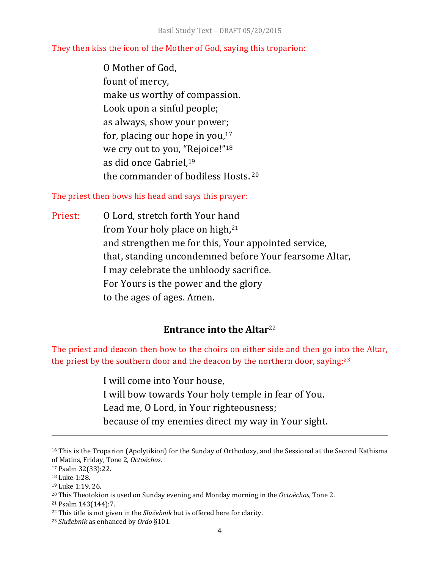#### They then kiss the icon of the Mother of God, saying this troparion:

O Mother of God. fount of mercy, make us worthy of compassion. Look upon a sinful people; as always, show your power; for, placing our hope in you, $17$ we cry out to you, "Rejoice!"<sup>18</sup> as did once Gabriel.<sup>19</sup> the commander of bodiless Hosts.<sup>20</sup>

The priest then bows his head and says this prayer:

Priest: 0 Lord, stretch forth Your hand from Your holy place on high, $21$ and strengthen me for this, Your appointed service, that, standing uncondemned before Your fearsome Altar, I may celebrate the unbloody sacrifice. For Yours is the power and the glory to the ages of ages. Amen.

#### **Entrance into the Altar**<sup>22</sup>

The priest and deacon then bow to the choirs on either side and then go into the Altar, the priest by the southern door and the deacon by the northern door, saying: $23$ 

> I will come into Your house, I will bow towards Your holy temple in fear of You. Lead me, O Lord, in Your righteousness; because of my enemies direct my way in Your sight.

<u> 1989 - Andrea Santa Alemania, poeta esperanto-a político de la provincia de la provincia de la provincia de</u>

 $16$  This is the Troparion (Apolytikion) for the Sunday of Orthodoxy, and the Sessional at the Second Kathisma of Matins, Friday, Tone 2, Octoëchos.

<sup>17</sup> Psalm 32(33):22. 

<sup>&</sup>lt;sup>18</sup> Luke 1:28.

<sup>&</sup>lt;sup>19</sup> Luke 1:19, 26.

 $^{20}$  This Theotokion is used on Sunday evening and Monday morning in the *Octoëchos*, Tone 2.

<sup>21</sup> Psalm 143(144):7. 

<sup>&</sup>lt;sup>22</sup> This title is not given in the *Služebnik* but is offered here for clarity.

<sup>&</sup>lt;sup>23</sup> *Služebnik* as enhanced by *Ordo* §101.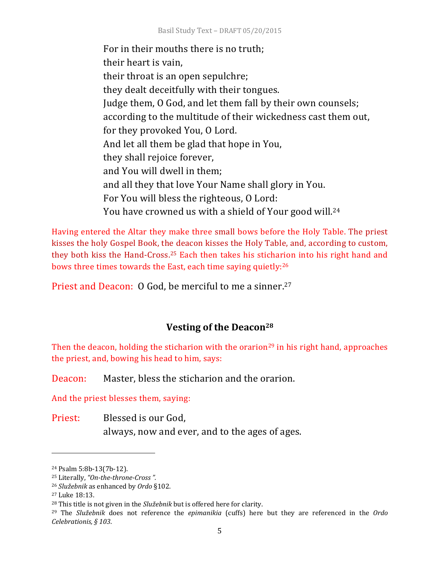For in their mouths there is no truth: their heart is vain, their throat is an open sepulchre; they dealt deceitfully with their tongues. Judge them, O God, and let them fall by their own counsels; according to the multitude of their wickedness cast them out, for they provoked You, O Lord. And let all them be glad that hope in You, they shall rejoice forever, and You will dwell in them; and all they that love Your Name shall glory in You. For You will bless the righteous, O Lord: You have crowned us with a shield of Your good will.<sup>24</sup>

Having entered the Altar they make three small bows before the Holy Table. The priest kisses the holy Gospel Book, the deacon kisses the Holy Table, and, according to custom, they both kiss the Hand-Cross.<sup>25</sup> Each then takes his sticharion into his right hand and bows three times towards the East, each time saying quietly:<sup>26</sup>

Priest and Deacon: O God, be merciful to me a sinner.<sup>27</sup>

## **Vesting of the Deacon28**

Then the deacon, holding the sticharion with the orarion<sup>29</sup> in his right hand, approaches the priest, and, bowing his head to him, says:

#### Deacon: Master, bless the sticharion and the orarion.

And the priest blesses them, saying:

Priest: Blessed is our God, always, now and ever, and to the ages of ages.

<sup>24</sup> Psalm 5:8b‐13(7b‐12). 

<sup>25</sup> Literally, *"On‐the‐throne‐Cross ".*

<sup>&</sup>lt;sup>26</sup> *Služebnik* as enhanced by *Ordo* §102.

<sup>&</sup>lt;sup>27</sup> Luke 18:13.

<sup>&</sup>lt;sup>28</sup> This title is not given in the *Služebnik* but is offered here for clarity.

<sup>&</sup>lt;sup>29</sup> The *Služebnik* does not reference the *epimanikia* (cuffs) here but they are referenced in the *Ordo Celebrationis, § 103*.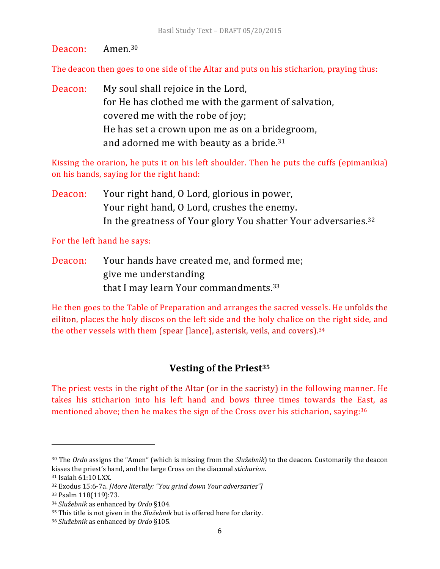#### Deacon: Amen.<sup>30</sup>

The deacon then goes to one side of the Altar and puts on his sticharion, praying thus:

Deacon: My soul shall rejoice in the Lord, for He has clothed me with the garment of salvation, covered me with the robe of joy; He has set a crown upon me as on a bridegroom, and adorned me with beauty as a bride. $31$ 

Kissing the orarion, he puts it on his left shoulder. Then he puts the cuffs (epimanikia) on his hands, saying for the right hand:

Deacon: Your right hand, O Lord, glorious in power, Your right hand, O Lord, crushes the enemy. In the greatness of Your glory You shatter Your adversaries.<sup>32</sup>

For the left hand he says:

Deacon: Your hands have created me, and formed me; give me understanding that I may learn Your commandments. $33$ 

He then goes to the Table of Preparation and arranges the sacred vessels. He unfolds the eiliton, places the holy discos on the left side and the holy chalice on the right side, and the other vessels with them (spear [lance], asterisk, veils, and covers). $34$ 

### **Vesting of the Priest35**

The priest vests in the right of the Altar (or in the sacristy) in the following manner. He takes his sticharion into his left hand and bows three times towards the East, as mentioned above; then he makes the sign of the Cross over his sticharion, saying: $36$ 

<sup>&</sup>lt;sup>30</sup> The *Ordo* assigns the "Amen" (which is missing from the *Služebnik*) to the deacon. Customarily the deacon kisses the priest's hand, and the large Cross on the diaconal *sticharion*.

<sup>&</sup>lt;sup>31</sup> Isaiah 61:10 LXX.

<sup>32</sup> Exodus 15:6‐7a. *[More literally: "You grind down Your adversaries"]*

<sup>33</sup> Psalm 118(119):73.

<sup>&</sup>lt;sup>34</sup> *Služebnik* as enhanced by *Ordo* §104.

<sup>&</sup>lt;sup>35</sup> This title is not given in the *Služebnik* but is offered here for clarity.

<sup>&</sup>lt;sup>36</sup> *Služebnik* as enhanced by *Ordo* §105.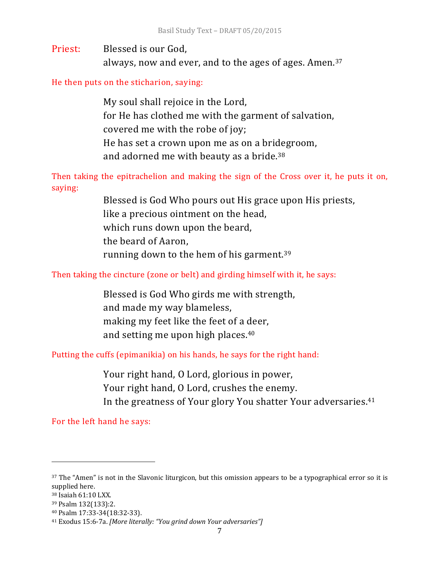Priest: Blessed is our God. always, now and ever, and to the ages of ages. Amen.<sup>37</sup>

He then puts on the sticharion, saying:

My soul shall rejoice in the Lord, for He has clothed me with the garment of salvation, covered me with the robe of joy; He has set a crown upon me as on a bridegroom, and adorned me with beauty as a bride. $38$ 

Then taking the epitrachelion and making the sign of the Cross over it, he puts it on, saying: 

> Blessed is God Who pours out His grace upon His priests, like a precious ointment on the head, which runs down upon the beard. the beard of Aaron, running down to the hem of his garment.<sup>39</sup>

Then taking the cincture (zone or belt) and girding himself with it, he says:

Blessed is God Who girds me with strength, and made my way blameless, making my feet like the feet of a deer. and setting me upon high places.<sup>40</sup>

Putting the cuffs (epimanikia) on his hands, he says for the right hand:

Your right hand, O Lord, glorious in power, Your right hand, O Lord, crushes the enemy. In the greatness of Your glory You shatter Your adversaries.<sup>41</sup>

#### For the left hand he says:

<u> 1989 - Johann Stein, fransk politiker (d. 1989)</u>

39 Psalm 132(133):2. 

<sup>&</sup>lt;sup>37</sup> The "Amen" is not in the Slavonic liturgicon, but this omission appears to be a typographical error so it is supplied here.

<sup>38</sup> Isaiah 61:10 LXX.

<sup>40</sup> Psalm 17:33‐34(18:32‐33). 

<sup>41</sup> Exodus 15:6‐7a. *[More literally: "You grind down Your adversaries"]*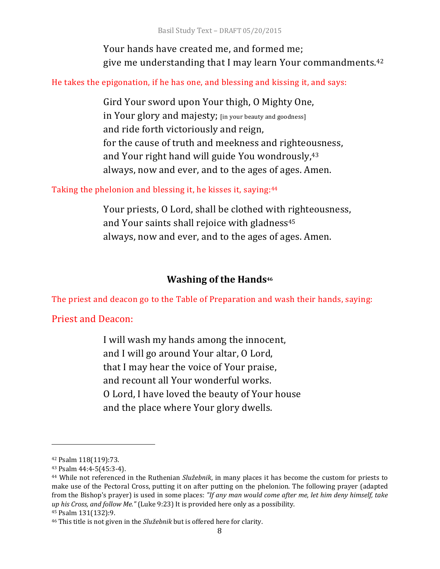Your hands have created me, and formed me; give me understanding that I may learn Your commandments. $42$ 

He takes the epigonation, if he has one, and blessing and kissing it, and says:

Gird Your sword upon Your thigh, O Mighty One, in Your glory and majesty; [in your beauty and goodness] and ride forth victoriously and reign, for the cause of truth and meekness and righteousness, and Your right hand will guide You wondrously, $43$ always, now and ever, and to the ages of ages. Amen.

Taking the phelonion and blessing it, he kisses it, saying:<sup>44</sup>

Your priests, O Lord, shall be clothed with righteousness, and Your saints shall rejoice with gladness<sup>45</sup> always, now and ever, and to the ages of ages. Amen.

#### **Washing of the Hands46**

The priest and deacon go to the Table of Preparation and wash their hands, saying:

Priest and Deacon:

I will wash my hands among the innocent, and I will go around Your altar, O Lord, that I may hear the voice of Your praise, and recount all Your wonderful works. O Lord, I have loved the beauty of Your house and the place where Your glory dwells.

<sup>42</sup> Psalm 118(119):73. 

<sup>43</sup> Psalm 44:4‐5(45:3‐4). 

<sup>&</sup>lt;sup>44</sup> While not referenced in the Ruthenian *Služebnik*, in many places it has become the custom for priests to make use of the Pectoral Cross, putting it on after putting on the phelonion. The following prayer (adapted from the Bishop's prayer) is used in some places: *"If any man would come after me, let him deny himself, take up his Cross, and follow Me."* (Luke 9:23) It is provided here only as a possibility. 

<sup>45</sup> Psalm 131(132):9. 

<sup>&</sup>lt;sup>46</sup> This title is not given in the *Služebnik* but is offered here for clarity.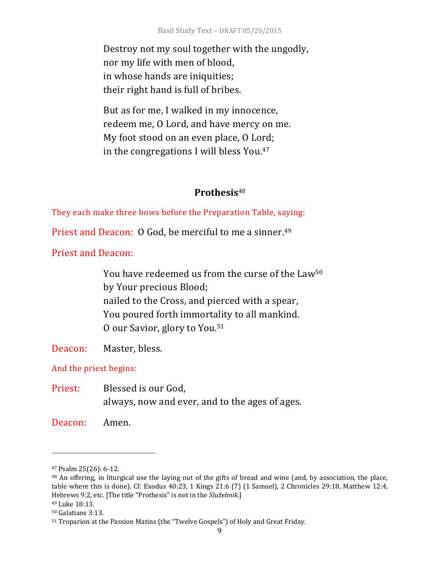Destroy not my soul together with the ungodly, nor my life with men of blood, in whose hands are iniquities; their right hand is full of bribes.

But as for me, I walked in my innocence, redeem me, O Lord, and have mercy on me. My foot stood on an even place, O Lord; in the congregations I will bless You. $47$ 

#### **Prothesis***<sup>48</sup>*

They each make three bows before the Preparation Table, saying:

Priest and Deacon: O God, be merciful to me a sinner.<sup>49</sup>

Priest and Deacon:

You have redeemed us from the curse of the Law<sup>50</sup> by Your precious Blood; nailed to the Cross, and pierced with a spear, You poured forth immortality to all mankind. O our Savior, glory to You.<sup>51</sup>

Deacon: Master, bless.

And the priest begins:

Priest: Blessed is our God, always, now and ever, and to the ages of ages.

Deacon: Amen.

 $47$  Psalm 25(26): 6-12.

 $48$  An offering, in liturgical use the laying out of the gifts of bread and wine (and, by association, the place, table where this is done). Cf: Exodus 40:23, 1 Kings 21:6 (7) (1 Samuel), 2 Chronicles 29:18, Matthew 12:4, Hebrews 9:2, etc. [The title "Prothesis" is not in the *Služebnik*.]

<sup>&</sup>lt;sup>49</sup> Luke 18:13.

<sup>50</sup> Galatians 3:13. 

<sup>51</sup> Troparion at the Passion Matins (the "Twelve Gospels") of Holy and Great Friday.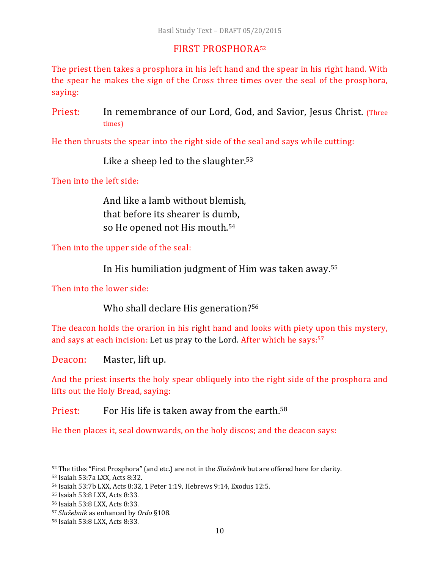## FIRST PROSPHORA<sup>52</sup>

The priest then takes a prosphora in his left hand and the spear in his right hand. With the spear he makes the sign of the Cross three times over the seal of the prosphora, saying: 

Priest: In remembrance of our Lord, God, and Savior, Jesus Christ. (Three times)

He then thrusts the spear into the right side of the seal and says while cutting:

Like a sheep led to the slaughter. $53$ 

Then into the left side:

And like a lamb without blemish, that before its shearer is dumb, so He opened not His mouth.<sup>54</sup>

Then into the upper side of the seal:

In His humiliation judgment of Him was taken away.<sup>55</sup>

Then into the lower side:

Who shall declare His generation?<sup>56</sup>

The deacon holds the orarion in his right hand and looks with piety upon this mystery, and says at each incision: Let us pray to the Lord. After which he says: $57$ 

Deacon: Master, lift up.

And the priest inserts the holy spear obliquely into the right side of the prosphora and lifts out the Holy Bread, saying:

Priest: For His life is taken away from the earth.<sup>58</sup>

He then places it, seal downwards, on the holy discos; and the deacon says:

<sup>&</sup>lt;sup>52</sup> The titles "First Prosphora" (and etc.) are not in the *Služebnik* but are offered here for clarity.

<sup>53</sup> Isaiah 53:7a LXX, Acts 8:32.

<sup>54</sup> Isaiah 53:7b LXX, Acts 8:32, 1 Peter 1:19, Hebrews 9:14, Exodus 12:5.

<sup>55</sup> Isaiah 53:8 LXX, Acts 8:33.

<sup>56</sup> Isaiah 53:8 LXX, Acts 8:33.

<sup>57</sup> *Služebnik* as enhanced by *Ordo* §108. 

<sup>58</sup> Isaiah 53:8 LXX, Acts 8:33.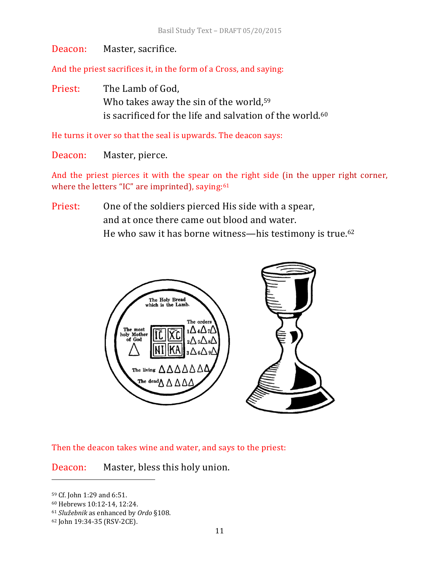Deacon: Master, sacrifice.

And the priest sacrifices it, in the form of a Cross, and saying:

Priest: The Lamb of God, Who takes away the sin of the world, $59$ is sacrificed for the life and salvation of the world.<sup>60</sup>

He turns it over so that the seal is upwards. The deacon says:

Deacon: Master, pierce.

And the priest pierces it with the spear on the right side (in the upper right corner, where the letters "IC" are imprinted), saying: $61$ 

Priest: One of the soldiers pierced His side with a spear, and at once there came out blood and water. He who saw it has borne witness—his testimony is true.<sup>62</sup>



Then the deacon takes wine and water, and says to the priest:

Deacon: Master, bless this holy union.

<sup>61</sup> *Služebnik* as enhanced by *Ordo* §108. 

<sup>&</sup>lt;sup>59</sup> Cf. John 1:29 and 6:51.

<sup>60</sup> Hebrews 10:12‐14, 12:24. 

<sup>62</sup> John 19:34-35 (RSV-2CE).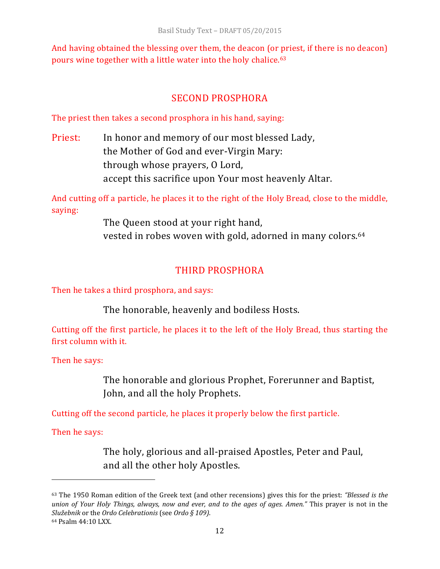And having obtained the blessing over them, the deacon (or priest, if there is no deacon) pours wine together with a little water into the holy chalice.<sup>63</sup>

## SECOND PROSPHORA

The priest then takes a second prosphora in his hand, saying:

Priest: In honor and memory of our most blessed Lady, the Mother of God and ever-Virgin Mary: through whose prayers, O Lord, accept this sacrifice upon Your most heavenly Altar.

And cutting off a particle, he places it to the right of the Holy Bread, close to the middle, saying: 

> The Queen stood at your right hand, vested in robes woven with gold, adorned in many colors.<sup>64</sup>

## THIRD PROSPHORA

Then he takes a third prosphora, and says:

The honorable, heavenly and bodiless Hosts.

Cutting off the first particle, he places it to the left of the Holy Bread, thus starting the first column with it.

Then he says:

The honorable and glorious Prophet, Forerunner and Baptist, John, and all the holy Prophets.

Cutting off the second particle, he places it properly below the first particle.

Then he says:

The holy, glorious and all-praised Apostles, Peter and Paul, and all the other holy Apostles.

<sup>&</sup>lt;sup>63</sup> The 1950 Roman edition of the Greek text (and other recensions) gives this for the priest: *"Blessed is the union of Your Holy Things, always, now and ever, and to the ages of ages. Amen."* This prayer is not in the *Služebnik* or the *Ordo Celebrationis* (see *Ordo § 109)*.

<sup>64</sup> Psalm 44:10 LXX.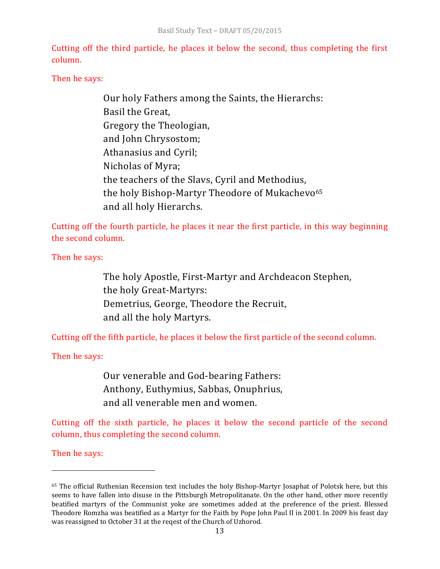Cutting off the third particle, he places it below the second, thus completing the first column. 

Then he says:

Our holy Fathers among the Saints, the Hierarchs: Basil the Great. Gregory the Theologian, and John Chrysostom; Athanasius and Cyril; Nicholas of Myra; the teachers of the Slavs, Cyril and Methodius, the holy Bishop-Martyr Theodore of Mukachevo<sup>65</sup> and all holy Hierarchs.

Cutting off the fourth particle, he places it near the first particle, in this way beginning the second column.

Then he says:

The holy Apostle, First-Martyr and Archdeacon Stephen, the holy Great-Martyrs: Demetrius, George, Theodore the Recruit, and all the holy Martyrs.

Cutting off the fifth particle, he places it below the first particle of the second column.

Then he says:

Our venerable and God-bearing Fathers: Anthony, Euthymius, Sabbas, Onuphrius, and all venerable men and women.

Cutting off the sixth particle, he places it below the second particle of the second column, thus completing the second column.

Then he says:

<sup>65</sup> The official Ruthenian Recension text includes the holy Bishop-Martyr Josaphat of Polotsk here, but this seems to have fallen into disuse in the Pittsburgh Metropolitanate. On the other hand, other more recently beatified martyrs of the Communist yoke are sometimes added at the preference of the priest. Blessed Theodore Romzha was beatified as a Martyr for the Faith by Pope John Paul II in 2001. In 2009 his feast day was reassigned to October 31 at the regest of the Church of Uzhorod.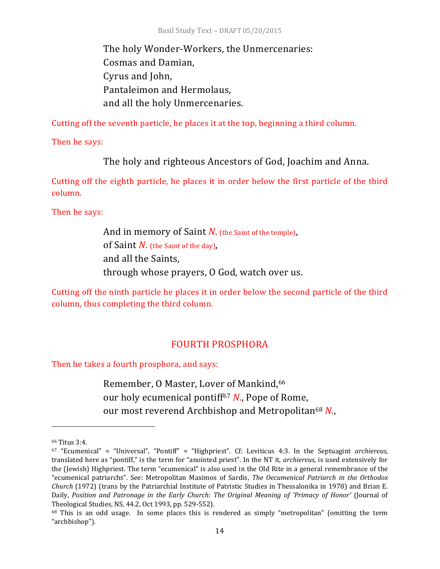The holy Wonder-Workers, the Unmercenaries: Cosmas and Damian, Cyrus and John, Pantaleimon and Hermolaus, and all the holy Unmercenaries.

Cutting off the seventh particle, he places it at the top, beginning a third column.

Then he says:

The holy and righteous Ancestors of God, Joachim and Anna.

Cutting off the eighth particle, he places it in order below the first particle of the third column. 

Then he says:

And in memory of Saint *N*. (the Saint of the temple), of Saint  $N$ . (the Saint of the day), and all the Saints, through whose prayers, 0 God, watch over us.

Cutting off the ninth particle he places it in order below the second particle of the third column, thus completing the third column.

### FOURTH PROSPHORA

Then he takes a fourth prosphora, and says:

Remember, O Master, Lover of Mankind,<sup>66</sup> our holy ecumenical pontiff<sup>67</sup> *N*., Pope of Rome, our most reverend Archbishop and Metropolitan<sup>68</sup> N.

<sup>66</sup> Titus 3:4. 

 $67$  "Ecumenical" = "Universal", "Pontiff" = "Highpriest". Cf: Leviticus 4:3. In the Septuagint *archiereus*, translated here as "pontiff," is the term for "anointed priest". In the NT it, *archiereus*, is used extensively for the (Jewish) Highpriest. The term "ecumenical" is also used in the Old Rite in a general remembrance of the "ecumenical patriarchs". See: Metropolitan Maximos of Sardis, *The Oecumenical Patriarch in the Orthodox Church* (1972) (trans by the Patriarchial Institute of Patristic Studies in Thessalonika in 1978) and Brian E. Daily, *Position and Patronage in the Early Church: The Original Meaning of 'Primacy of Honor'* (Journal of Theological Studies, NS, 44.2, Oct 1993, pp. 529-552).

 $68$  This is an odd usage. In some places this is rendered as simply "metropolitan" (omitting the term "archbishop").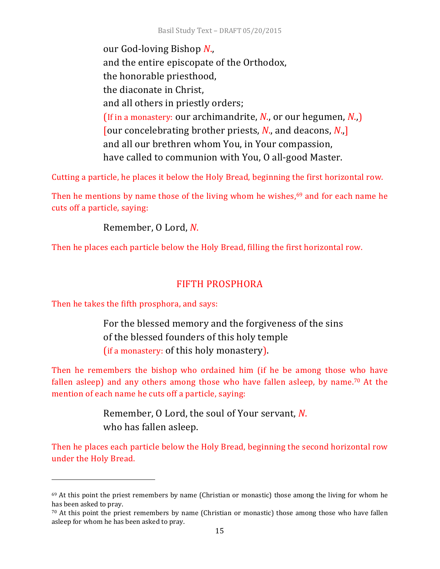our God‐loving Bishop *N*., and the entire episcopate of the Orthodox, the honorable priesthood, the diaconate in Christ, and all others in priestly orders; (If in a monastery: our archimandrite,  $N$ ., or our hegumen,  $N$ .,) [our concelebrating brother priests, *N*., and deacons, *N*.,] and all our brethren whom You, in Your compassion, have called to communion with You, O all-good Master.

Cutting a particle, he places it below the Holy Bread, beginning the first horizontal row.

Then he mentions by name those of the living whom he wishes, $69$  and for each name he cuts off a particle, saying:

Remember, O Lord, *N*.

Then he places each particle below the Holy Bread, filling the first horizontal row.

#### FIFTH PROSPHORA

Then he takes the fifth prosphora, and says:

<u> 1989 - Johann Stein, fransk politik (d. 1989)</u>

For the blessed memory and the forgiveness of the sins of the blessed founders of this holy temple (if a monastery: of this holy monastery).

Then he remembers the bishop who ordained him (if he be among those who have fallen asleep) and any others among those who have fallen asleep, by name.<sup>70</sup> At the mention of each name he cuts off a particle, saying:

> Remember, O Lord, the soul of Your servant, *N*. who has fallen asleep.

Then he places each particle below the Holy Bread, beginning the second horizontal row under the Holy Bread.

 $69$  At this point the priest remembers by name (Christian or monastic) those among the living for whom he has been asked to pray.

 $70$  At this point the priest remembers by name (Christian or monastic) those among those who have fallen asleep for whom he has been asked to pray.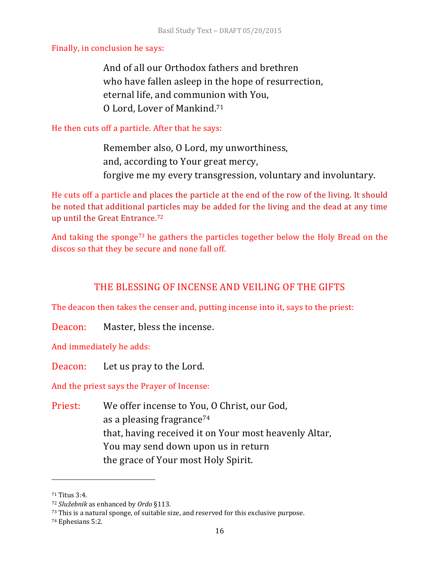#### Finally, in conclusion he says:

And of all our Orthodox fathers and brethren who have fallen asleep in the hope of resurrection, eternal life, and communion with You, O Lord, Lover of Mankind.<sup>71</sup>

He then cuts off a particle. After that he says:

Remember also, O Lord, my unworthiness, and, according to Your great mercy, forgive me my every transgression, voluntary and involuntary.

He cuts off a particle and places the particle at the end of the row of the living. It should be noted that additional particles may be added for the living and the dead at any time up until the Great Entrance.<sup>72</sup>

And taking the sponge<sup>73</sup> he gathers the particles together below the Holy Bread on the discos so that they be secure and none fall off.

#### THE BLESSING OF INCENSE AND VEILING OF THE GIFTS

The deacon then takes the censer and, putting incense into it, says to the priest:

Deacon: Master, bless the incense.

And immediately he adds:

Deacon: Let us pray to the Lord.

And the priest says the Prayer of Incense:

Priest: We offer incense to You, O Christ, our God, as a pleasing fragrance<sup>74</sup> that, having received it on Your most heavenly Altar, You may send down upon us in return the grace of Your most Holy Spirit.

<sup>71</sup> Titus 3:4. 

<sup>72</sup> *Služebnik* as enhanced by *Ordo* §113. 

 $73$  This is a natural sponge, of suitable size, and reserved for this exclusive purpose.

<sup>&</sup>lt;sup>74</sup> Ephesians 5:2.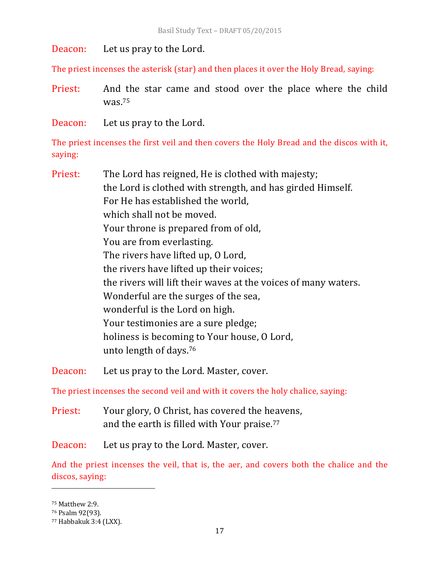Deacon: Let us pray to the Lord.

The priest incenses the asterisk (star) and then places it over the Holy Bread, saying:

Priest: And the star came and stood over the place where the child was.75

Deacon: Let us pray to the Lord.

The priest incenses the first veil and then covers the Holy Bread and the discos with it, saying: 

Priest: The Lord has reigned, He is clothed with majesty; the Lord is clothed with strength, and has girded Himself. For He has established the world, which shall not be moved. Your throne is prepared from of old, You are from everlasting. The rivers have lifted up, O Lord, the rivers have lifted up their voices; the rivers will lift their waves at the voices of many waters. Wonderful are the surges of the sea, wonderful is the Lord on high. Your testimonies are a sure pledge; holiness is becoming to Your house, O Lord, unto length of days.<sup>76</sup>

Deacon: Let us pray to the Lord. Master, cover.

The priest incenses the second veil and with it covers the holy chalice, saying:

- Priest: Your glory, O Christ, has covered the heavens, and the earth is filled with Your praise. $77$
- Deacon: Let us pray to the Lord. Master, cover.

And the priest incenses the veil, that is, the aer, and covers both the chalice and the discos, saying:

<sup>75</sup> Matthew 2:9. 

<sup>76</sup> Psalm 92(93). 

 $77$  Habbakuk 3:4 (LXX).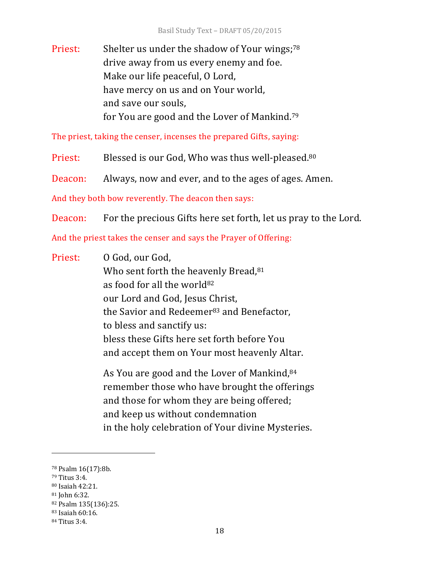Priest: Shelter us under the shadow of Your wings; $78$ drive away from us every enemy and foe. Make our life peaceful, O Lord, have mercy on us and on Your world, and save our souls. for You are good and the Lover of Mankind.<sup>79</sup>

The priest, taking the censer, incenses the prepared Gifts, saying:

Priest: Blessed is our God, Who was thus well-pleased.<sup>80</sup>

Deacon: Always, now and ever, and to the ages of ages. Amen.

And they both bow reverently. The deacon then says:

Deacon: For the precious Gifts here set forth, let us pray to the Lord.

And the priest takes the censer and says the Prayer of Offering:

Priest: 0 God, our God, Who sent forth the heavenly Bread, 81 as food for all the world<sup>82</sup> our Lord and God, Jesus Christ, the Savior and Redeemer<sup>83</sup> and Benefactor, to bless and sanctify us: bless these Gifts here set forth before You and accept them on Your most heavenly Altar.

> As You are good and the Lover of Mankind,  $84$ remember those who have brought the offerings and those for whom they are being offered; and keep us without condemnation in the holy celebration of Your divine Mysteries.

<sup>78</sup> Psalm 16(17):8b. 

<sup>&</sup>lt;sup>79</sup> Titus 3:4.

<sup>80</sup> Isaiah 42:21. 

<sup>81</sup> John 6:32.

<sup>82</sup> Psalm 135(136):25.

<sup>83</sup> Isaiah 60:16. 

<sup>84</sup> Titus 3:4.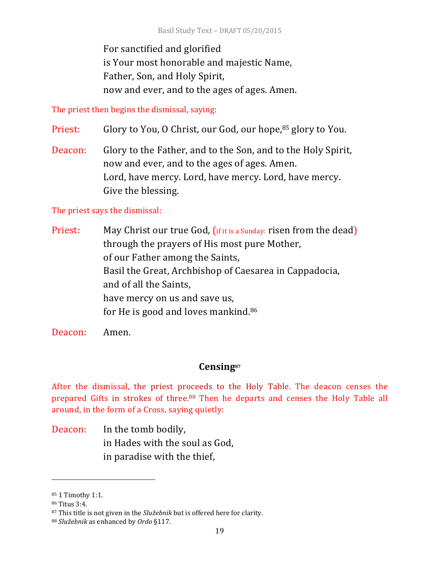For sanctified and glorified is Your most honorable and majestic Name, Father, Son, and Holy Spirit, now and ever, and to the ages of ages. Amen.

The priest then begins the dismissal, saying:

Priest: Glory to You, O Christ, our God, our hope, 85 glory to You.

Deacon: Glory to the Father, and to the Son, and to the Holy Spirit, now and ever, and to the ages of ages. Amen. Lord, have mercy. Lord, have mercy. Lord, have mercy. Give the blessing.

#### The priest says the dismissal:

Priest: May Christ our true God, *(if it is a Sunday: risen from the dead)* through the prayers of His most pure Mother, of our Father among the Saints, Basil the Great, Archbishop of Caesarea in Cappadocia, and of all the Saints, have mercy on us and save us, for He is good and loves mankind. $86$ 

Deacon: Amen.

## **Censing87**

After the dismissal, the priest proceeds to the Holy Table. The deacon censes the prepared Gifts in strokes of three.<sup>88</sup> Then he departs and censes the Holy Table all around, in the form of a Cross, saying quietly:

Deacon: In the tomb bodily, in Hades with the soul as God. in paradise with the thief.

<sup>&</sup>lt;sup>85</sup> 1 Timothy 1:1.

<sup>&</sup>lt;sup>86</sup> Titus 3:4.

<sup>&</sup>lt;sup>87</sup> This title is not given in the *Služebnik* but is offered here for clarity.

<sup>88</sup> *Služebnik* as enhanced by *Ordo* §117.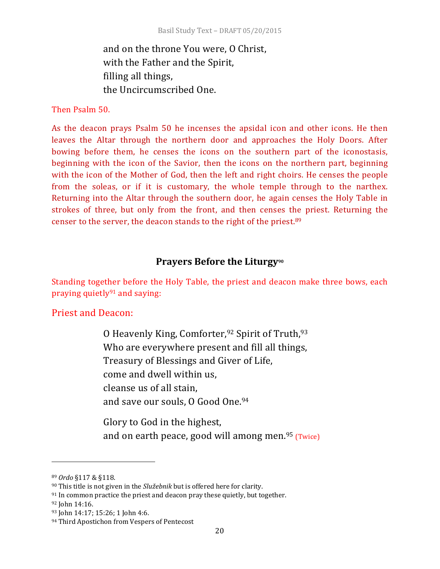and on the throne You were, O Christ, with the Father and the Spirit, filling all things, the Uncircumscribed One.

Then Psalm 50.

As the deacon prays Psalm 50 he incenses the apsidal icon and other icons. He then leaves the Altar through the northern door and approaches the Holy Doors. After bowing before them, he censes the icons on the southern part of the iconostasis, beginning with the icon of the Savior, then the icons on the northern part, beginning with the icon of the Mother of God, then the left and right choirs. He censes the people from the soleas, or if it is customary, the whole temple through to the narthex. Returning into the Altar through the southern door, he again censes the Holy Table in strokes of three, but only from the front, and then censes the priest. Returning the censer to the server, the deacon stands to the right of the priest.<sup>89</sup>

#### **Prayers Before the Liturgy90**

Standing together before the Holy Table, the priest and deacon make three bows, each praying quietly $91$  and saying:

Priest and Deacon:

O Heavenly King, Comforter,  $92$  Spirit of Truth,  $93$ Who are everywhere present and fill all things, Treasury of Blessings and Giver of Life, come and dwell within us. cleanse us of all stain. and save our souls,  $0$  Good One.<sup>94</sup>

Glory to God in the highest, and on earth peace, good will among men.<sup>95</sup> (Twice)

92 John 14:16.

<sup>89</sup> *Ordo* §117 & §118. 

<sup>&</sup>lt;sup>90</sup> This title is not given in the *Služebnik* but is offered here for clarity.

 $91$  In common practice the priest and deacon pray these quietly, but together.

<sup>93</sup> John 14:17; 15:26; 1 John 4:6.

<sup>94</sup> Third Apostichon from Vespers of Pentecost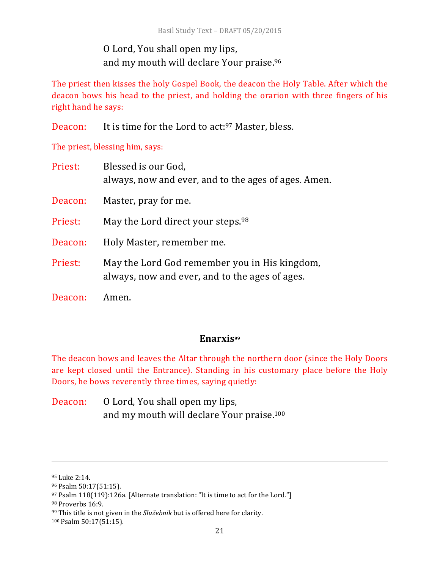#### O Lord, You shall open my lips, and my mouth will declare Your praise.<sup>96</sup>

The priest then kisses the holy Gospel Book, the deacon the Holy Table. After which the deacon bows his head to the priest, and holding the orarion with three fingers of his right hand he says:

Deacon: It is time for the Lord to act:<sup>97</sup> Master, bless.

The priest, blessing him, says:

| Priest: | Blessed is our God,<br>always, now and ever, and to the ages of ages. Amen.                     |
|---------|-------------------------------------------------------------------------------------------------|
| Deacon: | Master, pray for me.                                                                            |
| Priest: | May the Lord direct your steps. <sup>98</sup>                                                   |
| Deacon: | Holy Master, remember me.                                                                       |
| Priest: | May the Lord God remember you in His kingdom,<br>always, now and ever, and to the ages of ages. |
| Deacon: | Amen.                                                                                           |

#### **Enarxis99**

The deacon bows and leaves the Altar through the northern door (since the Holy Doors are kept closed until the Entrance). Standing in his customary place before the Holy Doors, he bows reverently three times, saying quietly:

Deacon: 0 Lord, You shall open my lips, and my mouth will declare Your praise.<sup>100</sup>

<u> 1989 - Andrea Santa Andrea Andrea Andrea Andrea Andrea Andrea Andrea Andrea Andrea Andrea Andrea Andrea Andr</u>

<sup>&</sup>lt;sup>95</sup> Luke 2:14.

<sup>96</sup> Psalm 50:17(51:15).

 $97$  Psalm 118(119):126a. [Alternate translation: "It is time to act for the Lord."]

<sup>98</sup> Proverbs 16:9.

<sup>&</sup>lt;sup>99</sup> This title is not given in the *Služebnik* but is offered here for clarity.

<sup>100</sup> Psalm 50:17(51:15).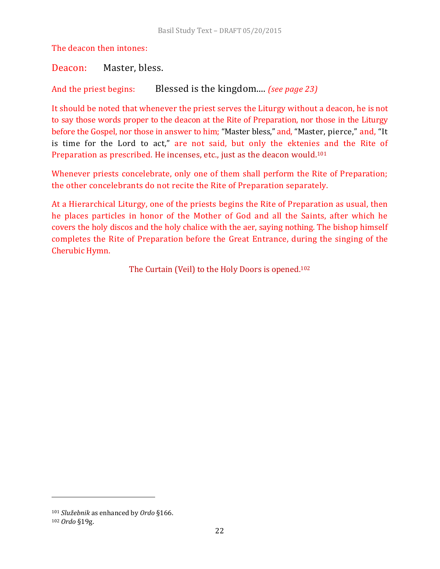The deacon then intones:

Deacon: Master, bless.

And the priest begins: Blessed is the kingdom.... *(see page 23)* 

It should be noted that whenever the priest serves the Liturgy without a deacon, he is not to say those words proper to the deacon at the Rite of Preparation, nor those in the Liturgy before the Gospel, nor those in answer to him; "Master bless," and, "Master, pierce," and, "It is time for the Lord to act," are not said, but only the ektenies and the Rite of Preparation as prescribed. He incenses, etc., just as the deacon would.<sup>101</sup>

Whenever priests concelebrate, only one of them shall perform the Rite of Preparation; the other concelebrants do not recite the Rite of Preparation separately.

At a Hierarchical Liturgy, one of the priests begins the Rite of Preparation as usual, then he places particles in honor of the Mother of God and all the Saints, after which he covers the holy discos and the holy chalice with the aer, saying nothing. The bishop himself completes the Rite of Preparation before the Great Entrance, during the singing of the Cherubic Hymn.

The Curtain (Veil) to the Holy Doors is opened.<sup>102</sup>

<sup>&</sup>lt;sup>101</sup> *Služebnik* as enhanced by *Ordo* §166.

<sup>102</sup> *Ordo* §19g.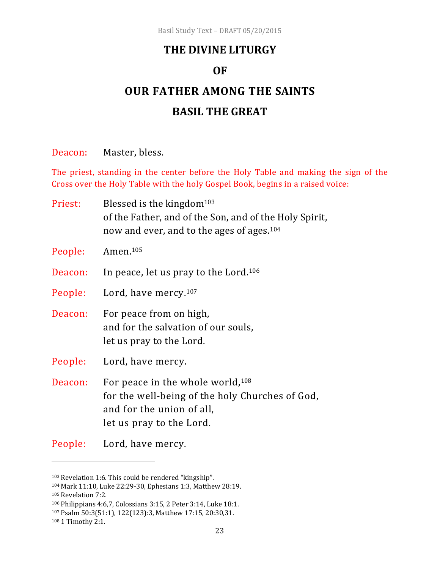# **THE DIVINE LITURGY**

## **OF**

# **OUR FATHER AMONG THE SAINTS**

## **BASIL THE GREAT**

Deacon: Master, bless.

The priest, standing in the center before the Holy Table and making the sign of the Cross over the Holy Table with the holy Gospel Book, begins in a raised voice:

| Priest: | Blessed is the kingdom <sup>103</sup><br>of the Father, and of the Son, and of the Holy Spirit,<br>now and ever, and to the ages of ages. <sup>104</sup> |
|---------|----------------------------------------------------------------------------------------------------------------------------------------------------------|
| People: | Amen. $105$                                                                                                                                              |
| Deacon: | In peace, let us pray to the Lord. <sup>106</sup>                                                                                                        |
| People: | Lord, have mercy. <sup>107</sup>                                                                                                                         |
| Deacon: | For peace from on high,<br>and for the salvation of our souls,<br>let us pray to the Lord.                                                               |
| People: | Lord, have mercy.                                                                                                                                        |
| Deacon: | For peace in the whole world, <sup>108</sup><br>for the well-being of the holy Churches of God,<br>and for the union of all,<br>let us pray to the Lord. |
| People: | Lord, have mercy.                                                                                                                                        |

<sup>&</sup>lt;sup>103</sup> Revelation 1:6. This could be rendered "kingship".

<sup>104</sup> Mark 11:10, Luke 22:29-30, Ephesians 1:3, Matthew 28:19.

<sup>&</sup>lt;sup>105</sup> Revelation 7:2.

<sup>106</sup> Philippians 4:6,7, Colossians 3:15, 2 Peter 3:14, Luke 18:1.

<sup>107</sup> Psalm 50:3(51:1), 122(123):3, Matthew 17:15, 20:30,31.

<sup>&</sup>lt;sup>108</sup> 1 Timothy 2:1.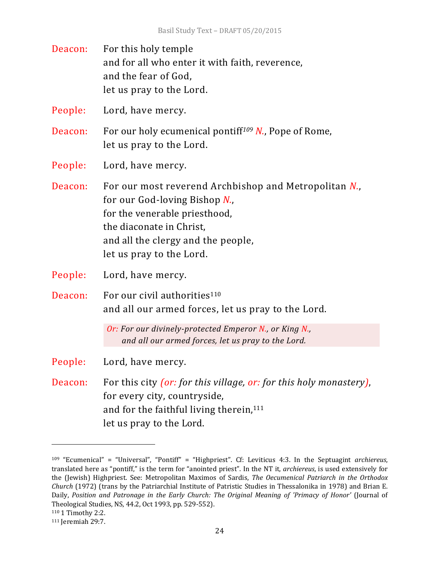| Deacon: | For this holy temple<br>and for all who enter it with faith, reverence,<br>and the fear of God,<br>let us pray to the Lord.                                                                                           |
|---------|-----------------------------------------------------------------------------------------------------------------------------------------------------------------------------------------------------------------------|
| People: | Lord, have mercy.                                                                                                                                                                                                     |
| Deacon: | For our holy ecumenical pontiff <sup>109</sup> N., Pope of Rome,<br>let us pray to the Lord.                                                                                                                          |
| People: | Lord, have mercy.                                                                                                                                                                                                     |
| Deacon: | For our most reverend Archbishop and Metropolitan N.,<br>for our God-loving Bishop N.,<br>for the venerable priesthood,<br>the diaconate in Christ,<br>and all the clergy and the people,<br>let us pray to the Lord. |
| People: | Lord, have mercy.                                                                                                                                                                                                     |
| Deacon: | For our civil authorities <sup>110</sup><br>and all our armed forces, let us pray to the Lord.<br>Or: For our divinely-protected Emperor N., or King N.,                                                              |
|         | and all our armed forces, let us pray to the Lord.                                                                                                                                                                    |
| People: | Lord, have mercy.                                                                                                                                                                                                     |
| Deacon: | For this city (or: for this village, or: for this holy monastery),<br>for every city, countryside,<br>and for the faithful living therein, <sup>111</sup><br>let us pray to the Lord.                                 |

<sup>&</sup>lt;sup>109</sup> "Ecumenical" = "Universal", "Pontiff" = "Highpriest". Cf: Leviticus 4:3. In the Septuagint *archiereus*, translated here as "pontiff," is the term for "anointed priest". In the NT it, *archiereus*, is used extensively for the (Jewish) Highpriest. See: Metropolitan Maximos of Sardis, *The Oecumenical Patriarch in the Orthodox Church* (1972) (trans by the Patriarchial Institute of Patristic Studies in Thessalonika in 1978) and Brian E. Daily, *Position and Patronage in the Early Church: The Original Meaning of 'Primacy of Honor'* (Journal of Theological Studies, NS, 44.2, Oct 1993, pp. 529-552).

<sup>&</sup>lt;sup>110</sup> 1 Timothy 2:2.

<sup>111</sup> Jeremiah 29:7.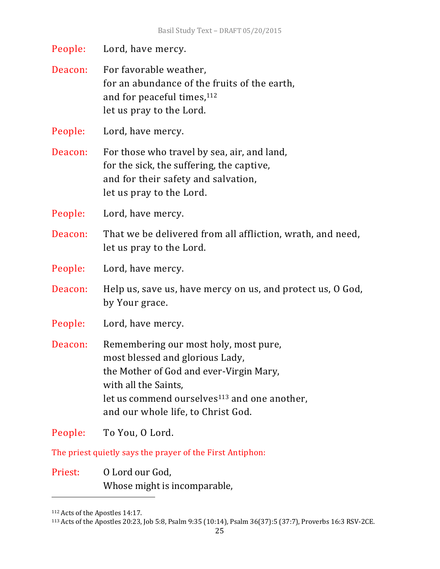People: Lord, have mercy. Deacon: For favorable weather, for an abundance of the fruits of the earth, and for peaceful times, 112 let us pray to the Lord. People: Lord, have mercy. Deacon: For those who travel by sea, air, and land, for the sick, the suffering, the captive, and for their safety and salvation, let us pray to the Lord. People: Lord, have mercy. Deacon: That we be delivered from all affliction, wrath, and need, let us pray to the Lord. People: Lord, have mercy. Deacon: Help us, save us, have mercy on us, and protect us, 0 God, by Your grace. People: Lord, have mercy. Deacon: Remembering our most holy, most pure, most blessed and glorious Lady, the Mother of God and ever-Virgin Mary, with all the Saints. let us commend ourselves<sup>113</sup> and one another, and our whole life, to Christ God. People: To You, O Lord.

The priest quietly says the prayer of the First Antiphon:

Priest: 0 Lord our God, Whose might is incomparable,

<sup>&</sup>lt;sup>112</sup> Acts of the Apostles 14:17.

<sup>113</sup> Acts of the Apostles 20:23, Job 5:8, Psalm 9:35 (10:14), Psalm 36(37):5 (37:7), Proverbs 16:3 RSV-2CE.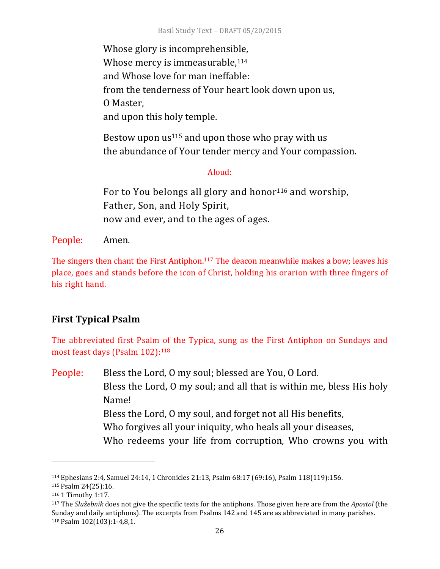Whose glory is incomprehensible, Whose mercy is immeasurable, $114$ and Whose love for man ineffable: from the tenderness of Your heart look down upon us, O Master, and upon this holy temple.

Bestow upon  $us^{115}$  and upon those who pray with us the abundance of Your tender mercy and Your compassion.

### Aloud:

For to You belongs all glory and honor<sup>116</sup> and worship, Father, Son, and Holy Spirit, now and ever, and to the ages of ages.

People: Amen.

The singers then chant the First Antiphon.<sup>117</sup> The deacon meanwhile makes a bow; leaves his place, goes and stands before the icon of Christ, holding his orarion with three fingers of his right hand.

# **First Typical Psalm**

The abbreviated first Psalm of the Typica, sung as the First Antiphon on Sundays and most feast days (Psalm 102):<sup>118</sup>

People: Bless the Lord, O my soul; blessed are You, O Lord. Bless the Lord, O my soul; and all that is within me, bless His holy Name! Bless the Lord, O my soul, and forget not all His benefits, Who forgives all your iniquity, who heals all your diseases, Who redeems your life from corruption, Who crowns you with

<sup>114</sup> Ephesians 2:4, Samuel 24:14, 1 Chronicles 21:13, Psalm 68:17 (69:16), Psalm 118(119):156.

<sup>115</sup> Psalm 24(25):16.

<sup>&</sup>lt;sup>116</sup> 1 Timothy 1:17.

<sup>&</sup>lt;sup>117</sup> The *Služebnik* does not give the specific texts for the antiphons. Those given here are from the *Apostol* (the Sunday and daily antiphons). The excerpts from Psalms 142 and 145 are as abbreviated in many parishes. 118 Psalm 102(103):1-4,8,1.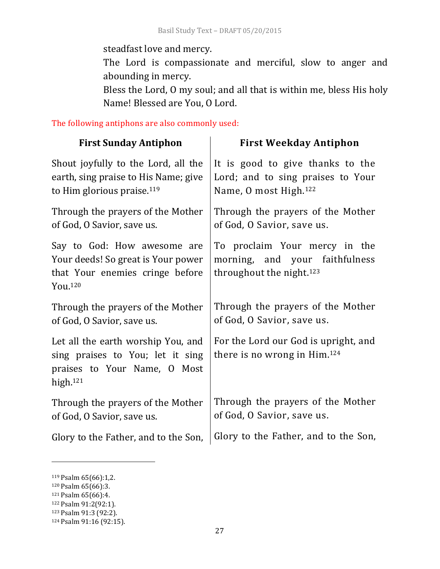steadfast love and mercy.

The Lord is compassionate and merciful, slow to anger and abounding in mercy.

Bless the Lord, O my soul; and all that is within me, bless His holy Name! Blessed are You, O Lord.

The following antiphons are also commonly used:

| <b>First Sunday Antiphon</b>                                                                                          | <b>First Weekday Antiphon</b>                                                                           |
|-----------------------------------------------------------------------------------------------------------------------|---------------------------------------------------------------------------------------------------------|
| Shout joyfully to the Lord, all the                                                                                   | It is good to give thanks to the                                                                        |
| earth, sing praise to His Name; give                                                                                  | Lord; and to sing praises to Your                                                                       |
| to Him glorious praise. <sup>119</sup>                                                                                | Name, O most High. <sup>122</sup>                                                                       |
| Through the prayers of the Mother                                                                                     | Through the prayers of the Mother                                                                       |
| of God, O Savior, save us.                                                                                            | of God, O Savior, save us.                                                                              |
| Say to God: How awesome are<br>Your deeds! So great is Your power<br>that Your enemies cringe before<br>You.120       | To proclaim Your mercy in the<br>morning, and your faithfulness<br>throughout the night. <sup>123</sup> |
| Through the prayers of the Mother                                                                                     | Through the prayers of the Mother                                                                       |
| of God, O Savior, save us.                                                                                            | of God, O Savior, save us.                                                                              |
| Let all the earth worship You, and<br>sing praises to You; let it sing<br>praises to Your Name, O Most<br>high. $121$ | For the Lord our God is upright, and<br>there is no wrong in Him. <sup>124</sup>                        |
| Through the prayers of the Mother                                                                                     | Through the prayers of the Mother                                                                       |
| of God, O Savior, save us.                                                                                            | of God, O Savior, save us.                                                                              |
| Glory to the Father, and to the Son,                                                                                  | Glory to the Father, and to the Son,                                                                    |

<sup>119</sup> Psalm 65(66):1,2.

<sup>120</sup> Psalm 65(66):3. 

<sup>121</sup> Psalm 65(66):4.

<sup>122</sup> Psalm 91:2(92:1).

<sup>123</sup> Psalm 91:3 (92:2).

<sup>124</sup> Psalm 91:16 (92:15).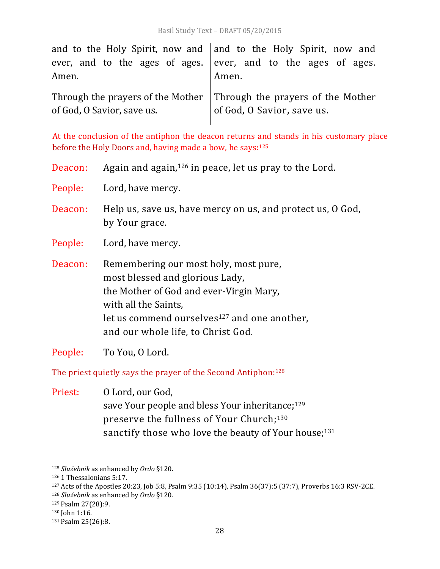|                            | and to the Holy Spirit, now and $ $ and to the Holy Spirit, now and                                       |
|----------------------------|-----------------------------------------------------------------------------------------------------------|
|                            | ever, and to the ages of ages. ever, and to the ages of ages.                                             |
| Amen.                      | Amen.                                                                                                     |
| of God, O Savior, save us. | Through the prayers of the Mother $\vert$ Through the prayers of the Mother<br>of God, O Savior, save us. |

At the conclusion of the antiphon the deacon returns and stands in his customary place before the Holy Doors and, having made a bow, he says: $125$ 

| Deacon: | Again and again, $126$ in peace, let us pray to the Lord.                                                                                                                                                                                     |
|---------|-----------------------------------------------------------------------------------------------------------------------------------------------------------------------------------------------------------------------------------------------|
| People: | Lord, have mercy.                                                                                                                                                                                                                             |
| Deacon: | Help us, save us, have mercy on us, and protect us, O God,<br>by Your grace.                                                                                                                                                                  |
| People: | Lord, have mercy.                                                                                                                                                                                                                             |
| Deacon: | Remembering our most holy, most pure,<br>most blessed and glorious Lady,<br>the Mother of God and ever-Virgin Mary,<br>with all the Saints,<br>let us commend ourselves <sup>127</sup> and one another,<br>and our whole life, to Christ God. |
| People: | To You, O Lord.                                                                                                                                                                                                                               |

The priest quietly says the prayer of the Second Antiphon: $128$ 

Priest: 0 Lord, our God, save Your people and bless Your inheritance;<sup>129</sup> preserve the fullness of Your Church;<sup>130</sup> sanctify those who love the beauty of Your house;<sup>131</sup>

<sup>&</sup>lt;sup>125</sup> *Služebnik* as enhanced by *Ordo* §120.

<sup>&</sup>lt;sup>126</sup> 1 Thessalonians 5:17.

<sup>127</sup> Acts of the Apostles 20:23, Job 5:8, Psalm 9:35 (10:14), Psalm 36(37):5 (37:7), Proverbs 16:3 RSV-2CE.

<sup>&</sup>lt;sup>128</sup> *Služebnik* as enhanced by *Ordo* §120.

<sup>129</sup> Psalm 27(28):9. 

<sup>130</sup> John 1:16.

<sup>131</sup> Psalm 25(26):8.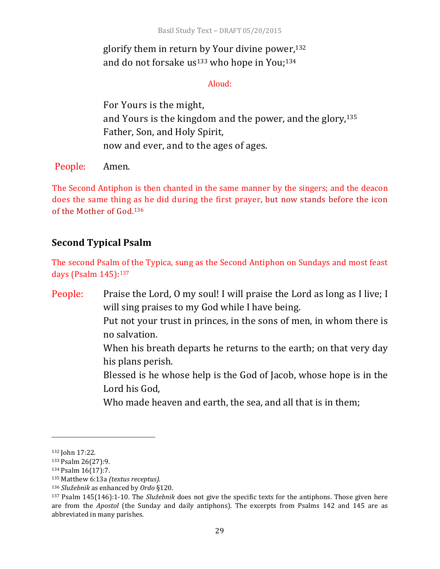# glorify them in return by Your divine power,  $132$ and do not forsake  $us^{133}$  who hope in You;<sup>134</sup>

#### Aloud:

For Yours is the might, and Yours is the kingdom and the power, and the glory,  $135$ Father, Son, and Holy Spirit, now and ever, and to the ages of ages.

People: Amen.

The Second Antiphon is then chanted in the same manner by the singers; and the deacon does the same thing as he did during the first prayer, but now stands before the icon of the Mother of God.<sup>136</sup>

## **Second Typical Psalm**

The second Psalm of the Typica, sung as the Second Antiphon on Sundays and most feast days (Psalm 145):137

People: Praise the Lord,  $0 \text{ mv}$  soul! I will praise the Lord as long as I live; I will sing praises to my God while I have being. Put not your trust in princes, in the sons of men, in whom there is no salvation. When his breath departs he returns to the earth; on that very day his plans perish. Blessed is he whose help is the God of Jacob, whose hope is in the Lord his God. Who made heaven and earth, the sea, and all that is in them;

<sup>132</sup> John 17:22.

<sup>133</sup> Psalm 26(27):9. 

<sup>134</sup> Psalm 16(17):7. 

<sup>135</sup> Matthew 6:13a *(textus receptus).*

<sup>136</sup> *Služebnik* as enhanced by *Ordo* §120. 

<sup>137</sup> Psalm 145(146):1-10. The *Služebnik* does not give the specific texts for the antiphons. Those given here are from the *Apostol* (the Sunday and daily antiphons). The excerpts from Psalms 142 and 145 are as abbreviated in many parishes.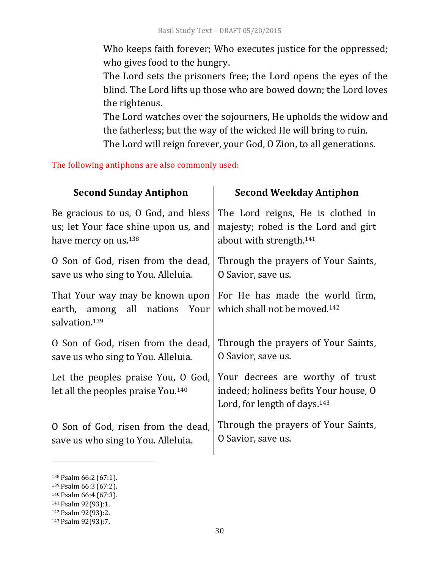Who keeps faith forever; Who executes justice for the oppressed; who gives food to the hungry.

The Lord sets the prisoners free; the Lord opens the eyes of the blind. The Lord lifts up those who are bowed down; the Lord loves the righteous.

The Lord watches over the sojourners, He upholds the widow and the fatherless; but the way of the wicked He will bring to ruin. The Lord will reign forever, your God, O Zion, to all generations.

## The following antiphons are also commonly used:

| <b>Second Sunday Antiphon</b>                                                                 | <b>Second Weekday Antiphon</b>                                                                               |
|-----------------------------------------------------------------------------------------------|--------------------------------------------------------------------------------------------------------------|
| Be gracious to us, O God, and bless                                                           | The Lord reigns, He is clothed in                                                                            |
| us; let Your face shine upon us, and                                                          | majesty; robed is the Lord and girt                                                                          |
| have mercy on us. <sup>138</sup>                                                              | about with strength. <sup>141</sup>                                                                          |
| O Son of God, risen from the dead,                                                            | Through the prayers of Your Saints,                                                                          |
| save us who sing to You. Alleluia.                                                            | O Savior, save us.                                                                                           |
| That Your way may be known upon<br>earth, among all nations Your<br>salvation. <sup>139</sup> | For He has made the world firm,<br>which shall not be moved. <sup>142</sup>                                  |
| O Son of God, risen from the dead,                                                            | Through the prayers of Your Saints,                                                                          |
| save us who sing to You. Alleluia.                                                            | O Savior, save us.                                                                                           |
| Let the peoples praise You, O God,<br>let all the peoples praise You. <sup>140</sup>          | Your decrees are worthy of trust<br>indeed; holiness befits Your house, O<br>Lord, for length of days. $143$ |
| O Son of God, risen from the dead,                                                            | Through the prayers of Your Saints,                                                                          |
| save us who sing to You. Alleluia.                                                            | O Savior, save us.                                                                                           |

<sup>138</sup> Psalm 66:2 (67:1).

<u> 1989 - Johann Stein, fransk politik (d. 1989)</u>

141 Psalm 92(93):1.

<sup>139</sup> Psalm 66:3 (67:2).

<sup>140</sup> Psalm 66:4 (67:3). 

<sup>142</sup> Psalm 92(93):2.

<sup>143</sup> Psalm 92(93):7.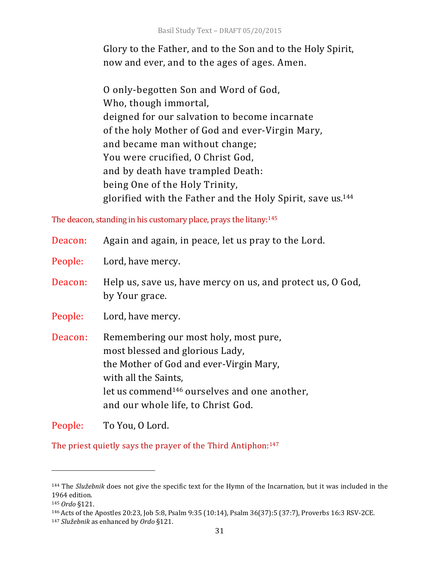Glory to the Father, and to the Son and to the Holy Spirit, now and ever, and to the ages of ages. Amen.

O only-begotten Son and Word of God, Who, though immortal, deigned for our salvation to become incarnate of the holy Mother of God and ever-Virgin Mary, and became man without change; You were crucified, O Christ God, and by death have trampled Death: being One of the Holy Trinity, glorified with the Father and the Holy Spirit, save us.<sup>144</sup>

The deacon, standing in his customary place, prays the litany: $145$ 

| Deacon: | Again and again, in peace, let us pray to the Lord.                                                                                                                                                                                           |
|---------|-----------------------------------------------------------------------------------------------------------------------------------------------------------------------------------------------------------------------------------------------|
| People: | Lord, have mercy.                                                                                                                                                                                                                             |
| Deacon: | Help us, save us, have mercy on us, and protect us, O God,<br>by Your grace.                                                                                                                                                                  |
| People: | Lord, have mercy.                                                                                                                                                                                                                             |
| Deacon: | Remembering our most holy, most pure,<br>most blessed and glorious Lady,<br>the Mother of God and ever-Virgin Mary,<br>with all the Saints,<br>let us commend <sup>146</sup> ourselves and one another,<br>and our whole life, to Christ God. |

People: To You, O Lord.

<u> 1989 - Johann Stein, fransk politik (d. 1989)</u>

The priest quietly says the prayer of the Third Antiphon: $147$ 

<sup>&</sup>lt;sup>144</sup> The *Služebnik* does not give the specific text for the Hymn of the Incarnation, but it was included in the 1964 edition.

<sup>145</sup> *Ordo* §121. 

<sup>146</sup> Acts of the Apostles 20:23, Job 5:8, Psalm 9:35 (10:14), Psalm 36(37):5 (37:7), Proverbs 16:3 RSV-2CE.

<sup>147</sup> *Služebnik* as enhanced by *Ordo* §121.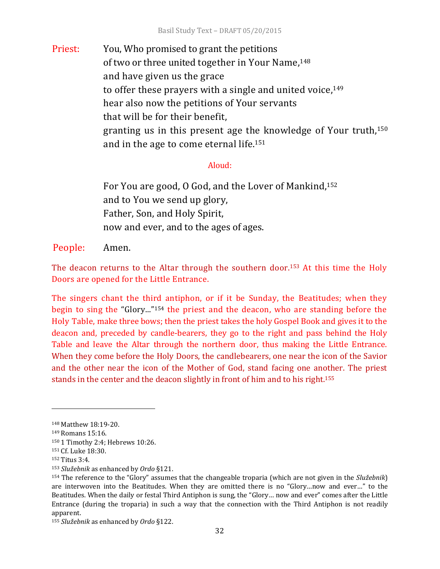Priest: You, Who promised to grant the petitions of two or three united together in Your Name,<sup>148</sup> and have given us the grace to offer these prayers with a single and united voice,  $149$ hear also now the petitions of Your servants that will be for their benefit, granting us in this present age the knowledge of Your truth, $150$ and in the age to come eternal life.<sup>151</sup>

### Aloud:

For You are good, O God, and the Lover of Mankind,<sup>152</sup> and to You we send up glory, Father, Son, and Holy Spirit, now and ever, and to the ages of ages.

People: Amen.

The deacon returns to the Altar through the southern door.<sup>153</sup> At this time the Holy Doors are opened for the Little Entrance.

The singers chant the third antiphon, or if it be Sunday, the Beatitudes; when they begin to sing the "Glory..."<sup>154</sup> the priest and the deacon, who are standing before the Holy Table, make three bows; then the priest takes the holy Gospel Book and gives it to the deacon and, preceded by candle-bearers, they go to the right and pass behind the Holy Table and leave the Altar through the northern door, thus making the Little Entrance. When they come before the Holy Doors, the candlebearers, one near the icon of the Savior and the other near the icon of the Mother of God, stand facing one another. The priest stands in the center and the deacon slightly in front of him and to his right.<sup>155</sup>

<sup>148</sup> Matthew 18:19-20.

<sup>149</sup> Romans 15:16.

<sup>150 1</sup> Timothy 2:4; Hebrews 10:26.

<sup>151</sup> Cf. Luke 18:30.

<sup>&</sup>lt;sup>152</sup> Titus 3:4.

<sup>153</sup> *Služebnik* as enhanced by *Ordo* §121. 

 $154$  The reference to the "Glory" assumes that the changeable troparia (which are not given in the *Služebnik*) are interwoven into the Beatitudes. When they are omitted there is no "Glory...now and ever..." to the Beatitudes. When the daily or festal Third Antiphon is sung, the "Glory... now and ever" comes after the Little Entrance (during the troparia) in such a way that the connection with the Third Antiphon is not readily apparent. 

<sup>&</sup>lt;sup>155</sup> *Služebnik* as enhanced by *Ordo* §122.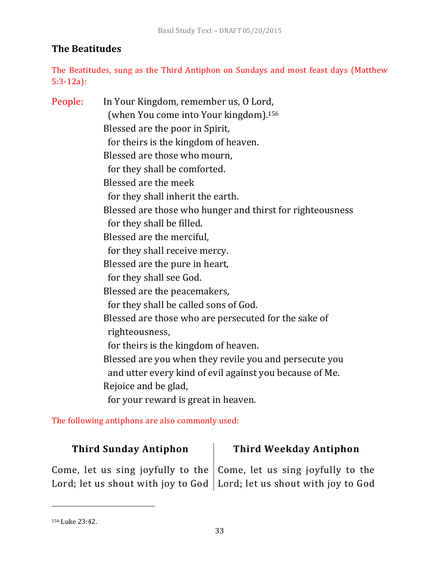# **The Beatitudes**

The Beatitudes, sung as the Third Antiphon on Sundays and most feast days (Matthew 5:3‐12a): 

People: In Your Kingdom, remember us, O Lord, (when You come into Your kingdom).<sup>156</sup> Blessed are the poor in Spirit, for theirs is the kingdom of heaven. Blessed are those who mourn, for they shall be comforted. Blessed are the meek for they shall inherit the earth. Blessed are those who hunger and thirst for righteousness for they shall be filled. Blessed are the merciful, for they shall receive mercy. Blessed are the pure in heart, for they shall see God. Blessed are the peacemakers, for they shall be called sons of God. Blessed are those who are persecuted for the sake of righteousness, for theirs is the kingdom of heaven. Blessed are you when they revile you and persecute you and utter every kind of evil against you because of Me. Rejoice and be glad, for your reward is great in heaven.

### The following antiphons are also commonly used:

### **Third Sunday Antiphon**

# **Third Weekday Antiphon**

Come, let us sing joyfully to the  $\vert$ Lord; let us shout with joy to God Come, let us sing joyfully to the Lord; let us shout with joy to God

<sup>&</sup>lt;sup>156</sup> Luke 23:42.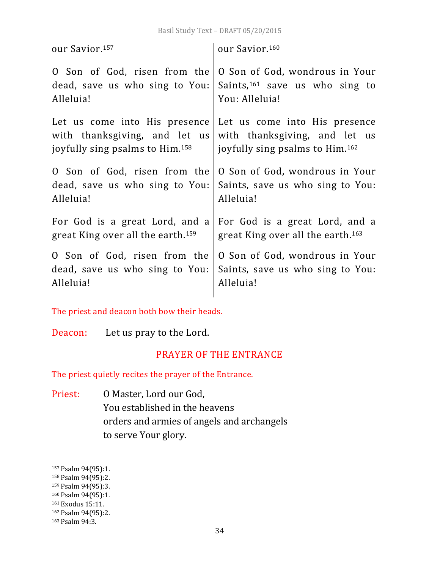| our Savior. <sup>157</sup>                    | our Savior. <sup>160</sup>                    |
|-----------------------------------------------|-----------------------------------------------|
| O Son of God, risen from the                  | O Son of God, wondrous in Your                |
| dead, save us who sing to You:                | Saints, <sup>161</sup> save us who sing to    |
| Alleluia!                                     | You: Alleluia!                                |
| Let us come into His presence                 | Let us come into His presence                 |
| with thanksgiving, and let us                 | with thanksgiving, and let us                 |
| joyfully sing psalms to Him. <sup>158</sup>   | joyfully sing psalms to Him. <sup>162</sup>   |
| O Son of God, risen from the                  | O Son of God, wondrous in Your                |
| dead, save us who sing to You:                | Saints, save us who sing to You:              |
| Alleluia!                                     | Alleluia!                                     |
| For God is a great Lord, and a                | For God is a great Lord, and a                |
| great King over all the earth. <sup>159</sup> | great King over all the earth. <sup>163</sup> |
| O Son of God, risen from the                  | O Son of God, wondrous in Your                |
| dead, save us who sing to You:                | Saints, save us who sing to You:              |
| Alleluia!                                     | Alleluia!                                     |

The priest and deacon both bow their heads.

Deacon: Let us pray to the Lord.

# PRAYER OF THE ENTRANCE

The priest quietly recites the prayer of the Entrance.

Priest: 0 Master, Lord our God, You established in the heavens orders and armies of angels and archangels to serve Your glory.

 

<sup>161</sup> Exodus 15:11.

<sup>157</sup> Psalm 94(95):1.

<sup>158</sup> Psalm 94(95):2.

<sup>159</sup> Psalm 94(95):3.

<sup>160</sup> Psalm 94(95):1. 

<sup>162</sup> Psalm 94(95):2.

<sup>163</sup> Psalm 94:3.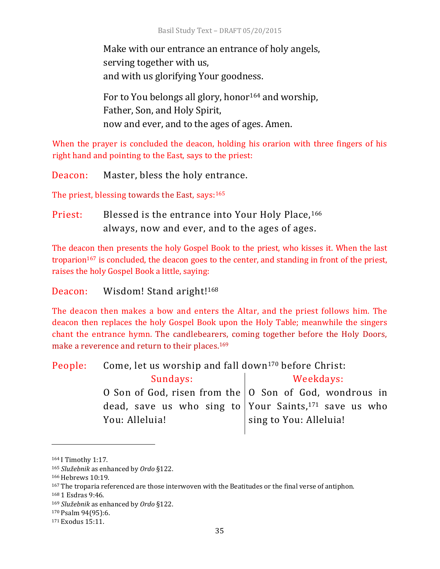Make with our entrance an entrance of holy angels, serving together with us. and with us glorifying Your goodness.

For to You belongs all glory, honor<sup>164</sup> and worship, Father, Son, and Holy Spirit, now and ever, and to the ages of ages. Amen.

When the prayer is concluded the deacon, holding his orarion with three fingers of his right hand and pointing to the East, says to the priest:

Deacon: Master, bless the holy entrance.

The priest, blessing towards the East, says: $165$ 

Priest: Blessed is the entrance into Your Holy Place,<sup>166</sup> always, now and ever, and to the ages of ages.

The deacon then presents the holy Gospel Book to the priest, who kisses it. When the last troparion<sup>167</sup> is concluded, the deacon goes to the center, and standing in front of the priest, raises the holy Gospel Book a little, saying:

### Deacon: Wisdom! Stand aright!<sup>168</sup>

The deacon then makes a bow and enters the Altar, and the priest follows him. The deacon then replaces the holy Gospel Book upon the Holy Table; meanwhile the singers chant the entrance hymn. The candlebearers, coming together before the Holy Doors, make a reverence and return to their places.<sup>169</sup>

People: Come, let us worship and fall down<sup>170</sup> before Christ:

| Sundays:       | Weekdays:                                                         |
|----------------|-------------------------------------------------------------------|
|                | O Son of God, risen from the $\vert$ O Son of God, wondrous in    |
|                | dead, save us who sing to Your Saints, <sup>171</sup> save us who |
| You: Alleluia! | sing to You: Alleluia!                                            |
|                |                                                                   |

<sup>&</sup>lt;sup>164</sup> I Timothy 1:17.

<sup>165</sup> *Služebnik* as enhanced by *Ordo* §122. 

<sup>166</sup> Hebrews 10:19.

<sup>&</sup>lt;sup>167</sup> The troparia referenced are those interwoven with the Beatitudes or the final verse of antiphon.

<sup>168 1</sup> Esdras 9:46.

<sup>169</sup> *Služebnik* as enhanced by *Ordo* §122. 

<sup>170</sup> Psalm 94(95):6. 

<sup>&</sup>lt;sup>171</sup> Exodus 15:11.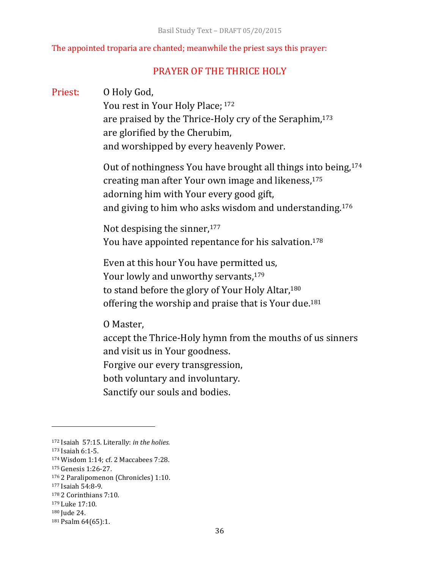The appointed troparia are chanted; meanwhile the priest says this prayer:

# PRAYER OF THE THRICE HOLY

Priest: 0 Holy God, You rest in Your Holy Place; 172 are praised by the Thrice-Holy cry of the Seraphim, $173$ are glorified by the Cherubim, and worshipped by every heavenly Power. Out of nothingness You have brought all things into being,<sup>174</sup> creating man after Your own image and likeness,  $175$ adorning him with Your every good gift, and giving to him who asks wisdom and understanding.<sup>176</sup> Not despising the sinner,<sup>177</sup> You have appointed repentance for his salvation.<sup>178</sup> Even at this hour You have permitted us, Your lowly and unworthy servants,<sup>179</sup> to stand before the glory of Your Holy Altar,<sup>180</sup> offering the worship and praise that is Your due.<sup>181</sup> O Master, accept the Thrice-Holy hymn from the mouths of us sinners and visit us in Your goodness. Forgive our every transgression, both voluntary and involuntary.

Sanctify our souls and bodies.

<sup>172</sup> Isaiah 57:15. Literally: *in the holies.*

<sup>173</sup> Isaiah 6:1-5.

<sup>174</sup> Wisdom 1:14; cf. 2 Maccabees 7:28.

<sup>175</sup> Genesis 1:26-27.

<sup>176 2</sup> Paralipomenon (Chronicles) 1:10.

<sup>177</sup> Isaiah 54:8-9.

<sup>&</sup>lt;sup>178</sup> 2 Corinthians 7:10.

<sup>&</sup>lt;sup>179</sup> Luke 17:10.

<sup>&</sup>lt;sup>180</sup> Jude 24.

<sup>181</sup> Psalm 64(65):1.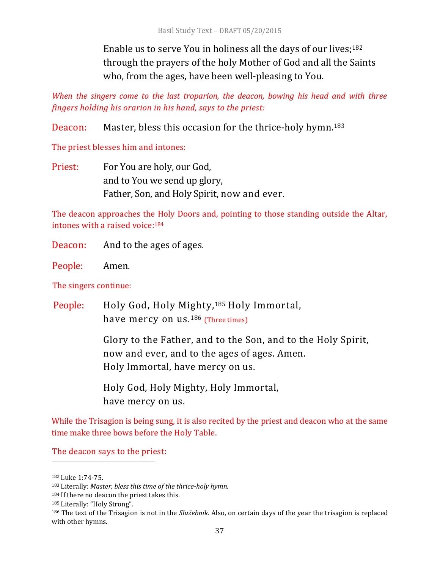Enable us to serve You in holiness all the days of our lives;<sup>182</sup> through the prayers of the holy Mother of God and all the Saints who, from the ages, have been well-pleasing to You.

*When the singers come to the last troparion, the deacon, bowing his head and with three fingers holding his orarion in his hand, says to the priest:*

Deacon: Master, bless this occasion for the thrice-holy hymn.<sup>183</sup>

The priest blesses him and intones:

Priest: For You are holy, our God, and to You we send up glory, Father, Son, and Holy Spirit, now and ever.

The deacon approaches the Holy Doors and, pointing to those standing outside the Altar, intones with a raised voice: $184$ 

Deacon: And to the ages of ages.

People: Amen.

The singers continue:

People: Holy God, Holy Mighty,<sup>185</sup> Holy Immortal, have mercy on us.<sup>186</sup> (Three times)

> Glory to the Father, and to the Son, and to the Holy Spirit, now and ever, and to the ages of ages. Amen. Holy Immortal, have mercy on us.

Holy God, Holy Mighty, Holy Immortal, have mercy on us.

While the Trisagion is being sung, it is also recited by the priest and deacon who at the same time make three bows before the Holy Table.

The deacon says to the priest:

<sup>182</sup> Luke 1:74-75.

<sup>183</sup> Literally: *Master, bless this time of the thrice‐holy hymn.*

 $184$  If there no deacon the priest takes this.

<sup>185</sup> Literally: "Holy Strong".

<sup>&</sup>lt;sup>186</sup> The text of the Trisagion is not in the *Služebnik*. Also, on certain days of the year the trisagion is replaced with other hymns.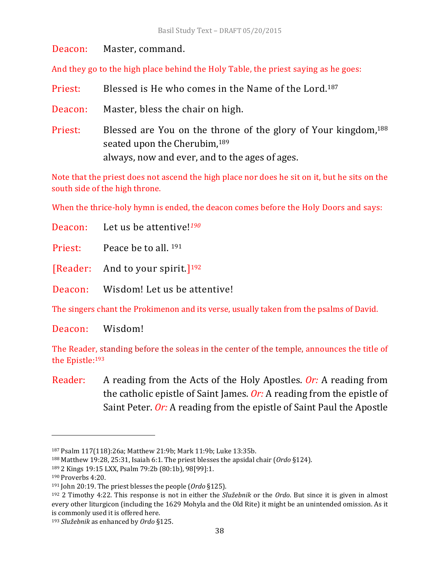Deacon: Master, command.

And they go to the high place behind the Holy Table, the priest saying as he goes:

Priest: Blessed is He who comes in the Name of the Lord.<sup>187</sup>

Deacon: Master, bless the chair on high.

Priest: Blessed are You on the throne of the glory of Your kingdom,<sup>188</sup> seated upon the Cherubim,<sup>189</sup> always, now and ever, and to the ages of ages.

Note that the priest does not ascend the high place nor does he sit on it, but he sits on the south side of the high throne.

When the thrice-holy hymn is ended, the deacon comes before the Holy Doors and says:

| Deacon: Let us be attentive! <sup>190</sup> |
|---------------------------------------------|
| Priest: Peace be to all. 191                |
| [Reader: And to your spirit.] $192$         |
| Deacon: Wisdom! Let us be attentive!        |

The singers chant the Prokimenon and its verse, usually taken from the psalms of David.

Deacon: Wisdom!

 

The Reader, standing before the soleas in the center of the temple, announces the title of the Epistle:<sup>193</sup>

Reader: A reading from the Acts of the Holy Apostles. *Or:* A reading from the catholic epistle of Saint James. *Or:* A reading from the epistle of Saint Peter. *Or:* A reading from the epistle of Saint Paul the Apostle

<sup>187</sup> Psalm 117(118):26a; Matthew 21:9b; Mark 11:9b; Luke 13:35b.

<sup>&</sup>lt;sup>188</sup> Matthew 19:28, 25:31, Isaiah 6:1. The priest blesses the apsidal chair ( $Ordo$  §124).

<sup>189 2</sup> Kings 19:15 LXX, Psalm 79:2b (80:1b), 98[99]:1.

<sup>&</sup>lt;sup>190</sup> Proverbs 4:20.

<sup>&</sup>lt;sup>191</sup> John 20:19. The priest blesses the people (Ordo §125).

<sup>&</sup>lt;sup>192</sup> 2 Timothy 4:22. This response is not in either the *Služebnik* or the *Ordo*. But since it is given in almost every other liturgicon (including the 1629 Mohyla and the Old Rite) it might be an unintended omission. As it is commonly used it is offered here.

<sup>193</sup> *Služebnik* as enhanced by *Ordo* §125.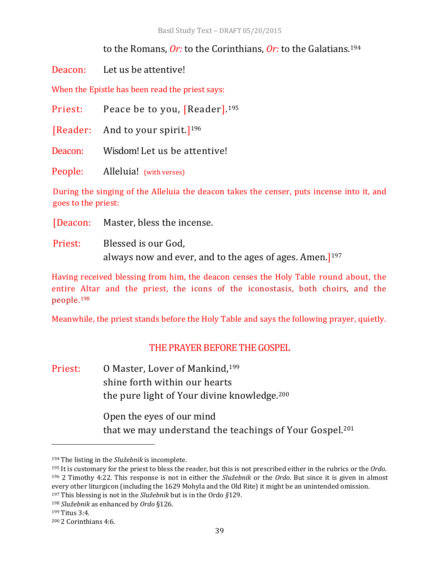# to the Romans, *Or:* to the Corinthians, *Or:* to the Galatians.<sup>194</sup>

Deacon: Let us be attentive!

When the Epistle has been read the priest says:

Priest: Peace be to you, [Reader].<sup>195</sup>

[Reader: And to your spirit.] $196$ 

Deacon: Wisdom! Let us be attentive!

People: Alleluia! (with verses)

During the singing of the Alleluia the deacon takes the censer, puts incense into it, and goes to the priest:

[Deacon: Master, bless the incense.

Priest: Blessed is our God. always now and ever, and to the ages of ages. Amen.<sup>[197]</sup>

Having received blessing from him, the deacon censes the Holy Table round about, the entire Altar and the priest, the icons of the iconostasis, both choirs, and the people.198

Meanwhile, the priest stands before the Holy Table and says the following prayer, quietly.

# THE PRAYER BEFORE THE GOSPEL

Priest: 0 Master, Lover of Mankind.<sup>199</sup> shine forth within our hearts the pure light of Your divine knowledge.<sup>200</sup>

> Open the eyes of our mind that we may understand the teachings of Your Gospel.<sup>201</sup>

<sup>&</sup>lt;sup>194</sup> The listing in the *Služebnik* is incomplete.

<sup>&</sup>lt;sup>195</sup> It is customary for the priest to bless the reader, but this is not prescribed either in the rubrics or the  $Ordo$ . <sup>196</sup> 2 Timothy 4:22. This response is not in either the *Služebnik* or the *Ordo*. But since it is given in almost every other liturgicon (including the 1629 Mohyla and the Old Rite) it might be an unintended omission.

<sup>&</sup>lt;sup>197</sup> This blessing is not in the *Služebnik* but is in the Ordo §129.

<sup>198</sup> *Služebnik* as enhanced by *Ordo* §126. 

 $199$  Titus  $3.4$ .

<sup>&</sup>lt;sup>200</sup> 2 Corinthians 4:6.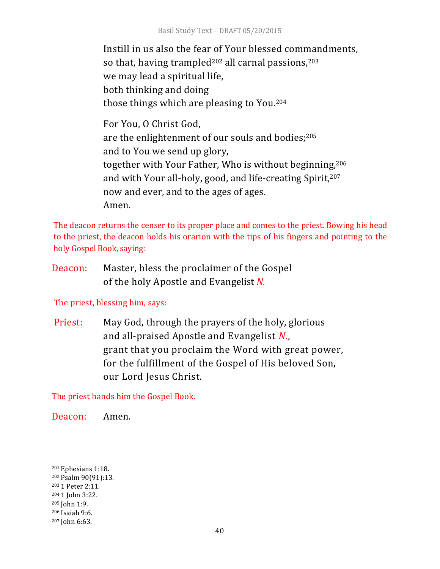Instill in us also the fear of Your blessed commandments, so that, having trampled<sup>202</sup> all carnal passions,<sup>203</sup> we may lead a spiritual life, both thinking and doing those things which are pleasing to You.<sup>204</sup> For You, O Christ God, are the enlightenment of our souls and bodies; $205$ and to You we send up glory, together with Your Father, Who is without beginning,<sup>206</sup> and with Your all-holy, good, and life-creating Spirit,<sup>207</sup> now and ever, and to the ages of ages. Amen. 

The deacon returns the censer to its proper place and comes to the priest. Bowing his head to the priest, the deacon holds his orarion with the tips of his fingers and pointing to the holy Gospel Book, saying:

Deacon: Master, bless the proclaimer of the Gospel of the holy Apostle and Evangelist *N*.

The priest, blessing him, says:

Priest: May God, through the prayers of the holy, glorious and all-praised Apostle and Evangelist *N.*, grant that you proclaim the Word with great power, for the fulfillment of the Gospel of His beloved Son, our Lord Jesus Christ.

The priest hands him the Gospel Book.

Deacon: Amen.

<u> 1989 - Andrea Santa Andrea Andrea Andrea Andrea Andrea Andrea Andrea Andrea Andrea Andrea Andrea Andrea Andr</u>

 $201$  Ephesians 1:18.

<sup>202</sup> Psalm 90(91):13. 

<sup>203 1</sup> Peter 2:11.

<sup>&</sup>lt;sup>204</sup> 1 John 3:22.

 $205$  John 1:9.

 $206$  Isaiah 9:6.

<sup>&</sup>lt;sup>207</sup> John 6:63.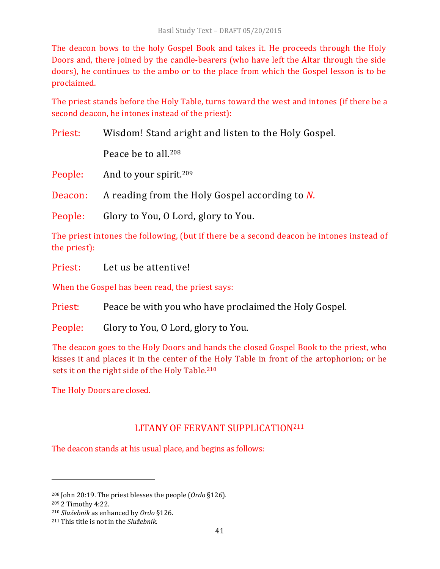The deacon bows to the holy Gospel Book and takes it. He proceeds through the Holy Doors and, there joined by the candle-bearers (who have left the Altar through the side doors), he continues to the ambo or to the place from which the Gospel lesson is to be proclaimed. 

The priest stands before the Holy Table, turns toward the west and intones (if there be a second deacon, he intones instead of the priest):

| Priest: | Wisdom! Stand aright and listen to the Holy Gospel. |
|---------|-----------------------------------------------------|
|         | Peace be to all. <sup>208</sup>                     |
| People: | And to your spirit. <sup>209</sup>                  |
| Deacon: | A reading from the Holy Gospel according to N.      |
| People: | Glory to You, O Lord, glory to You.                 |
|         |                                                     |

The priest intones the following, (but if there be a second deacon he intones instead of the priest):

Priest: Let us be attentive!

When the Gospel has been read, the priest says:

Priest: Peace be with you who have proclaimed the Holy Gospel.

People: Glory to You, O Lord, glory to You.

The deacon goes to the Holy Doors and hands the closed Gospel Book to the priest, who kisses it and places it in the center of the Holy Table in front of the artophorion; or he sets it on the right side of the Holy Table.<sup>210</sup>

The Holy Doors are closed.

# LITANY OF FERVANT SUPPLICATION<sup>211</sup>

The deacon stands at his usual place, and begins as follows:

<sup>&</sup>lt;sup>208</sup> John 20:19. The priest blesses the people (*Ordo* §126).

<sup>&</sup>lt;sup>209</sup> 2 Timothy 4:22.

<sup>210</sup> *Služebnik* as enhanced by *Ordo* §126. 

<sup>&</sup>lt;sup>211</sup> This title is not in the *Služebnik*.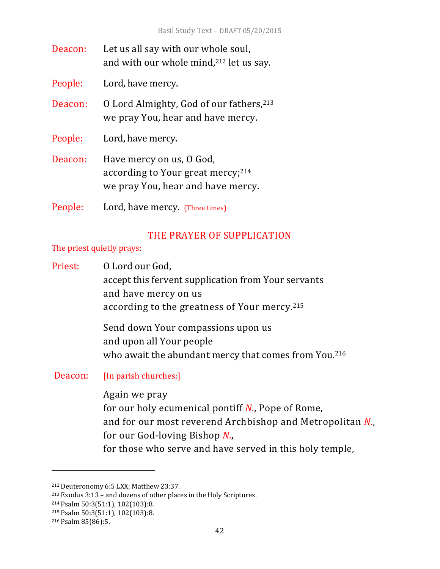| Deacon: | Let us all say with our whole soul,<br>and with our whole mind, 212 let us say.                                |
|---------|----------------------------------------------------------------------------------------------------------------|
| People: | Lord, have mercy.                                                                                              |
| Deacon: | O Lord Almighty, God of our fathers, 213<br>we pray You, hear and have mercy.                                  |
| People: | Lord, have mercy.                                                                                              |
| Deacon: | Have mercy on us, O God,<br>according to Your great mercy; <sup>214</sup><br>we pray You, hear and have mercy. |
| People: | Lord, have mercy. (Three times)                                                                                |

# THE PRAYER OF SUPPLICATION

The priest quietly prays:

Priest: 0 Lord our God, accept this fervent supplication from Your servants and have mercy on us according to the greatness of Your mercy.<sup>215</sup> Send down Your compassions upon us and upon all Your people who await the abundant mercy that comes from You.<sup>216</sup> Deacon: [In parish churches:] Again we pray for our holy ecumenical pontiff *N.*, Pope of Rome,

and for our most reverend Archbishop and Metropolitan *N.*, for our God-loving Bishop *N.*, for those who serve and have served in this holy temple,

<sup>&</sup>lt;sup>212</sup> Deuteronomy 6:5 LXX; Matthew 23:37.

 $213$  Exodus  $3:13$  – and dozens of other places in the Holy Scriptures.

 $214$  Psalm 50:3(51:1), 102(103):8.

<sup>215</sup> Psalm 50:3(51:1), 102(103):8.

<sup>&</sup>lt;sup>216</sup> Psalm 85(86):5.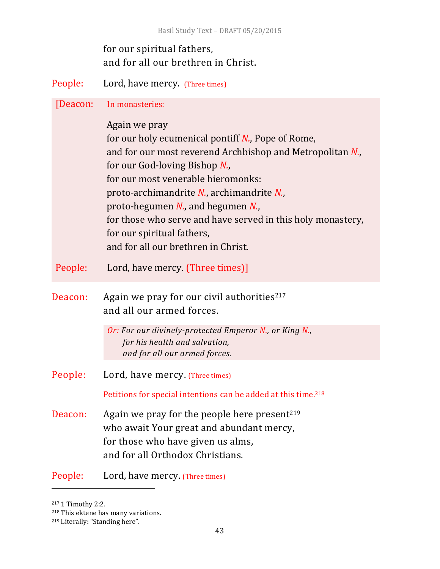for our spiritual fathers, and for all our brethren in Christ.

People: Lord, have mercy. (Three times)

#### [Deacon: In monasteries:

| Again we pray                                               |
|-------------------------------------------------------------|
| for our holy ecumenical pontiff N., Pope of Rome,           |
| and for our most reverend Archbishop and Metropolitan N.,   |
| for our God-loving Bishop N.,                               |
| for our most venerable hieromonks:                          |
| proto-archimandrite N., archimandrite N.,                   |
| proto-hegumen $N$ ., and hegumen $N$ .,                     |
| for those who serve and have served in this holy monastery, |
| for our spiritual fathers,                                  |
| and for all our brethren in Christ.                         |
|                                                             |

- People: Lord, have mercy. (Three times)]
- Deacon: Again we pray for our civil authorities<sup>217</sup> and all our armed forces.

*Or: For our divinely‐protected Emperor N., or King N., for his health and salvation, and for all our armed forces.*

People: Lord, have mercy. (Three times)

Petitions for special intentions can be added at this time.<sup>218</sup>

Deacon: Again we pray for the people here present<sup>219</sup> who await Your great and abundant mercy, for those who have given us alms, and for all Orthodox Christians.

## People: Lord, have mercy. (Three times)

<sup>&</sup>lt;sup>217</sup> 1 Timothy 2:2.

<sup>&</sup>lt;sup>218</sup> This ektene has many variations.

<sup>&</sup>lt;sup>219</sup> Literally: "Standing here".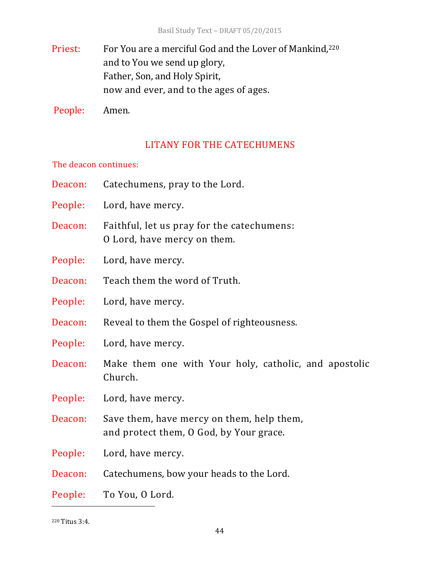- Priest: For You are a merciful God and the Lover of Mankind,<sup>220</sup> and to You we send up glory, Father, Son, and Holy Spirit, now and ever, and to the ages of ages.
- People: Amen.

# LITANY FOR THE CATECHUMENS

#### The deacon continues:

| Deacon: | Catechumens, pray to the Lord.                                                       |
|---------|--------------------------------------------------------------------------------------|
| People: | Lord, have mercy.                                                                    |
| Deacon: | Faithful, let us pray for the catechumens:<br>O Lord, have mercy on them.            |
| People: | Lord, have mercy.                                                                    |
| Deacon: | Teach them the word of Truth.                                                        |
| People: | Lord, have mercy.                                                                    |
| Deacon: | Reveal to them the Gospel of righteousness.                                          |
| People: | Lord, have mercy.                                                                    |
| Deacon: | Make them one with Your holy, catholic, and apostolic<br>Church.                     |
| People: | Lord, have mercy.                                                                    |
| Deacon: | Save them, have mercy on them, help them,<br>and protect them, O God, by Your grace. |
| People: | Lord, have mercy.                                                                    |
| Deacon: | Catechumens, bow your heads to the Lord.                                             |
| People: | To You, O Lord.                                                                      |
|         |                                                                                      |

<sup>220</sup> Titus 3:4.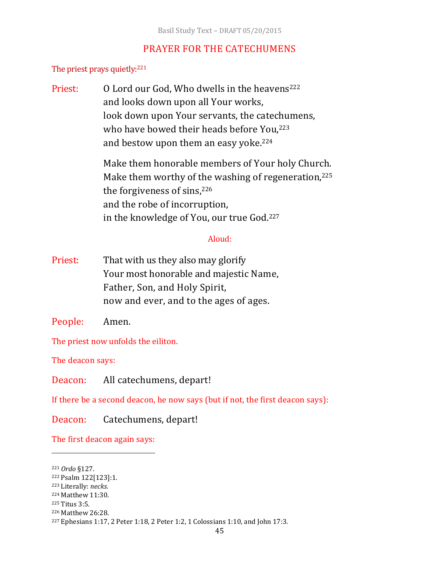## PRAYER FOR THE CATECHUMENS

The priest prays quietly: $221$ 

Priest:  $\qquad 0$  Lord our God, Who dwells in the heavens<sup>222</sup> and looks down upon all Your works, look down upon Your servants, the catechumens, who have bowed their heads before You,<sup>223</sup> and bestow upon them an easy yoke.<sup>224</sup>

> Make them honorable members of Your holy Church. Make them worthy of the washing of regeneration, $225$ the forgiveness of sins, $226$ and the robe of incorruption, in the knowledge of You, our true God.<sup>227</sup>

#### Aloud:

Priest: That with us they also may glorify Your most honorable and majestic Name, Father, Son, and Holy Spirit, now and ever, and to the ages of ages.

People: Amen.

The priest now unfolds the eiliton.

The deacon says:

Deacon: All catechumens, depart!

If there be a second deacon, he now says (but if not, the first deacon says):

Deacon: Catechumens, depart!

The first deacon again says: 

<sup>221</sup> *Ordo* §127. 

<sup>222</sup> Psalm 122[123]:1. 

<sup>223</sup> Literally: *necks.*

<sup>224</sup> Matthew 11:30. 

<sup>225</sup> Titus 3:5. 

<sup>&</sup>lt;sup>226</sup> Matthew 26:28.

 $227$  Ephesians 1:17, 2 Peter 1:18, 2 Peter 1:2, 1 Colossians 1:10, and John 17:3.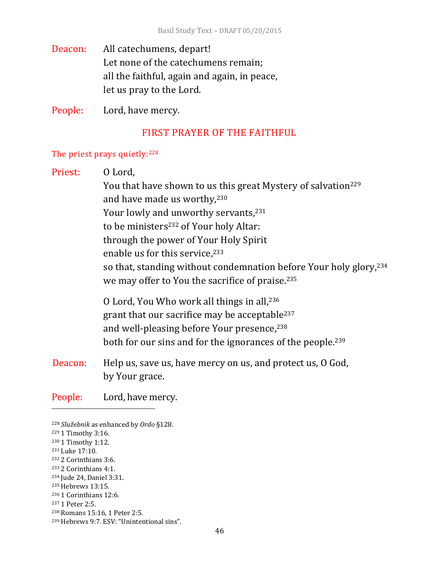Deacon: All catechumens, depart! Let none of the catechumens remain; all the faithful, again and again, in peace, let us pray to the Lord.

People: Lord, have mercy.

# FIRST PRAYER OF THE FAITHFUL

#### The priest prays quietly:<sup>228</sup>

Priest: 0 Lord, You that have shown to us this great Mystery of salvation<sup>229</sup> and have made us worthy, $230$ Your lowly and unworthy servants,<sup>231</sup> to be ministers<sup>232</sup> of Your holy Altar: through the power of Your Holy Spirit enable us for this service. $233$ so that, standing without condemnation before Your holy glory,<sup>234</sup> we may offer to You the sacrifice of praise.<sup>235</sup> O Lord, You Who work all things in all,<sup>236</sup> grant that our sacrifice may be acceptable<sup>237</sup> and well-pleasing before Your presence,<sup>238</sup> both for our sins and for the ignorances of the people.<sup>239</sup> Deacon: Help us, save us, have mercy on us, and protect us, O God, by Your grace. People: Lord, have mercy.

<sup>228</sup> *Služebnik* as enhanced by *Ordo* §128.

- <sup>231</sup> Luke 17:10.
- <sup>232</sup> 2 Corinthians 3:6.
- <sup>233</sup> 2 Corinthians 4:1.
- <sup>234</sup> Jude 24, Daniel 3:31.
- <sup>235</sup> Hebrews 13:15.
- <sup>236</sup> 1 Corinthians 12:6.
- <sup>237</sup> 1 Peter 2:5.
- <sup>238</sup> Romans 15:16, 1 Peter 2:5.
- <sup>239</sup> Hebrews 9:7. ESV: "Unintentional sins".

<sup>&</sup>lt;sup>229</sup> 1 Timothy 3:16.

<sup>&</sup>lt;sup>230</sup> 1 Timothy 1:12.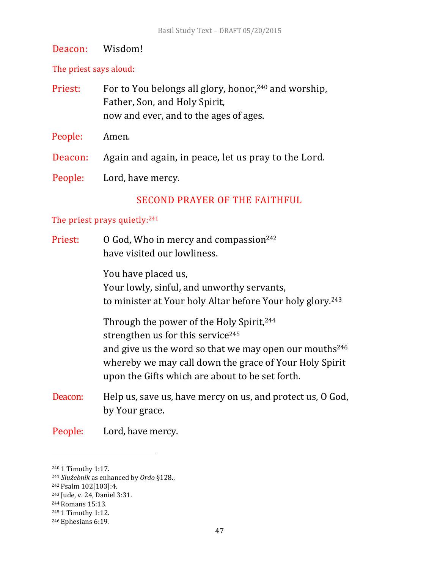## Deacon: Wisdom!

The priest says aloud:

| Priest: | For to You belongs all glory, honor, <sup>240</sup> and worship,<br>Father, Son, and Holy Spirit,<br>now and ever, and to the ages of ages. |
|---------|---------------------------------------------------------------------------------------------------------------------------------------------|
| People: | Amen.                                                                                                                                       |
| Deacon: | Again and again, in peace, let us pray to the Lord.                                                                                         |
| People: | Lord, have mercy.                                                                                                                           |

# SECOND PRAYER OF THE FAITHFUL

#### The priest prays quietly:<sup>241</sup>

Priest:  $\qquad 0$  God, Who in mercy and compassion<sup>242</sup> have visited our lowliness.

> You have placed us, Your lowly, sinful, and unworthy servants, to minister at Your holy Altar before Your holy glory.<sup>243</sup>

Through the power of the Holy Spirit,<sup>244</sup> strengthen us for this service<sup>245</sup> and give us the word so that we may open our mouths<sup>246</sup> whereby we may call down the grace of Your Holy Spirit upon the Gifts which are about to be set forth.

- Deacon: Help us, save us, have mercy on us, and protect us, O God, by Your grace.
- People: Lord, have mercy.

<sup>&</sup>lt;sup>240</sup> 1 Timothy 1:17.

<sup>&</sup>lt;sup>241</sup> *Služebnik* as enhanced by *Ordo* §128..

<sup>242</sup> Psalm 102[103]:4. 

<sup>&</sup>lt;sup>243</sup> Jude, v. 24, Daniel 3:31.

<sup>244</sup> Romans 15:13.

<sup>&</sup>lt;sup>245</sup> 1 Timothy 1:12.

<sup>&</sup>lt;sup>246</sup> Ephesians 6:19.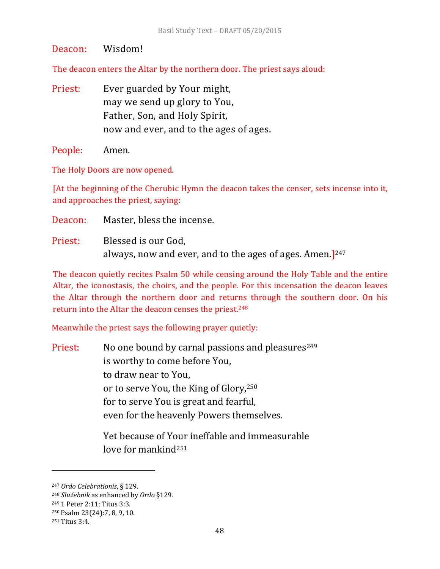Deacon: Wisdom!

The deacon enters the Altar by the northern door. The priest says aloud:

Priest: Ever guarded by Your might, may we send up glory to You, Father, Son, and Holy Spirit, now and ever, and to the ages of ages.

People: Amen.

The Holy Doors are now opened.

[At the beginning of the Cherubic Hymn the deacon takes the censer, sets incense into it, and approaches the priest, saying:

Deacon: Master, bless the incense. Priest: Blessed is our God, always, now and ever, and to the ages of ages. Amen.<sup>[247</sup>]

The deacon quietly recites Psalm 50 while censing around the Holy Table and the entire Altar, the iconostasis, the choirs, and the people. For this incensation the deacon leaves the Altar through the northern door and returns through the southern door. On his return into the Altar the deacon censes the priest.<sup>248</sup>

Meanwhile the priest says the following prayer quietly:

Priest: No one bound by carnal passions and pleasures<sup>249</sup> is worthy to come before You, to draw near to You, or to serve You, the King of Glory, $250$ for to serve You is great and fearful, even for the heavenly Powers themselves.

> Yet because of Your ineffable and immeasurable love for mankind<sup>251</sup>

<sup>247</sup> *Ordo Celebrationis*, § 129. 

<sup>&</sup>lt;sup>248</sup> *Služebnik* as enhanced by *Ordo* §129.

<sup>&</sup>lt;sup>249</sup> 1 Peter 2:11; Titus 3:3.

<sup>250</sup> Psalm 23(24):7, 8, 9, 10. 

<sup>&</sup>lt;sup>251</sup> Titus 3:4.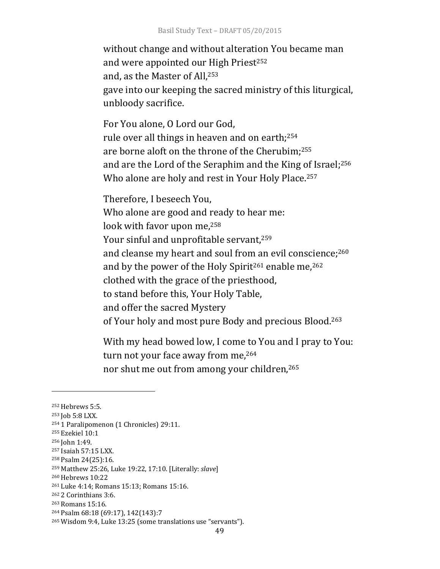without change and without alteration You became man and were appointed our High Priest<sup>252</sup> and, as the Master of All,<sup>253</sup> gave into our keeping the sacred ministry of this liturgical, unbloody sacrifice.

For You alone, O Lord our God, rule over all things in heaven and on earth; $254$ are borne aloft on the throne of the Cherubim;<sup>255</sup> and are the Lord of the Seraphim and the King of Israel; $256$ Who alone are holy and rest in Your Holy Place.<sup>257</sup>

Therefore, I beseech You, Who alone are good and ready to hear me: look with favor upon me, $258$ Your sinful and unprofitable servant,<sup>259</sup> and cleanse my heart and soul from an evil conscience;<sup>260</sup> and by the power of the Holy Spirit<sup>261</sup> enable me,<sup>262</sup> clothed with the grace of the priesthood, to stand before this, Your Holy Table, and offer the sacred Mystery of Your holy and most pure Body and precious Blood.<sup>263</sup>

With my head bowed low, I come to You and I pray to You: turn not your face away from me, 264 nor shut me out from among your children,<sup>265</sup>

- 263 Romans 15:16.
- <sup>264</sup> Psalm 68:18 (69:17), 142(143):7

 $252$  Hebrews 5:5.

<sup>&</sup>lt;sup>253</sup> Job 5:8 LXX.

<sup>&</sup>lt;sup>254</sup> 1 Paralipomenon (1 Chronicles) 29:11.

<sup>&</sup>lt;sup>255</sup> Ezekiel 10:1

<sup>&</sup>lt;sup>256</sup> John 1:49.

<sup>&</sup>lt;sup>257</sup> Isaiah 57:15 LXX.

<sup>258</sup> Psalm 24(25):16. 

<sup>259</sup> Matthew 25:26, Luke 19:22, 17:10. [Literally: *slave*]

<sup>&</sup>lt;sup>260</sup> Hebrews 10:22

<sup>261</sup> Luke 4:14; Romans 15:13; Romans 15:16.

 $262$  2 Corinthians  $3:6$ .

<sup>&</sup>lt;sup>265</sup> Wisdom 9:4, Luke 13:25 (some translations use "servants").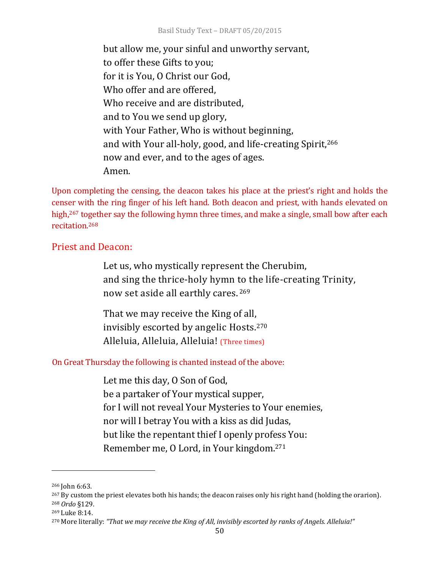but allow me, your sinful and unworthy servant, to offer these Gifts to you; for it is You, O Christ our God, Who offer and are offered, Who receive and are distributed, and to You we send up glory, with Your Father, Who is without beginning, and with Your all-holy, good, and life-creating Spirit,<sup>266</sup> now and ever, and to the ages of ages. Amen. 

Upon completing the censing, the deacon takes his place at the priest's right and holds the censer with the ring finger of his left hand. Both deacon and priest, with hands elevated on high,<sup>267</sup> together say the following hymn three times, and make a single, small bow after each recitation.268

## Priest and Deacon:

Let us, who mystically represent the Cherubim, and sing the thrice-holy hymn to the life-creating Trinity, now set aside all earthly cares.<sup>269</sup>

That we may receive the King of all. invisibly escorted by angelic Hosts.<sup>270</sup> Alleluia, Alleluia, Alleluia! (Three times)

On Great Thursday the following is chanted instead of the above:

Let me this day, O Son of God, be a partaker of Your mystical supper, for I will not reveal Your Mysteries to Your enemies, nor will I betray You with a kiss as did Judas, but like the repentant thief I openly profess You: Remember me, O Lord, in Your kingdom.<sup>271</sup>

<sup>&</sup>lt;sup>266</sup> John 6:63.

 $^{267}$  By custom the priest elevates both his hands; the deacon raises only his right hand (holding the orarion).

<sup>268</sup> *Ordo* §129. 

<sup>269</sup> Luke 8:14. 

<sup>270</sup> More literally: *"That we may receive the King of All, invisibly escorted by ranks of Angels. Alleluia!"*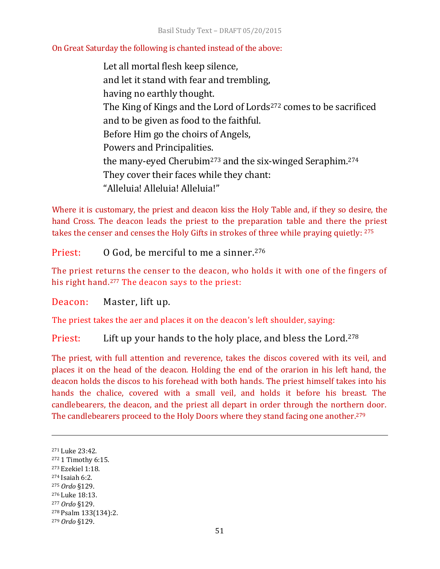#### On Great Saturday the following is chanted instead of the above:

Let all mortal flesh keep silence, and let it stand with fear and trembling. having no earthly thought. The King of Kings and the Lord of Lords<sup>272</sup> comes to be sacrificed and to be given as food to the faithful. Before Him go the choirs of Angels, Powers and Principalities. the many-eyed Cherubim<sup>273</sup> and the six-winged Seraphim.<sup>274</sup> They cover their faces while they chant: "Alleluia! Alleluia! Alleluia!"

Where it is customary, the priest and deacon kiss the Holy Table and, if they so desire, the hand Cross. The deacon leads the priest to the preparation table and there the priest takes the censer and censes the Holy Gifts in strokes of three while praying quietly: <sup>275</sup>

### Priest:  $\qquad 0 \text{ God, be merciful to me a sinner.}$ <sup>276</sup>

The priest returns the censer to the deacon, who holds it with one of the fingers of his right hand. $277$  The deacon says to the priest:

Deacon: Master, lift up.

The priest takes the aer and places it on the deacon's left shoulder, saying:

Priest: Lift up your hands to the holy place, and bless the Lord.<sup>278</sup>

The priest, with full attention and reverence, takes the discos covered with its veil, and places it on the head of the deacon. Holding the end of the orarion in his left hand, the deacon holds the discos to his forehead with both hands. The priest himself takes into his hands the chalice, covered with a small veil, and holds it before his breast. The candlebearers, the deacon, and the priest all depart in order through the northern door. The candlebearers proceed to the Holy Doors where they stand facing one another.<sup>279</sup>

<u> 1989 - Andrea Santa Andrea Andrea Andrea Andrea Andrea Andrea Andrea Andrea Andrea Andrea Andrea Andrea Andr</u>

<sup>&</sup>lt;sup>271</sup> Luke 23:42.

<sup>&</sup>lt;sup>272</sup> 1 Timothy 6:15.

<sup>273</sup> Ezekiel 1:18. 

<sup>274</sup> Isaiah 6:2.

<sup>275</sup> *Ordo* §129. 

<sup>&</sup>lt;sup>276</sup> Luke 18:13.

<sup>277</sup> *Ordo* §129. 

<sup>278</sup> Psalm 133(134):2. 

<sup>279</sup> *Ordo* §129.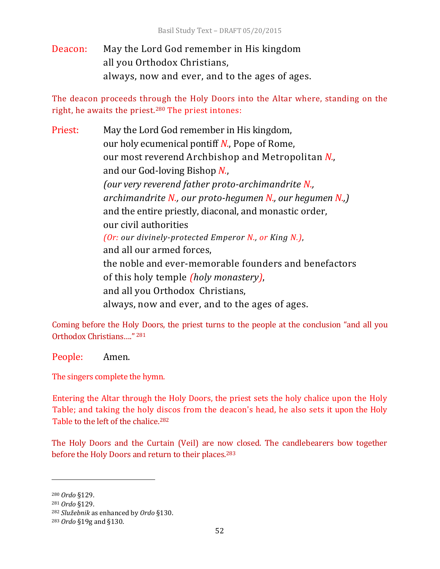Deacon: May the Lord God remember in His kingdom all you Orthodox Christians, always, now and ever, and to the ages of ages.

The deacon proceeds through the Holy Doors into the Altar where, standing on the right, he awaits the priest. $280$  The priest intones:

Priest: May the Lord God remember in His kingdom, our holy ecumenical pontiff *N.*, Pope of Rome, our most reverend Archbishop and Metropolitan *N.*, and our God-loving Bishop *N.*, *(our very reverend father proto‐archimandrite N., archimandrite N., our proto‐hegumen N., our hegumen N.,)* and the entire priestly, diaconal, and monastic order, our civil authorities *(Or: our divinely‐protected Emperor N., or King N.)*, and all our armed forces, the noble and ever-memorable founders and benefactors of this holy temple *(holy monastery)*, and all you Orthodox Christians, always, now and ever, and to the ages of ages.

Coming before the Holy Doors, the priest turns to the people at the conclusion "and all you Orthodox Christians...."<sup>281</sup>

People: Amen.

The singers complete the hymn.

Entering the Altar through the Holy Doors, the priest sets the holy chalice upon the Holy Table; and taking the holy discos from the deacon's head, he also sets it upon the Holy Table to the left of the chalice.<sup>282</sup>

The Holy Doors and the Curtain (Veil) are now closed. The candlebearers bow together before the Holy Doors and return to their places.<sup>283</sup>

<sup>280</sup> *Ordo* §129. 

<sup>281</sup> *Ordo* §129. 

<sup>&</sup>lt;sup>282</sup> *Služebnik* as enhanced by *Ordo* §130.

<sup>&</sup>lt;sup>283</sup> *Ordo* §19g and §130.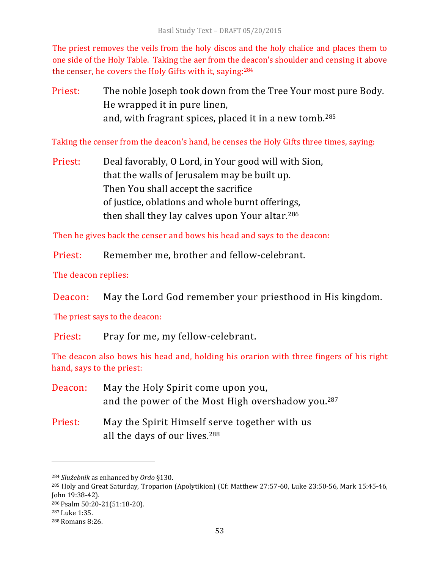The priest removes the veils from the holy discos and the holy chalice and places them to one side of the Holy Table. Taking the aer from the deacon's shoulder and censing it above the censer, he covers the Holy Gifts with it, saying: $284$ 

Priest: The noble Joseph took down from the Tree Your most pure Body. He wrapped it in pure linen, and, with fragrant spices, placed it in a new tomb.<sup>285</sup>

Taking the censer from the deacon's hand, he censes the Holy Gifts three times, saying:

Priest: Deal favorably, O Lord, in Your good will with Sion, that the walls of Jerusalem may be built up. Then You shall accept the sacrifice of justice, oblations and whole burnt offerings, then shall they lay calves upon Your altar.<sup>286</sup>

Then he gives back the censer and bows his head and says to the deacon:

Priest: Remember me, brother and fellow-celebrant.

The deacon replies:

Deacon: May the Lord God remember your priesthood in His kingdom.

The priest says to the deacon:

Priest: Pray for me, my fellow-celebrant.

The deacon also bows his head and, holding his orarion with three fingers of his right hand, says to the priest:

- Deacon: May the Holy Spirit come upon you, and the power of the Most High overshadow you.<sup>287</sup>
- Priest: May the Spirit Himself serve together with us all the days of our lives.<sup>288</sup>

<u> 1989 - Johann Stein, fransk politik (d. 1989)</u>

<sup>285</sup> Holy and Great Saturday, Troparion (Apolytikion) (Cf: Matthew 27:57-60, Luke 23:50-56, Mark 15:45-46, John 19:38‐42). 

<sup>&</sup>lt;sup>284</sup> *Služebnik* as enhanced by *Ordo* §130.

<sup>286</sup> Psalm 50:20‐21(51:18‐20). 

<sup>&</sup>lt;sup>287</sup> Luke 1:35.

<sup>288</sup> Romans 8:26.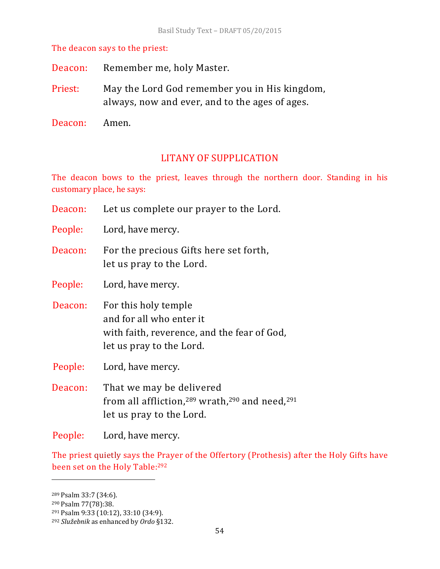The deacon says to the priest:

|         | Deacon: Remember me, holy Master.                                                               |
|---------|-------------------------------------------------------------------------------------------------|
| Priest: | May the Lord God remember you in His kingdom,<br>always, now and ever, and to the ages of ages. |

Deacon: Amen.

# LITANY OF SUPPLICATION

The deacon bows to the priest, leaves through the northern door. Standing in his customary place, he says:

| Deacon: | Let us complete our prayer to the Lord.                                                                                     |
|---------|-----------------------------------------------------------------------------------------------------------------------------|
| People: | Lord, have mercy.                                                                                                           |
| Deacon: | For the precious Gifts here set forth,<br>let us pray to the Lord.                                                          |
| People: | Lord, have mercy.                                                                                                           |
| Deacon: | For this holy temple<br>and for all who enter it<br>with faith, reverence, and the fear of God,<br>let us pray to the Lord. |
| People: | Lord, have mercy.                                                                                                           |
| Deacon: | That we may be delivered<br>from all affliction, $289$ wrath, $290$ and need, $291$<br>let us pray to the Lord.             |
| People: | Lord, have mercy.                                                                                                           |

The priest quietly says the Prayer of the Offertory (Prothesis) after the Holy Gifts have been set on the Holy Table:<sup>292</sup>

290 Psalm 77(78):38. 

<sup>&</sup>lt;sup>289</sup> Psalm 33:7 (34:6).

 $291$  Psalm 9:33 (10:12), 33:10 (34:9).

<sup>&</sup>lt;sup>292</sup> *Služebnik* as enhanced by *Ordo* §132.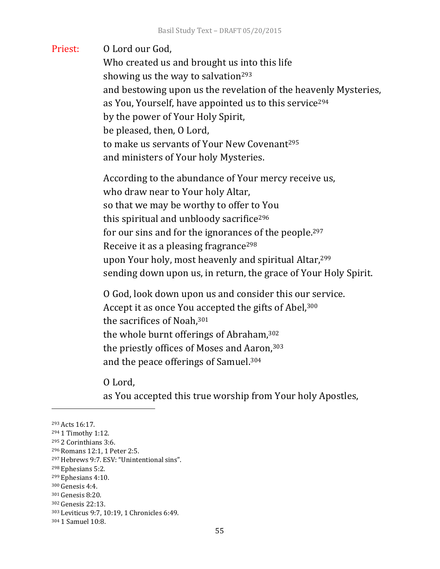Priest: 0 Lord our God, Who created us and brought us into this life showing us the way to salvation $293$ and bestowing upon us the revelation of the heavenly Mysteries, as You, Yourself, have appointed us to this service<sup>294</sup> by the power of Your Holy Spirit, be pleased, then, O Lord, to make us servants of Your New Covenant<sup>295</sup> and ministers of Your holy Mysteries.

> According to the abundance of Your mercy receive us, who draw near to Your holy Altar, so that we may be worthy to offer to You this spiritual and unbloody sacrifice<sup>296</sup> for our sins and for the ignorances of the people.<sup>297</sup> Receive it as a pleasing fragrance<sup>298</sup> upon Your holy, most heavenly and spiritual Altar,<sup>299</sup> sending down upon us, in return, the grace of Your Holy Spirit.

O God, look down upon us and consider this our service. Accept it as once You accepted the gifts of Abel,<sup>300</sup> the sacrifices of Noah,<sup>301</sup> the whole burnt offerings of Abraham,<sup>302</sup> the priestly offices of Moses and Aaron,<sup>303</sup> and the peace offerings of Samuel.<sup>304</sup>

O Lord, 

as You accepted this true worship from Your holy Apostles,

 

302 Genesis 22:13.

<sup>293</sup> Acts 16:17.

<sup>&</sup>lt;sup>294</sup> 1 Timothy 1:12.

<sup>&</sup>lt;sup>295</sup> 2 Corinthians 3:6.

<sup>&</sup>lt;sup>296</sup> Romans 12:1, 1 Peter 2:5.

<sup>&</sup>lt;sup>297</sup> Hebrews 9:7. ESV: "Unintentional sins".

<sup>&</sup>lt;sup>298</sup> Ephesians 5:2.

 $299$  Ephesians 4:10.

<sup>&</sup>lt;sup>300</sup> Genesis 4:4.

<sup>&</sup>lt;sup>301</sup> Genesis 8:20.

<sup>303</sup> Leviticus 9:7, 10:19, 1 Chronicles 6:49.

<sup>&</sup>lt;sup>304</sup> 1 Samuel 10:8.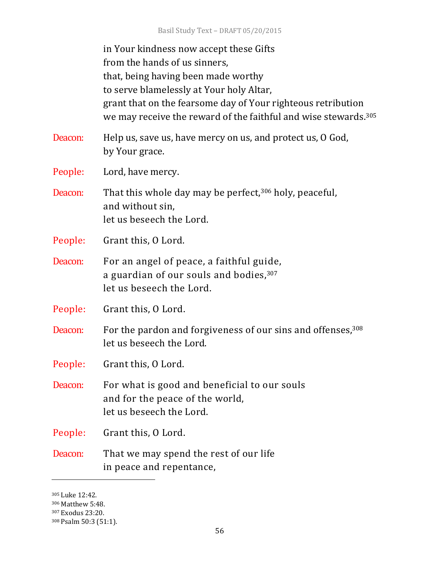|         | in Your kindness now accept these Gifts<br>from the hands of us sinners,<br>that, being having been made worthy<br>to serve blamelessly at Your holy Altar,<br>grant that on the fearsome day of Your righteous retribution<br>we may receive the reward of the faithful and wise stewards. <sup>305</sup> |
|---------|------------------------------------------------------------------------------------------------------------------------------------------------------------------------------------------------------------------------------------------------------------------------------------------------------------|
| Deacon: | Help us, save us, have mercy on us, and protect us, O God,<br>by Your grace.                                                                                                                                                                                                                               |
| People: | Lord, have mercy.                                                                                                                                                                                                                                                                                          |
| Deacon: | That this whole day may be perfect, <sup>306</sup> holy, peaceful,<br>and without sin,<br>let us beseech the Lord.                                                                                                                                                                                         |
| People: | Grant this, O Lord.                                                                                                                                                                                                                                                                                        |
| Deacon: | For an angel of peace, a faithful guide,<br>a guardian of our souls and bodies, 307<br>let us beseech the Lord.                                                                                                                                                                                            |
| People: | Grant this, O Lord.                                                                                                                                                                                                                                                                                        |
| Deacon: | For the pardon and forgiveness of our sins and offenses, 308<br>let us beseech the Lord.                                                                                                                                                                                                                   |
|         | People: Grant this, O Lord.                                                                                                                                                                                                                                                                                |
| Deacon: | For what is good and beneficial to our souls<br>and for the peace of the world,<br>let us beseech the Lord.                                                                                                                                                                                                |
| People: | Grant this, O Lord.                                                                                                                                                                                                                                                                                        |
| Deacon: | That we may spend the rest of our life<br>in peace and repentance,                                                                                                                                                                                                                                         |

<sup>&</sup>lt;sup>305</sup> Luke 12:42.

<sup>&</sup>lt;sup>306</sup> Matthew 5:48.

<sup>&</sup>lt;sup>307</sup> Exodus 23:20.

<sup>308</sup> Psalm 50:3 (51:1).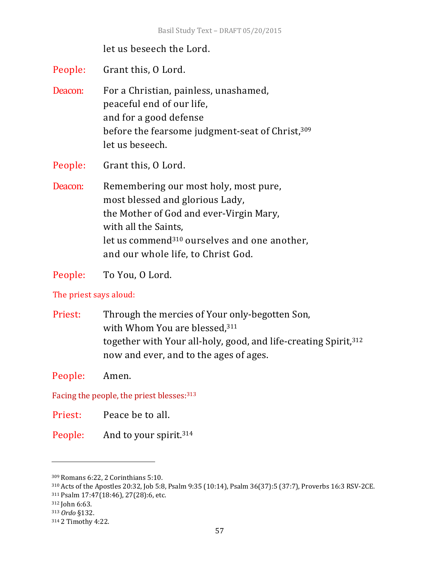let us beseech the Lord.

People: Grant this, O Lord.

Deacon: For a Christian, painless, unashamed, peaceful end of our life, and for a good defense before the fearsome judgment-seat of Christ,<sup>309</sup> let us beseech.

People: Grant this, O Lord.

Deacon: Remembering our most holy, most pure, most blessed and glorious Lady, the Mother of God and ever-Virgin Mary, with all the Saints, let us commend<sup>310</sup> ourselves and one another, and our whole life, to Christ God.

People: To You, O Lord.

The priest says aloud:

Priest: Through the mercies of Your only-begotten Son, with Whom You are blessed, 311 together with Your all-holy, good, and life-creating Spirit, 312 now and ever, and to the ages of ages.

People: Amen.

Facing the people, the priest blesses: 313

- Priest: Peace be to all.
- People: And to your spirit.  $314$

<sup>309</sup> Romans 6:22, 2 Corinthians 5:10.

<sup>310</sup> Acts of the Apostles 20:32, Job 5:8, Psalm 9:35 (10:14), Psalm 36(37):5 (37:7), Proverbs 16:3 RSV-2CE.

<sup>311</sup> Psalm 17:47(18:46), 27(28):6, etc.

<sup>312</sup> John 6:63.

<sup>313</sup> *Ordo* §132. 

<sup>314 2</sup> Timothy 4:22.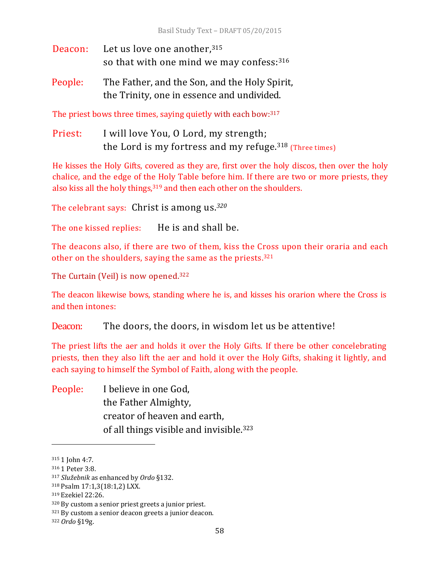- Deacon: Let us love one another, 315 so that with one mind we may confess:  $316$
- People: The Father, and the Son, and the Holy Spirit, the Trinity, one in essence and undivided.

The priest bows three times, saying quietly with each bow:  $317$ 

Priest: I will love You, O Lord, my strength; the Lord is my fortress and my refuge.<sup>318</sup> (Three times)

He kisses the Holy Gifts, covered as they are, first over the holy discos, then over the holy chalice, and the edge of the Holy Table before him. If there are two or more priests, they also kiss all the holy things,  $319$  and then each other on the shoulders.

The celebrant says: Christ is among us.<sup>320</sup>

The one kissed replies: He is and shall be.

The deacons also, if there are two of them, kiss the Cross upon their oraria and each other on the shoulders, saying the same as the priests. $321$ 

The Curtain (Veil) is now opened.<sup>322</sup>

The deacon likewise bows, standing where he is, and kisses his orarion where the Cross is and then intones:

Deacon: The doors, the doors, in wisdom let us be attentive!

The priest lifts the aer and holds it over the Holy Gifts. If there be other concelebrating priests, then they also lift the aer and hold it over the Holy Gifts, shaking it lightly, and each saying to himself the Symbol of Faith, along with the people.

People: I believe in one God, the Father Almighty, creator of heaven and earth, of all things visible and invisible.<sup>323</sup>

<sup>315 1</sup> John 4:7.

<sup>316 1</sup> Peter 3:8.

<sup>317</sup> *Služebnik* as enhanced by *Ordo* §132. 

<sup>318</sup> Psalm 17:1,3(18:1,2) LXX.

<sup>319</sup> Ezekiel 22:26. 

 $320$  By custom a senior priest greets a junior priest.

 $321$  By custom a senior deacon greets a junior deacon.

<sup>322</sup> *Ordo* §19g.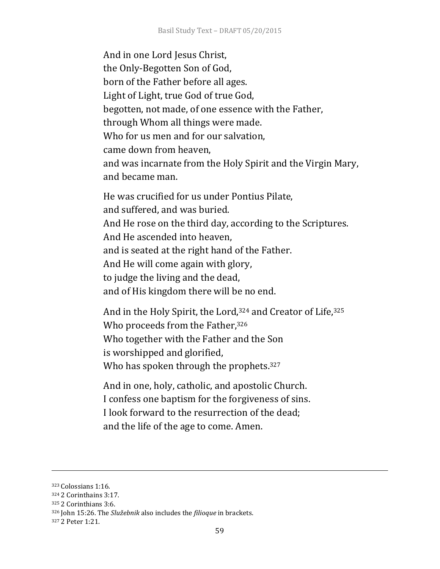And in one Lord Jesus Christ, the Only-Begotten Son of God, born of the Father before all ages. Light of Light, true God of true God, begotten, not made, of one essence with the Father, through Whom all things were made. Who for us men and for our salvation. came down from heaven, and was incarnate from the Holy Spirit and the Virgin Mary, and became man.

He was crucified for us under Pontius Pilate, and suffered, and was buried. And He rose on the third day, according to the Scriptures. And He ascended into heaven, and is seated at the right hand of the Father. And He will come again with glory, to judge the living and the dead, and of His kingdom there will be no end.

And in the Holy Spirit, the Lord,<sup>324</sup> and Creator of Life,<sup>325</sup> Who proceeds from the Father,  $326$ Who together with the Father and the Son is worshipped and glorified. Who has spoken through the prophets.<sup>327</sup>

And in one, holy, catholic, and apostolic Church. I confess one baptism for the forgiveness of sins. I look forward to the resurrection of the dead: and the life of the age to come. Amen.

<u> 1989 - Andrea Santa Andrea Andrea Andrea Andrea Andrea Andrea Andrea Andrea Andrea Andrea Andrea Andrea Andr</u>

<sup>323</sup> Colossians 1:16.

<sup>&</sup>lt;sup>324</sup> 2 Corinthains 3:17.

 $325$  2 Corinthians 3:6.

<sup>&</sup>lt;sup>326</sup> John 15:26. The *Služebnik* also includes the *filioque* in brackets.

<sup>327 2</sup> Peter 1:21.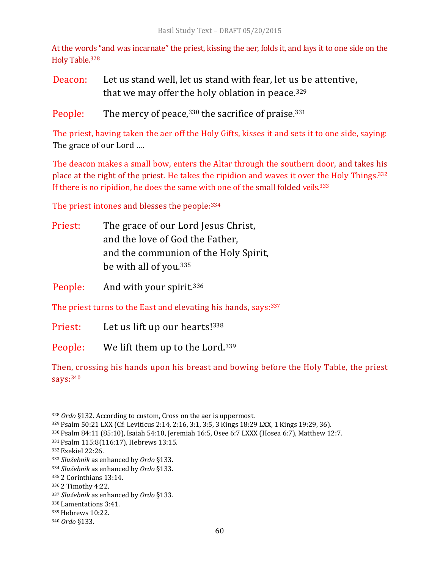At the words "and was incarnate" the priest, kissing the aer, folds it, and lays it to one side on the Holy Table.<sup>328</sup>

- Deacon: Let us stand well, let us stand with fear, let us be attentive, that we may offer the holy oblation in peace.  $329$
- People: The mercy of peace,  $330$  the sacrifice of praise.  $331$

The priest, having taken the aer off the Holy Gifts, kisses it and sets it to one side, saying: The grace of our Lord ....

The deacon makes a small bow, enters the Altar through the southern door, and takes his place at the right of the priest. He takes the ripidion and waves it over the Holy Things.<sup>332</sup> If there is no ripidion, he does the same with one of the small folded veils.<sup>333</sup>

The priest intones and blesses the people: $334$ 

Priest: The grace of our Lord Jesus Christ, and the love of God the Father, and the communion of the Holy Spirit, be with all of you.<sup>335</sup>

People: And with your spirit.<sup>336</sup>

The priest turns to the East and elevating his hands, says:  $337$ 

- Priest: Let us lift up our hearts!<sup>338</sup>
- People: We lift them up to the Lord.<sup>339</sup>

Then, crossing his hands upon his breast and bowing before the Holy Table, the priest says:340

<sup>&</sup>lt;sup>328</sup> *Ordo* §132. According to custom, Cross on the aer is uppermost.

 $329$  Psalm 50:21 LXX (Cf: Leviticus 2:14, 2:16, 3:1, 3:5, 3 Kings 18:29 LXX, 1 Kings 19:29, 36).

<sup>330</sup> Psalm 84:11 (85:10), Isaiah 54:10, Jeremiah 16:5, Osee 6:7 LXXX (Hosea 6:7), Matthew 12:7.

<sup>331</sup> Psalm 115:8(116:17), Hebrews 13:15.

<sup>332</sup> Ezekiel 22:26.

<sup>333</sup> *Služebnik* as enhanced by *Ordo* §133. 

<sup>334</sup> *Služebnik* as enhanced by *Ordo* §133. 

<sup>335 2</sup> Corinthians 13:14.

<sup>336 2</sup> Timothy 4:22.

<sup>337</sup> *Služebnik* as enhanced by *Ordo* §133. 

<sup>&</sup>lt;sup>338</sup> Lamentations 3:41.

<sup>339</sup> Hebrews 10:22.

<sup>340</sup> *Ordo* §133.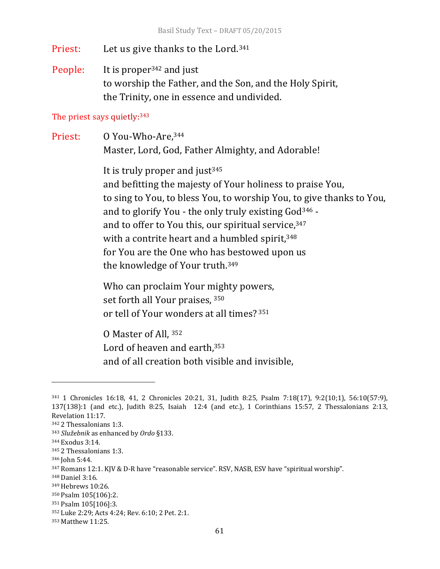Priest: Let us give thanks to the Lord.<sup>341</sup>

People: It is proper  $342$  and just to worship the Father, and the Son, and the Holy Spirit, the Trinity, one in essence and undivided.

#### The priest says quietly: $343$

Priest: O You-Who-Are, 344 Master, Lord, God, Father Almighty, and Adorable!

> It is truly proper and just  $345$ and befitting the majesty of Your holiness to praise You, to sing to You, to bless You, to worship You, to give thanks to You, and to glorify You - the only truly existing  $God^{346}$  and to offer to You this, our spiritual service,  $347$ with a contrite heart and a humbled spirit,  $348$ for You are the One who has bestowed upon us the knowledge of Your truth.<sup>349</sup>

Who can proclaim Your mighty powers, set forth all Your praises, 350 or tell of Your wonders at all times? 351

O Master of All, 352 Lord of heaven and earth,<sup>353</sup> and of all creation both visible and invisible,

 $341$  1 Chronicles 16:18, 41, 2 Chronicles 20:21, 31, Judith 8:25, Psalm 7:18(17), 9:2(10;1), 56:10(57:9), 137(138):1 (and etc.), Judith 8:25, Isaiah 12:4 (and etc.), 1 Corinthians 15:57, 2 Thessalonians 2:13, Revelation 11:17.

<sup>&</sup>lt;sup>342</sup> 2 Thessalonians 1:3.

<sup>343</sup> *Služebnik* as enhanced by *Ordo* §133. 

<sup>344</sup> Exodus 3:14.

<sup>&</sup>lt;sup>345</sup> 2 Thessalonians 1:3.

<sup>346</sup> John 5:44.

 $347$  Romans 12:1. KJV & D-R have "reasonable service". RSV, NASB, ESV have "spiritual worship".

<sup>348</sup> Daniel 3:16.

<sup>349</sup> Hebrews 10:26.

<sup>350</sup> Psalm 105(106):2. 

<sup>351</sup> Psalm 105[106]:3. 

<sup>352</sup> Luke 2:29; Acts 4:24; Rev. 6:10; 2 Pet. 2:1.

<sup>353</sup> Matthew 11:25.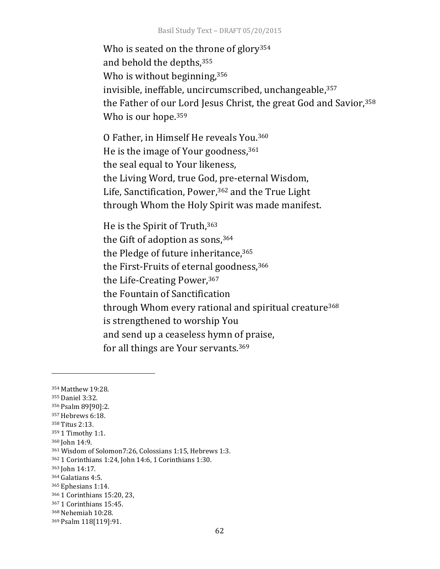Who is seated on the throne of glory<sup>354</sup> and behold the depths, 355 Who is without beginning,  $356$ invisible, ineffable, uncircumscribed, unchangeable, 357 the Father of our Lord Jesus Christ, the great God and Savior, 358 Who is our hope.<sup>359</sup>

O Father, in Himself He reveals You.<sup>360</sup> He is the image of Your goodness,  $361$ the seal equal to Your likeness, the Living Word, true God, pre-eternal Wisdom, Life, Sanctification, Power,<sup>362</sup> and the True Light through Whom the Holy Spirit was made manifest.

He is the Spirit of Truth, 363 the Gift of adoption as sons,  $364$ the Pledge of future inheritance, 365 the First-Fruits of eternal goodness, 366 the Life-Creating Power, 367 the Fountain of Sanctification through Whom every rational and spiritual creature<sup>368</sup> is strengthened to worship You and send up a ceaseless hymn of praise, for all things are Your servants.<sup>369</sup>

- 355 Daniel 3:32.
- 356 Psalm 89[90]:2.
- 357 Hebrews 6:18.
- 358 Titus 2:13.
- 359 1 Timothy 1:1.
- 360 John 14:9.

<sup>354</sup> Matthew 19:28. 

<sup>361</sup> Wisdom of Solomon7:26, Colossians 1:15, Hebrews 1:3.

<sup>362 1</sup> Corinthians 1:24, John 14:6, 1 Corinthians 1:30.

<sup>363</sup> John 14:17.

<sup>&</sup>lt;sup>364</sup> Galatians 4:5.

<sup>&</sup>lt;sup>365</sup> Ephesians 1:14.

<sup>366 1</sup> Corinthians 15:20, 23,

<sup>367 1</sup> Corinthians 15:45.

<sup>368</sup> Nehemiah 10:28. 

<sup>369</sup> Psalm 118[119]:91.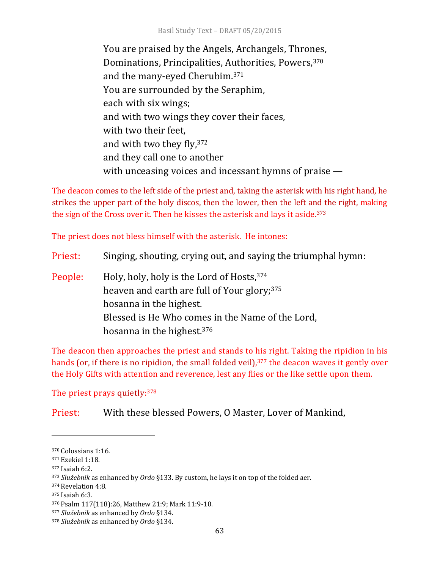You are praised by the Angels, Archangels, Thrones, Dominations, Principalities, Authorities, Powers, 370 and the many-eyed Cherubim.<sup>371</sup> You are surrounded by the Seraphim, each with six wings; and with two wings they cover their faces, with two their feet, and with two they fly,  $372$ and they call one to another with unceasing voices and incessant hymns of praise  $-$ 

The deacon comes to the left side of the priest and, taking the asterisk with his right hand, he strikes the upper part of the holy discos, then the lower, then the left and the right, making the sign of the Cross over it. Then he kisses the asterisk and lays it aside.<sup>373</sup>

The priest does not bless himself with the asterisk. He intones:

Priest: Singing, shouting, crying out, and saying the triumphal hymn:

People: Holy, holy, holy is the Lord of Hosts, 374 heaven and earth are full of Your glory;<sup>375</sup> hosanna in the highest. Blessed is He Who comes in the Name of the Lord, hosanna in the highest.<sup>376</sup>

The deacon then approaches the priest and stands to his right. Taking the ripidion in his hands (or, if there is no ripidion, the small folded veil),<sup>377</sup> the deacon waves it gently over the Holy Gifts with attention and reverence, lest any flies or the like settle upon them.

The priest prays quietly: $378$ 

 

Priest: With these blessed Powers, O Master, Lover of Mankind,

<sup>&</sup>lt;sup>370</sup> Colossians 1:16.

<sup>&</sup>lt;sup>371</sup> Ezekiel 1:18.

<sup>372</sup> Isaiah 6:2. 

<sup>&</sup>lt;sup>373</sup> *Služebnik* as enhanced by *Ordo* §133. By custom, he lays it on top of the folded aer.

<sup>&</sup>lt;sup>374</sup> Revelation 4:8.

<sup>375</sup> Isaiah 6:3.

<sup>376</sup> Psalm 117(118):26, Matthew 21:9; Mark 11:9-10.

<sup>377</sup> *Služebnik* as enhanced by *Ordo* §134. 

<sup>378</sup> *Služebnik* as enhanced by *Ordo* §134.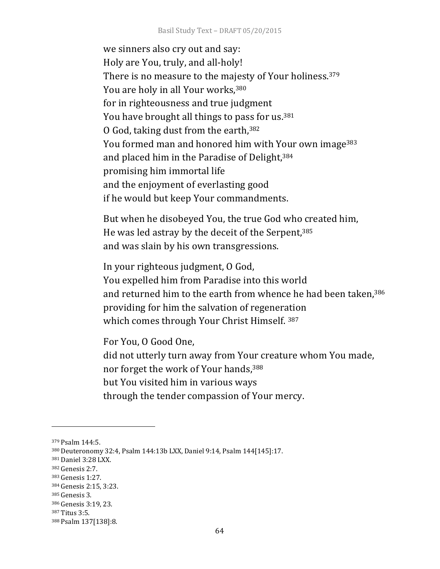we sinners also cry out and say: Holy are You, truly, and all-holy! There is no measure to the majesty of Your holiness.<sup>379</sup> You are holy in all Your works, 380 for in righteousness and true judgment You have brought all things to pass for us.  $381$ O God, taking dust from the earth,<sup>382</sup> You formed man and honored him with Your own image<sup>383</sup> and placed him in the Paradise of Delight,<sup>384</sup> promising him immortal life and the enjoyment of everlasting good if he would but keep Your commandments.

But when he disobeyed You, the true God who created him, He was led astray by the deceit of the Serpent, 385 and was slain by his own transgressions.

In your righteous judgment, O God, You expelled him from Paradise into this world and returned him to the earth from whence he had been taken,<sup>386</sup> providing for him the salvation of regeneration which comes through Your Christ Himself. 387

For You, O Good One,

did not utterly turn away from Your creature whom You made, nor forget the work of Your hands,<sup>388</sup> but You visited him in various ways through the tender compassion of Your mercy.

<sup>379</sup> Psalm 144:5.

<sup>380</sup> Deuteronomy 32:4, Psalm 144:13b LXX, Daniel 9:14, Psalm 144[145]:17.

<sup>&</sup>lt;sup>381</sup> Daniel 3:28 LXX.

<sup>382</sup> Genesis 2:7. 

<sup>383</sup> Genesis 1:27.

<sup>384</sup> Genesis 2:15, 3:23.

<sup>&</sup>lt;sup>385</sup> Genesis 3.

<sup>386</sup> Genesis 3:19, 23.

<sup>387</sup> Titus 3:5.

<sup>388</sup> Psalm 137[138]:8.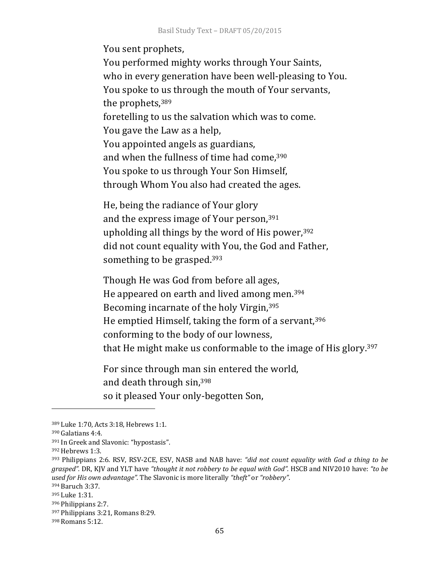You sent prophets,

You performed mighty works through Your Saints, who in every generation have been well-pleasing to You. You spoke to us through the mouth of Your servants, the prophets, 389 foretelling to us the salvation which was to come. You gave the Law as a help, You appointed angels as guardians, and when the fullness of time had come,<sup>390</sup> You spoke to us through Your Son Himself, through Whom You also had created the ages.

He, being the radiance of Your glory and the express image of Your person, $391$ upholding all things by the word of His power,  $392$ did not count equality with You, the God and Father, something to be grasped.<sup>393</sup>

Though He was God from before all ages. He appeared on earth and lived among men.<sup>394</sup> Becoming incarnate of the holy Virgin,<sup>395</sup> He emptied Himself, taking the form of a servant, $396$ conforming to the body of our lowness, that He might make us conformable to the image of His glory.<sup>397</sup>

For since through man sin entered the world, and death through sin, 398 so it pleased Your only-begotten Son,

 

<sup>390</sup> Galatians 4:4.

<sup>389</sup> Luke 1:70, Acts 3:18, Hebrews 1:1.

<sup>391</sup> In Greek and Slavonic: "hypostasis".

<sup>392</sup> Hebrews 1:3.

<sup>393</sup> Philippians 2:6. RSV, RSV‐2CE, ESV, NASB and NAB have: *"did not count equality with God a thing to be grasped".* DR, KJV and YLT have *"thought it not robbery to be equal with God".* HSCB and NIV2010 have: *"to be used for His own advantage".* The Slavonic is more literally *"theft"* or *"robbery"*. 

<sup>394</sup> Baruch 3:37.

<sup>395</sup> Luke 1:31.

<sup>396</sup> Philippians 2:7.

 $397$  Philippians  $3:21$ , Romans  $8:29$ .

<sup>398</sup> Romans 5:12.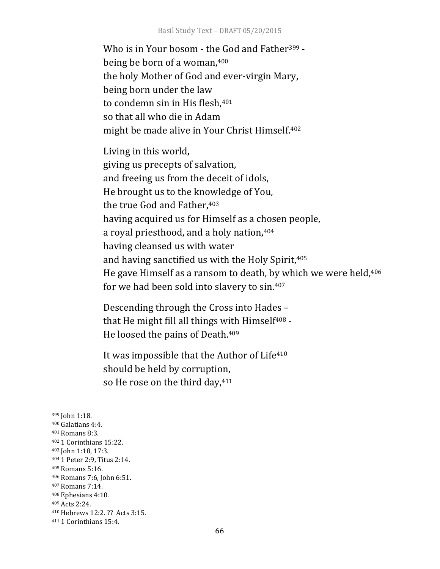Who is in Your bosom - the God and Father<sup>399</sup> being be born of a woman, 400 the holy Mother of God and ever-virgin Mary, being born under the law to condemn sin in His flesh.<sup>401</sup> so that all who die in Adam might be made alive in Your Christ Himself.<sup>402</sup>

Living in this world, giving us precepts of salvation, and freeing us from the deceit of idols, He brought us to the knowledge of You, the true God and Father, 403 having acquired us for Himself as a chosen people, a royal priesthood, and a holy nation, 404 having cleansed us with water and having sanctified us with the Holy Spirit,<sup>405</sup> He gave Himself as a ransom to death, by which we were held,<sup>406</sup> for we had been sold into slavery to sin.<sup>407</sup>

Descending through the Cross into Hades – that He might fill all things with Himself $408$  -He loosed the pains of Death.<sup>409</sup>

It was impossible that the Author of Life $410$ should be held by corruption, so He rose on the third day, $411$ 

<sup>399</sup> John 1:18.

<sup>400</sup> Galatians 4:4.

<sup>401</sup> Romans 8:3.

<sup>402 1</sup> Corinthians 15:22.

<sup>403</sup> John 1:18, 17:3.

<sup>404 1</sup> Peter 2:9, Titus 2:14.

 $405$  Romans 5:16.

<sup>406</sup> Romans 7:6, John 6:51.

<sup>407</sup> Romans 7:14. 

<sup>&</sup>lt;sup>408</sup> Ephesians 4:10.

<sup>409</sup> Acts 2:24. 

<sup>410</sup> Hebrews 12:2. ?? Acts 3:15. 

<sup>&</sup>lt;sup>411</sup> 1 Corinthians 15:4.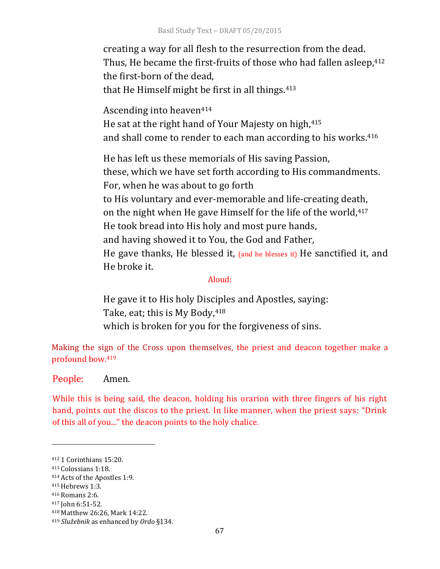creating a way for all flesh to the resurrection from the dead. Thus, He became the first-fruits of those who had fallen asleep, <sup>412</sup> the first-born of the dead.

that He Himself might be first in all things. $413$ 

Ascending into heaven<sup>414</sup> He sat at the right hand of Your Majesty on high, 415 and shall come to render to each man according to his works.<sup>416</sup>

He has left us these memorials of His saving Passion, these, which we have set forth according to His commandments. For, when he was about to go forth to His voluntary and ever-memorable and life-creating death, on the night when He gave Himself for the life of the world,<sup>417</sup> He took bread into His holy and most pure hands, and having showed it to You, the God and Father, He gave thanks, He blessed it,  $\left($ and he blesses it) He sanctified it, and He broke it.

# Aloud:

He gave it to His holy Disciples and Apostles, saying: Take, eat; this is My Body, 418 which is broken for you for the forgiveness of sins.

Making the sign of the Cross upon themselves, the priest and deacon together make a profound bow.<sup>419</sup>

# People: Amen.

While this is being said, the deacon, holding his orarion with three fingers of his right hand, points out the discos to the priest. In like manner, when the priest says: "Drink of this all of you..." the deacon points to the holy chalice.

<sup>&</sup>lt;sup>412</sup> 1 Corinthians 15:20.

<sup>&</sup>lt;sup>413</sup> Colossians 1:18.

<sup>414</sup> Acts of the Apostles 1:9.

<sup>415</sup> Hebrews 1:3.

<sup>416</sup> Romans 2:6.

<sup>417</sup> John 6:51-52.

<sup>418</sup> Matthew 26:26, Mark 14:22.

<sup>419</sup> *Služebnik* as enhanced by *Ordo* §134.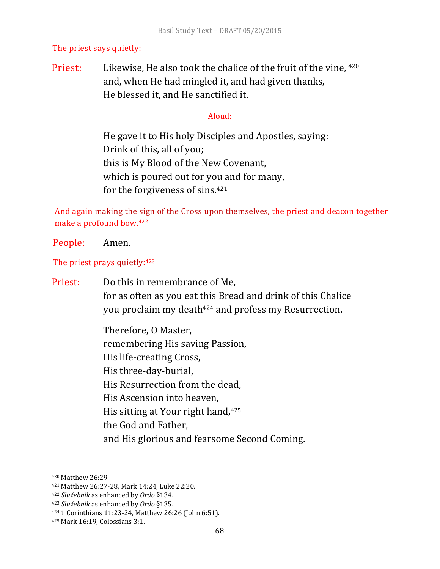The priest says quietly:

Priest: Likewise, He also took the chalice of the fruit of the vine, 420 and, when He had mingled it, and had given thanks, He blessed it, and He sanctified it.

#### Aloud:

He gave it to His holy Disciples and Apostles, saying: Drink of this, all of you; this is My Blood of the New Covenant, which is poured out for you and for many, for the forgiveness of sins. $421$ 

And again making the sign of the Cross upon themselves, the priest and deacon together make a profound bow.<sup>422</sup>

People: Amen.

The priest prays quietly: $423$ 

Priest: Do this in remembrance of Me. for as often as you eat this Bread and drink of this Chalice you proclaim my death<sup>424</sup> and profess my Resurrection. Therefore, O Master, remembering His saving Passion, His life-creating Cross, His three-day-burial, His Resurrection from the dead, His Ascension into heaven, His sitting at Your right hand, $425$ the God and Father. and His glorious and fearsome Second Coming. <u> 1989 - Johann Stein, fransk politik (d. 1989)</u>

<sup>420</sup> Matthew 26:29. 

<sup>421</sup> Matthew 26:27-28, Mark 14:24, Luke 22:20.

<sup>422</sup> *Služebnik* as enhanced by *Ordo* §134. 

<sup>&</sup>lt;sup>423</sup> *Služebnik* as enhanced by *Ordo* §135.

<sup>424 1</sup> Corinthians 11:23-24, Matthew 26:26 (John 6:51).

<sup>425</sup> Mark 16:19, Colossians 3:1.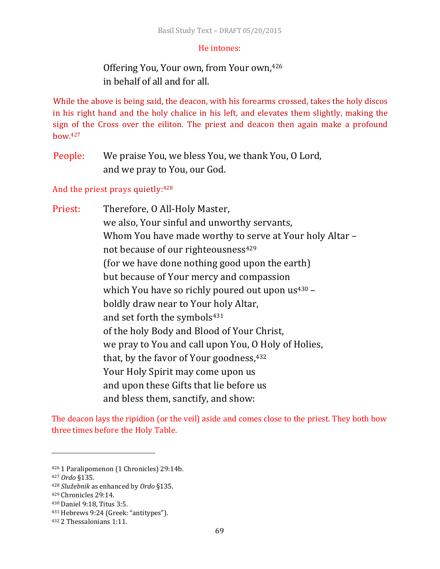#### He intones:

# Offering You, Your own, from Your own, 426 in behalf of all and for all.

While the above is being said, the deacon, with his forearms crossed, takes the holy discos in his right hand and the holy chalice in his left, and elevates them slightly, making the sign of the Cross over the eiliton. The priest and deacon then again make a profound bow.427

People: We praise You, we bless You, we thank You, O Lord, and we pray to You, our God.

And the priest prays quietly: $428$ 

Priest: Therefore, O All-Holy Master, we also, Your sinful and unworthy servants, Whom You have made worthy to serve at Your holy Altar not because of our righteousness<sup>429</sup> (for we have done nothing good upon the earth) but because of Your mercy and compassion which You have so richly poured out upon  $us^{430}$  – boldly draw near to Your holy Altar, and set forth the symbols $431$ of the holy Body and Blood of Your Christ, we pray to You and call upon You, O Holy of Holies, that, by the favor of Your goodness,  $432$ Your Holy Spirit may come upon us and upon these Gifts that lie before us and bless them, sanctify, and show:

The deacon lays the ripidion (or the veil) aside and comes close to the priest. They both bow three times before the Holy Table.

<sup>426 1</sup> Paralipomenon (1 Chronicles) 29:14b.

<sup>427</sup> *Ordo* §135. 

<sup>428</sup> *Služebnik* as enhanced by *Ordo* §135. 

<sup>429</sup> Chronicles 29:14.

<sup>430</sup> Daniel 9:18, Titus 3:5.

<sup>&</sup>lt;sup>431</sup> Hebrews 9:24 (Greek: "antitypes").

<sup>&</sup>lt;sup>432</sup> 2 Thessalonians 1:11.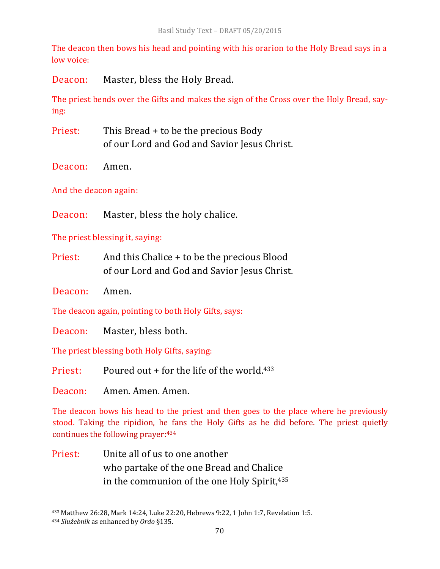The deacon then bows his head and pointing with his orarion to the Holy Bread says in a low voice:

Deacon: Master, bless the Holy Bread.

The priest bends over the Gifts and makes the sign of the Cross over the Holy Bread, saying: 

Priest: This Bread  $+$  to be the precious Body of our Lord and God and Savior Jesus Christ.

Deacon: Amen.

And the deacon again:

Deacon: Master, bless the holy chalice.

The priest blessing it, saying:

Priest: And this Chalice + to be the precious Blood of our Lord and God and Savior Jesus Christ.

Deacon: Amen.

The deacon again, pointing to both Holy Gifts, says:

Deacon: Master, bless both.

The priest blessing both Holy Gifts, saying:

Priest: Poured out + for the life of the world. $433$ 

Deacon: Amen. Amen. Amen.

The deacon bows his head to the priest and then goes to the place where he previously stood. Taking the ripidion, he fans the Holy Gifts as he did before. The priest quietly continues the following prayer: $434$ 

Priest: Unite all of us to one another who partake of the one Bread and Chalice in the communion of the one Holy Spirit.<sup>435</sup>

 $433$  Matthew 26:28, Mark 14:24, Luke 22:20, Hebrews 9:22, 1 John 1:7, Revelation 1:5.

<sup>&</sup>lt;sup>434</sup> *Služebnik* as enhanced by *Ordo* §135.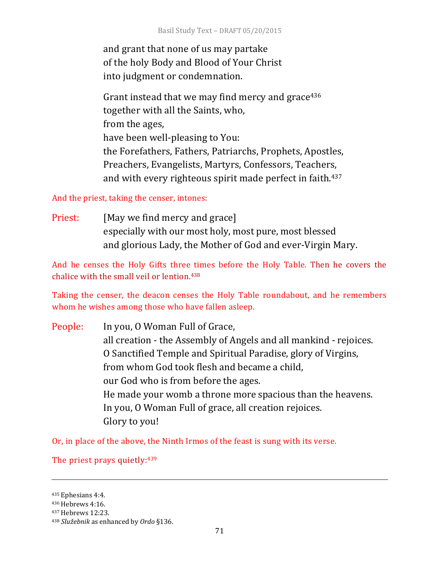and grant that none of us may partake of the holy Body and Blood of Your Christ into judgment or condemnation.

Grant instead that we may find mercy and grace  $436$ together with all the Saints, who, from the ages, have been well-pleasing to You: the Forefathers, Fathers, Patriarchs, Prophets, Apostles, Preachers, Evangelists, Martyrs, Confessors, Teachers, and with every righteous spirit made perfect in faith. $437$ 

And the priest, taking the censer, intones:

Priest: [May we find mercy and grace] especially with our most holy, most pure, most blessed and glorious Lady, the Mother of God and ever-Virgin Mary.

And he censes the Holy Gifts three times before the Holy Table. Then he covers the chalice with the small veil or lention. $438$ 

Taking the censer, the deacon censes the Holy Table roundabout, and he remembers whom he wishes among those who have fallen asleep.

People: In you, O Woman Full of Grace, all creation - the Assembly of Angels and all mankind - rejoices. O Sanctified Temple and Spiritual Paradise, glory of Virgins, from whom God took flesh and became a child, our God who is from before the ages. He made your womb a throne more spacious than the heavens. In you, O Woman Full of grace, all creation rejoices. Glory to you!

Or, in place of the above, the Ninth Irmos of the feast is sung with its verse.

The priest prays quietly: $439$ 

- 436 Hebrews 4:16.
- 437 Hebrews 12:23.

<u> 1989 - Andrea Santa Andrea Andrea Andrea Andrea Andrea Andrea Andrea Andrea Andrea Andrea Andrea Andrea Andr</u>

<sup>&</sup>lt;sup>435</sup> Ephesians 4:4.

<sup>&</sup>lt;sup>438</sup> *Služebnik* as enhanced by *Ordo* §136.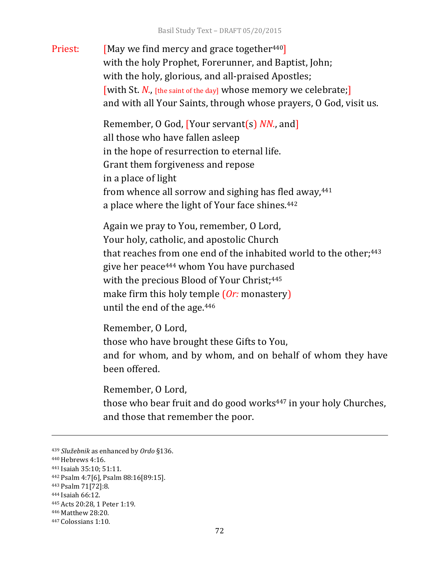Priest:  $\left[\text{May we find mercury and grace together}^{440}\right]$ with the holy Prophet, Forerunner, and Baptist, John; with the holy, glorious, and all-praised Apostles; [with St. *N.*, [the saint of the day] whose memory we celebrate;] and with all Your Saints, through whose prayers, O God, visit us.

> Remember, O God, [Your servant(s) NN., and] all those who have fallen asleep in the hope of resurrection to eternal life. Grant them forgiveness and repose in a place of light from whence all sorrow and sighing has fled away, $441$ a place where the light of Your face shines.<sup>442</sup>

Again we pray to You, remember, O Lord, Your holy, catholic, and apostolic Church that reaches from one end of the inhabited world to the other;<sup>443</sup> give her peace<sup>444</sup> whom You have purchased with the precious Blood of Your Christ;<sup>445</sup> make firm this holy temple (*Or:* monastery) until the end of the age.<sup>446</sup>

Remember, O Lord, those who have brought these Gifts to You, and for whom, and by whom, and on behalf of whom they have been offered. 

Remember, O Lord,

those who bear fruit and do good works<sup>447</sup> in your holy Churches, and those that remember the poor.

<u> 1989 - Andrea Santa Andrea Andrea Andrea Andrea Andrea Andrea Andrea Andrea Andrea Andrea Andrea Andrea Andr</u>

<sup>&</sup>lt;sup>439</sup> *Služebnik* as enhanced by *Ordo* §136.

<sup>440</sup> Hebrews 4:16.

<sup>441</sup> Isaiah 35:10; 51:11.

<sup>442</sup> Psalm 4:7[6], Psalm 88:16[89:15]. 

<sup>443</sup> Psalm 71[72]:8. 

<sup>444</sup> Isaiah 66:12.

<sup>445</sup> Acts 20:28, 1 Peter 1:19.

<sup>446</sup> Matthew 28:20. 

<sup>&</sup>lt;sup>447</sup> Colossians 1:10.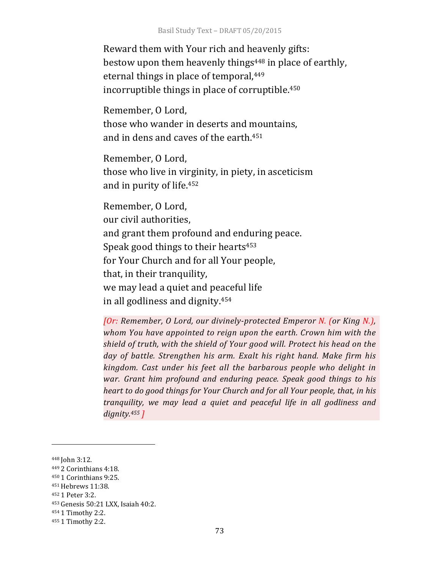Reward them with Your rich and heavenly gifts: bestow upon them heavenly things<sup>448</sup> in place of earthly, eternal things in place of temporal,<sup>449</sup> incorruptible things in place of corruptible. $450$ 

Remember, O Lord, those who wander in deserts and mountains, and in dens and caves of the earth. $451$ 

Remember, O Lord, those who live in virginity, in piety, in asceticism and in purity of life.<sup>452</sup>

Remember, O Lord, our civil authorities, and grant them profound and enduring peace. Speak good things to their hearts $453$ for Your Church and for all Your people, that, in their tranquility, we may lead a quiet and peaceful life in all godliness and dignity.<sup>454</sup>

*[Or: Remember, O Lord, our divinely‐protected Emperor N. (or King N.), whom You have appointed to reign upon the earth. Crown him with the shield of truth, with the shield of Your good will. Protect his head on the day of battle. Strengthen his arm. Exalt his right hand. Make firm his kingdom. Cast under his feet all the barbarous people who delight in war. Grant him profound and enduring peace. Speak good things to his heart to do good things for Your Church and for all Your people, that, in his tranquility, we may lead a quiet and peaceful life in all godliness and dignity.455 ]*

<sup>448</sup> John 3:12.

<sup>449 2</sup> Corinthians 4:18. 

<sup>&</sup>lt;sup>450</sup> 1 Corinthians 9:25.

<sup>451</sup> Hebrews 11:38.

<sup>452 1</sup> Peter 3:2.

<sup>453</sup> Genesis 50:21 LXX, Isaiah 40:2.

<sup>454 1</sup> Timothy 2:2.

<sup>455 1</sup> Timothy 2:2.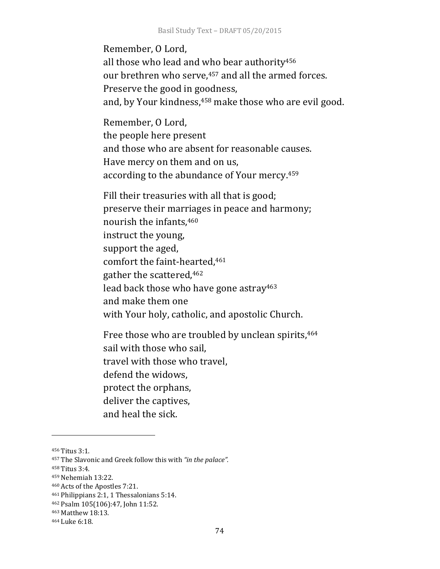Remember, O Lord, all those who lead and who bear authority<sup>456</sup> our brethren who serve, 457 and all the armed forces. Preserve the good in goodness, and, by Your kindness, 458 make those who are evil good. Remember, O Lord, the people here present and those who are absent for reasonable causes. Have mercy on them and on us, according to the abundance of Your mercy.<sup>459</sup> Fill their treasuries with all that is good; preserve their marriages in peace and harmony; nourish the infants, 460 instruct the young, support the aged, comfort the faint-hearted, 461 gather the scattered, 462 lead back those who have gone astray $463$ and make them one with Your holy, catholic, and apostolic Church. Free those who are troubled by unclean spirits, 464 sail with those who sail. travel with those who travel, defend the widows, protect the orphans,

deliver the captives, and heal the sick.

<sup>456</sup> Titus 3:1.

<sup>&</sup>lt;sup>457</sup> The Slavonic and Greek follow this with "in the palace".

<sup>458</sup> Titus 3:4. 

<sup>459</sup> Nehemiah 13:22. 

<sup>460</sup> Acts of the Apostles 7:21.

 $461$  Philippians 2:1, 1 Thessalonians 5:14.

<sup>462</sup> Psalm 105(106):47, John 11:52.

<sup>463</sup> Matthew 18:13. 

<sup>464</sup> Luke 6:18.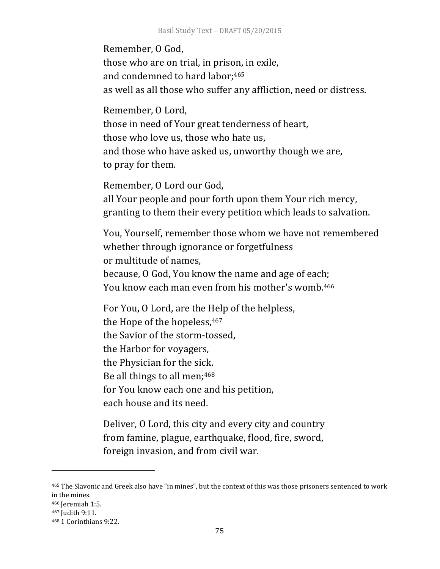Remember, O God, those who are on trial, in prison, in exile, and condemned to hard labor:465 as well as all those who suffer any affliction, need or distress.

Remember, O Lord, those in need of Your great tenderness of heart, those who love us, those who hate us, and those who have asked us, unworthy though we are, to pray for them.

Remember, O Lord our God, all Your people and pour forth upon them Your rich mercy, granting to them their every petition which leads to salvation.

You, Yourself, remember those whom we have not remembered whether through ignorance or forgetfulness or multitude of names. because, O God, You know the name and age of each; You know each man even from his mother's womb.<sup>466</sup>

For You, O Lord, are the Help of the helpless, the Hope of the hopeless.<sup>467</sup> the Savior of the storm-tossed, the Harbor for voyagers, the Physician for the sick. Be all things to all men;  $468$ for You know each one and his petition, each house and its need.

Deliver, O Lord, this city and every city and country from famine, plague, earthquake, flood, fire, sword, foreign invasion, and from civil war.

<sup>&</sup>lt;sup>465</sup> The Slavonic and Greek also have "in mines", but the context of this was those prisoners sentenced to work in the mines.

 $466$  Jeremiah 1:5.

<sup>467</sup> Judith 9:11.

<sup>&</sup>lt;sup>468</sup> 1 Corinthians 9:22.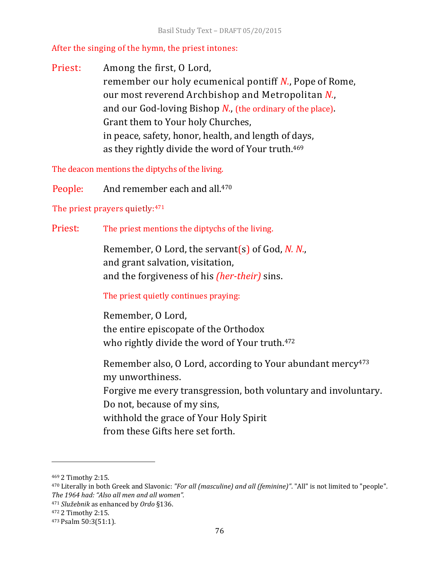After the singing of the hymn, the priest intones:

Priest: Among the first, 0 Lord, remember our holy ecumenical pontiff *N*., Pope of Rome, our most reverend Archbishop and Metropolitan *N.*, and our God-loving Bishop *N.*, (the ordinary of the place). Grant them to Your holy Churches, in peace, safety, honor, health, and length of days, as they rightly divide the word of Your truth.<sup>469</sup>

The deacon mentions the diptychs of the living.

People: And remember each and all.<sup>470</sup>

The priest prayers quietly: $471$ 

Priest: The priest mentions the diptychs of the living.

Remember, O Lord, the servant(s) of God, *N. N.*, and grant salvation, visitation, and the forgiveness of his *(her-their)* sins.

The priest quietly continues praying:

Remember, O Lord, the entire episcopate of the Orthodox who rightly divide the word of Your truth.<sup>472</sup>

Remember also,  $0$  Lord, according to Your abundant mercy<sup>473</sup> my unworthiness. Forgive me every transgression, both voluntary and involuntary. Do not, because of my sins, withhold the grace of Your Holy Spirit from these Gifts here set forth.

- 470 Literally in both Greek and Slavonic: "For all (masculine) and all (feminine)". "All" is not limited to "people". *The 1964 had: "Also all men and all women".*
- <sup>471</sup> *Služebnik* as enhanced by *Ordo* §136.

<sup>469 2</sup> Timothy 2:15.

<sup>472 2</sup> Timothy 2:15.

<sup>473</sup> Psalm 50:3(51:1).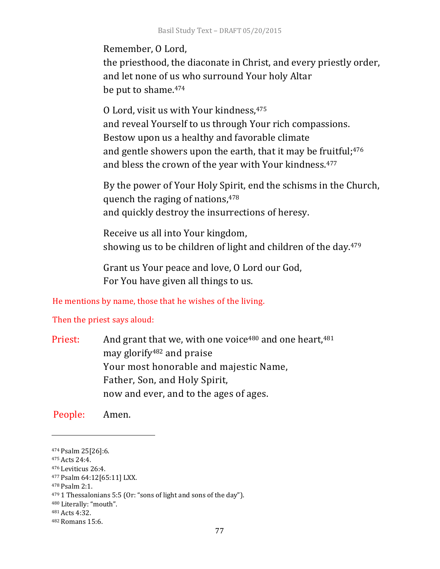Remember, O Lord, the priesthood, the diaconate in Christ, and every priestly order, and let none of us who surround Your holy Altar be put to shame. $474$ 

O Lord, visit us with Your kindness.<sup>475</sup> and reveal Yourself to us through Your rich compassions. Bestow upon us a healthy and favorable climate and gentle showers upon the earth, that it may be fruitful;  $476$ and bless the crown of the year with Your kindness.<sup>477</sup>

By the power of Your Holy Spirit, end the schisms in the Church, quench the raging of nations,  $478$ and quickly destroy the insurrections of heresy.

Receive us all into Your kingdom, showing us to be children of light and children of the day. $479$ 

Grant us Your peace and love, O Lord our God, For You have given all things to us.

He mentions by name, those that he wishes of the living.

Then the priest says aloud:

Priest: And grant that we, with one voice  $480$  and one heart,  $481$ may glorify<sup>482</sup> and praise Your most honorable and majestic Name, Father, Son, and Holy Spirit, now and ever, and to the ages of ages.

People: Amen.

<sup>474</sup> Psalm 25[26]:6. 

<sup>475</sup> Acts 24:4. 

 $476$  Leviticus  $26:4$ .

<sup>477</sup> Psalm 64:12[65:11] LXX.

<sup>478</sup> Psalm 2:1. 

 $479$  1 Thessalonians 5:5 (Or: "sons of light and sons of the day").

<sup>480</sup> Literally: "mouth".

 $481$  Acts  $4.32$ .

<sup>482</sup> Romans 15:6.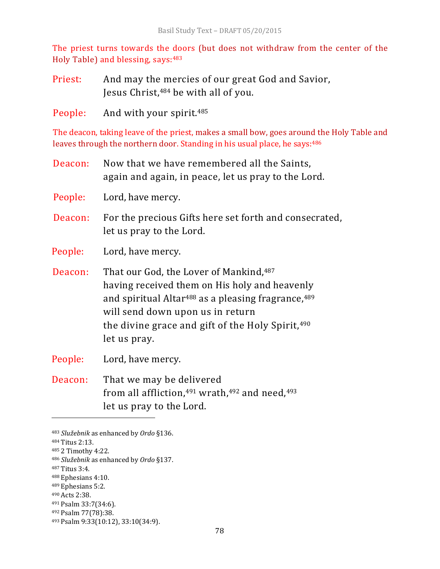The priest turns towards the doors (but does not withdraw from the center of the Holy Table) and blessing, says: 483

Priest: And may the mercies of our great God and Savior, Jesus Christ, <sup>484</sup> be with all of you.

People: And with your spirit.<sup>485</sup>

The deacon, taking leave of the priest, makes a small bow, goes around the Holy Table and leaves through the northern door. Standing in his usual place, he says: 486

| Deacon: | Now that we have remembered all the Saints,<br>again and again, in peace, let us pray to the Lord.                                                                                                                                                                              |
|---------|---------------------------------------------------------------------------------------------------------------------------------------------------------------------------------------------------------------------------------------------------------------------------------|
| People: | Lord, have mercy.                                                                                                                                                                                                                                                               |
| Deacon: | For the precious Gifts here set forth and consecrated,<br>let us pray to the Lord.                                                                                                                                                                                              |
| People: | Lord, have mercy.                                                                                                                                                                                                                                                               |
| Deacon: | That our God, the Lover of Mankind, 487<br>having received them on His holy and heavenly<br>and spiritual Altar <sup>488</sup> as a pleasing fragrance, <sup>489</sup><br>will send down upon us in return<br>the divine grace and gift of the Holy Spirit, 490<br>let us pray. |
| People: | Lord, have mercy.                                                                                                                                                                                                                                                               |
| Deacon: | That we may be delivered<br>from all affliction, $491$ wrath, $492$ and need, $493$                                                                                                                                                                                             |

<u> 1989 - Johann Stein, fransk politik (d. 1989)</u>

let us pray to the Lord.

<sup>&</sup>lt;sup>483</sup> *Služebnik* as enhanced by *Ordo* §136.

<sup>484</sup> Titus 2:13. 

<sup>485 2</sup> Timothy 4:22.

<sup>486</sup> *Služebnik* as enhanced by *Ordo* §137. 

<sup>487</sup> Titus 3:4. 

<sup>&</sup>lt;sup>488</sup> Ephesians 4:10.

<sup>489</sup> Ephesians 5:2.

<sup>490</sup> Acts 2:38. 

<sup>491</sup> Psalm 33:7(34:6). 

<sup>492</sup> Psalm 77(78):38. 

<sup>493</sup> Psalm 9:33(10:12), 33:10(34:9).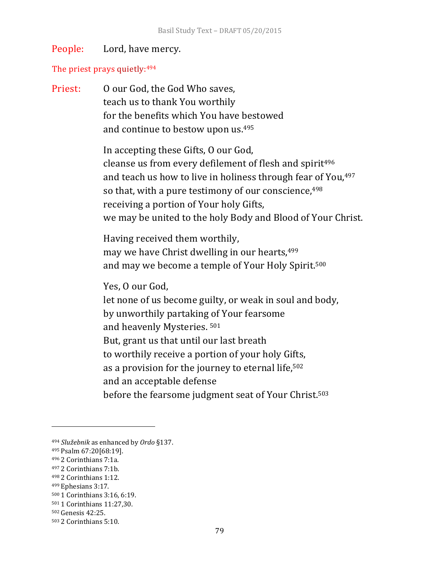#### People: Lord, have mercy.

#### The priest prays quietly: $494$

Priest: 0 our God, the God Who saves, teach us to thank You worthily for the benefits which You have bestowed and continue to bestow upon us.<sup>495</sup> In accepting these Gifts, O our God, cleanse us from every defilement of flesh and spirit<sup>496</sup> and teach us how to live in holiness through fear of You, $497$ so that, with a pure testimony of our conscience, 498 receiving a portion of Your holy Gifts,

we may be united to the holy Body and Blood of Your Christ.

Having received them worthily, may we have Christ dwelling in our hearts, 499 and may we become a temple of Your Holy Spirit.<sup>500</sup>

Yes, O our God, let none of us become guilty, or weak in soul and body, by unworthily partaking of Your fearsome and heavenly Mysteries.  $501$ But, grant us that until our last breath to worthily receive a portion of your holy Gifts, as a provision for the journey to eternal life,  $502$ and an acceptable defense before the fearsome judgment seat of Your Christ.<sup>503</sup>

<sup>494</sup> *Služebnik* as enhanced by *Ordo* §137. 

<sup>495</sup> Psalm 67:20[68:19]. 

<sup>&</sup>lt;sup>496</sup> 2 Corinthians 7:1a.

<sup>497 2</sup> Corinthians 7:1b. 

<sup>&</sup>lt;sup>498</sup> 2 Corinthians 1:12.

<sup>499</sup> Ephesians 3:17.

<sup>500 1</sup> Corinthians 3:16, 6:19.

<sup>501 1</sup> Corinthians 11:27,30.

<sup>502</sup> Genesis 42:25. 

<sup>503 2</sup> Corinthians 5:10.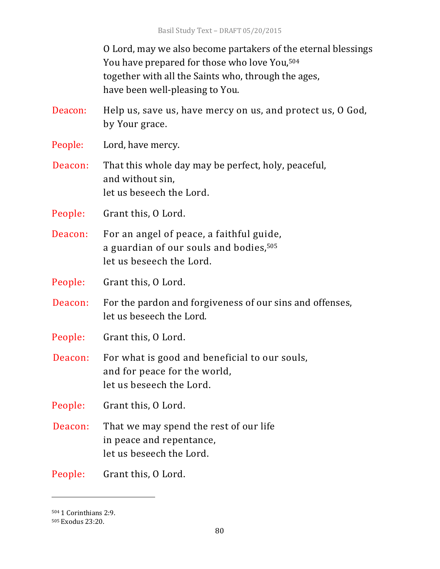O Lord, may we also become partakers of the eternal blessings You have prepared for those who love You,<sup>504</sup> together with all the Saints who, through the ages, have been well-pleasing to You.

- **Deacon:** Help us, save us, have mercy on us, and protect us, 0 God, by Your grace.
- People: Lord, have mercy.
- Deacon: That this whole day may be perfect, holy, peaceful, and without sin. let us beseech the Lord.
- People: Grant this, O Lord.
- Deacon: For an angel of peace, a faithful guide, a guardian of our souls and bodies, $505$ let us beseech the Lord.
- People: Grant this, O Lord.
- Deacon: For the pardon and forgiveness of our sins and offenses, let us beseech the Lord.
- People: Grant this, O Lord.
- Deacon: For what is good and beneficial to our souls, and for peace for the world, let us beseech the Lord.
- People: Grant this, O Lord.
- Deacon: That we may spend the rest of our life in peace and repentance, let us beseech the Lord.
- People: Grant this, O Lord.

<sup>&</sup>lt;sup>504</sup> 1 Corinthians 2:9.

<sup>&</sup>lt;sup>505</sup> Exodus 23:20.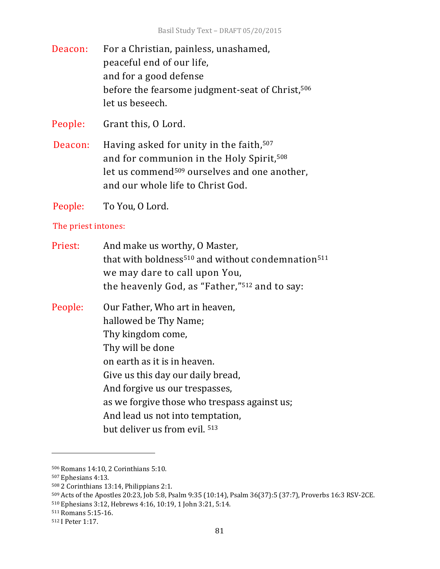Deacon: For a Christian, painless, unashamed, peaceful end of our life, and for a good defense before the fearsome judgment-seat of Christ,<sup>506</sup> let us beseech.

People: Grant this, O Lord.

Deacon: Having asked for unity in the faith,<sup>507</sup> and for communion in the Holy Spirit,<sup>508</sup> let us commend<sup>509</sup> ourselves and one another, and our whole life to Christ God.

People: To You, O Lord.

#### The priest intones:

- Priest: And make us worthy, O Master, that with boldness<sup>510</sup> and without condemnation<sup>511</sup> we may dare to call upon You, the heavenly God, as "Father,"<sup>512</sup> and to say:
- People: Our Father, Who art in heaven, hallowed be Thy Name; Thy kingdom come, Thy will be done on earth as it is in heaven. Give us this day our daily bread, And forgive us our trespasses, as we forgive those who trespass against us; And lead us not into temptation, but deliver us from evil. <sup>513</sup>

<sup>506</sup> Romans 14:10, 2 Corinthians 5:10.

<sup>&</sup>lt;sup>507</sup> Ephesians 4:13.

<sup>508 2</sup> Corinthians 13:14, Philippians 2:1.

<sup>509</sup> Acts of the Apostles 20:23, Job 5:8, Psalm 9:35 (10:14), Psalm 36(37):5 (37:7), Proverbs 16:3 RSV-2CE.

<sup>510</sup> Ephesians 3:12, Hebrews 4:16, 10:19, 1 John 3:21, 5:14.

<sup>511</sup> Romans 5:15‐16. 

<sup>512</sup> I Peter 1:17.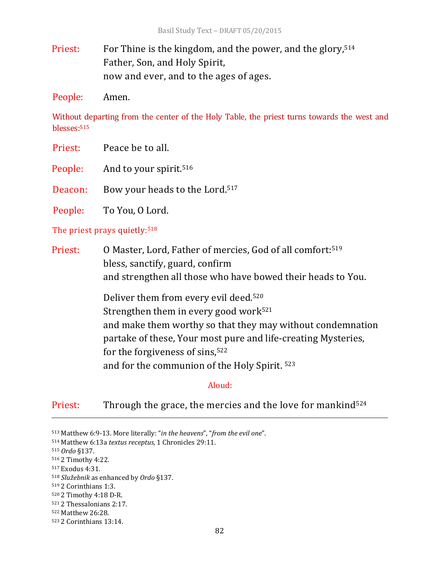Priest: For Thine is the kingdom, and the power, and the glory,<sup>514</sup> Father, Son, and Holy Spirit, now and ever, and to the ages of ages.

People: Amen.

Without departing from the center of the Holy Table, the priest turns towards the west and blesses:<sup>515</sup>

| Priest: Peace be to all.                                  |
|-----------------------------------------------------------|
| People: And to your spirit. <sup>516</sup>                |
| <b>Deacon:</b> Bow your heads to the Lord. <sup>517</sup> |
| People: To You, O Lord.                                   |
|                                                           |

#### The priest prays quietly: $518$

Priest: 0 Master, Lord, Father of mercies, God of all comfort:<sup>519</sup> bless, sanctify, guard, confirm and strengthen all those who have bowed their heads to You.

> Deliver them from every evil deed.<sup>520</sup> Strengthen them in every good work $521$ and make them worthy so that they may without condemnation partake of these, Your most pure and life-creating Mysteries, for the forgiveness of sins. $522$ and for the communion of the Holy Spirit.  $523$

#### Aloud:

<u> 1989 - Andrea Santa Andrea Andrea Andrea Andrea Andrea Andrea Andrea Andrea Andrea Andrea Andrea Andrea Andr</u>

# Priest: Through the grace, the mercies and the love for mankind<sup>524</sup>

513 Matthew 6:9‐13. More literally: "*in the heavens*", "*from the evil one*". 

<sup>514</sup> Matthew 6:13a *textus receptus,* 1 Chronicles 29:11.

<sup>515</sup> *Ordo* §137. 

<sup>516 2</sup> Timothy 4:22.

<sup>517</sup> Exodus 4:31.

<sup>518</sup> *Služebnik* as enhanced by *Ordo* §137. 

<sup>519 2</sup> Corinthians 1:3. 

<sup>520 2</sup> Timothy 4:18 D-R.

<sup>521 2</sup> Thessalonians 2:17.

<sup>522</sup> Matthew 26:28. 

<sup>523 2</sup> Corinthians 13:14.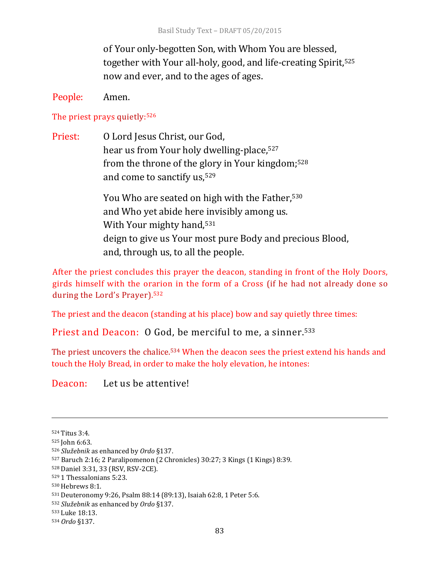of Your only-begotten Son, with Whom You are blessed, together with Your all-holy, good, and life-creating Spirit,<sup>525</sup> now and ever, and to the ages of ages.

#### People: Amen.

#### The priest prays quietly: $526$

Priest: 0 Lord Jesus Christ, our God, hear us from Your holy dwelling-place.<sup>527</sup> from the throne of the glory in Your kingdom; $528$ and come to sanctify  $us$ ,  $529$ 

> You Who are seated on high with the Father,<sup>530</sup> and Who yet abide here invisibly among us. With Your mighty hand,<sup>531</sup> deign to give us Your most pure Body and precious Blood, and, through us, to all the people.

After the priest concludes this prayer the deacon, standing in front of the Holy Doors, girds himself with the orarion in the form of a Cross (if he had not already done so during the Lord's Prayer).<sup>532</sup>

The priest and the deacon (standing at his place) bow and say quietly three times:

Priest and Deacon: O God, be merciful to me, a sinner.<sup>533</sup>

The priest uncovers the chalice.<sup>534</sup> When the deacon sees the priest extend his hands and touch the Holy Bread, in order to make the holy elevation, he intones:

<u> 1989 - Andrea Santa Andrea Andrea Andrea Andrea Andrea Andrea Andrea Andrea Andrea Andrea Andrea Andrea Andr</u>

Deacon: Let us be attentive!

<sup>524</sup> Titus 3:4. 

<sup>525</sup> John 6:63.

<sup>526</sup> *Služebnik* as enhanced by *Ordo* §137. 

 $527$  Baruch 2:16; 2 Paralipomenon (2 Chronicles)  $30:27$ ; 3 Kings (1 Kings) 8:39.

<sup>528</sup> Daniel 3:31, 33 (RSV, RSV-2CE).

<sup>&</sup>lt;sup>529</sup> 1 Thessalonians 5:23.

<sup>530</sup> Hebrews 8:1. 

<sup>531</sup> Deuteronomy 9:26, Psalm 88:14 (89:13), Isaiah 62:8, 1 Peter 5:6.

<sup>532</sup> *Služebnik* as enhanced by *Ordo* §137. 

<sup>533</sup> Luke 18:13. 

<sup>534</sup> *Ordo* §137.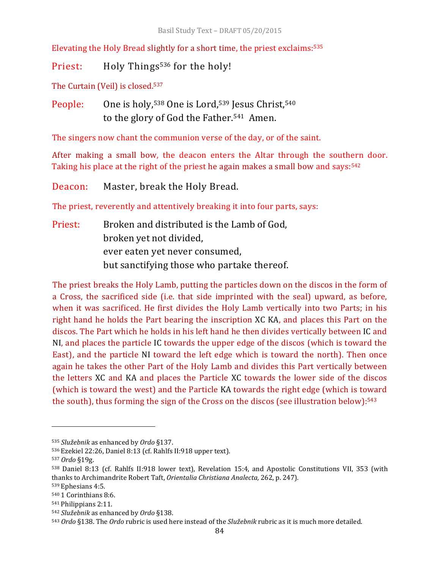Elevating the Holy Bread slightly for a short time, the priest exclaims: $535$ 

### Priest: Holy Things<sup>536</sup> for the holy!

The Curtain (Veil) is closed.<sup>537</sup>

People: One is holy,<sup>538</sup> One is Lord,<sup>539</sup> Jesus Christ,<sup>540</sup> to the glory of God the Father.<sup>541</sup> Amen.

The singers now chant the communion verse of the day, or of the saint.

After making a small bow, the deacon enters the Altar through the southern door. Taking his place at the right of the priest he again makes a small bow and says:<sup>542</sup>

Deacon: Master, break the Holy Bread.

The priest, reverently and attentively breaking it into four parts, says:

Priest: Broken and distributed is the Lamb of God, broken yet not divided, ever eaten yet never consumed, but sanctifying those who partake thereof.

The priest breaks the Holy Lamb, putting the particles down on the discos in the form of a Cross, the sacrificed side (i.e. that side imprinted with the seal) upward, as before, when it was sacrificed. He first divides the Holy Lamb vertically into two Parts; in his right hand he holds the Part bearing the inscription XC KA, and places this Part on the discos. The Part which he holds in his left hand he then divides vertically between IC and NI, and places the particle IC towards the upper edge of the discos (which is toward the East), and the particle NI toward the left edge which is toward the north). Then once again he takes the other Part of the Holy Lamb and divides this Part vertically between the letters XC and KA and places the Particle XC towards the lower side of the discos (which is toward the west) and the Particle KA towards the right edge (which is toward the south), thus forming the sign of the Cross on the discos (see illustration below): $543$ 

<sup>535</sup> *Služebnik* as enhanced by *Ordo* §137. 

 $536$  Ezekiel 22:26, Daniel 8:13 (cf. Rahlfs II:918 upper text).

<sup>537</sup> *Ordo* §19g. 

<sup>538</sup> Daniel 8:13 (cf. Rahlfs II:918 lower text), Revelation 15:4, and Apostolic Constitutions VII, 353 (with thanks to Archimandrite Robert Taft, *Orientalia Christiana Analecta*, 262, p. 247).

<sup>539</sup> Ephesians 4:5.

<sup>&</sup>lt;sup>540</sup> 1 Corinthians 8:6.

<sup>541</sup> Philippians 2:11. 

<sup>542</sup> *Služebnik* as enhanced by *Ordo* §138. 

<sup>543</sup> *Ordo* §138. The *Ordo* rubric is used here instead of the *Služebnik* rubric as it is much more detailed.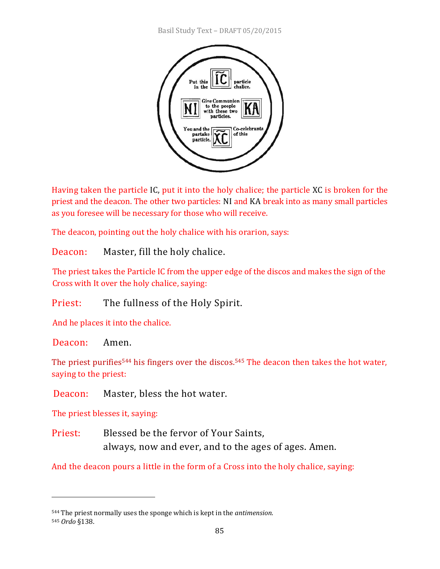Basil Study Text - DRAFT 05/20/2015



Having taken the particle IC, put it into the holy chalice; the particle  $XC$  is broken for the priest and the deacon. The other two particles: NI and KA break into as many small particles as you foresee will be necessary for those who will receive.

The deacon, pointing out the holy chalice with his orarion, says:

Deacon: Master, fill the holy chalice.

The priest takes the Particle IC from the upper edge of the discos and makes the sign of the Cross with It over the holy chalice, saying:

Priest: The fullness of the Holy Spirit.

And he places it into the chalice.

Deacon: Amen.

The priest purifies<sup>544</sup> his fingers over the discos.<sup>545</sup> The deacon then takes the hot water, saying to the priest:

Deacon: Master, bless the hot water.

The priest blesses it, saying:

 

Priest: Blessed be the fervor of Your Saints, always, now and ever, and to the ages of ages. Amen.

And the deacon pours a little in the form of a Cross into the holy chalice, saying:

<sup>544</sup> The priest normally uses the sponge which is kept in the *antimension*.

<sup>545</sup> *Ordo* §138.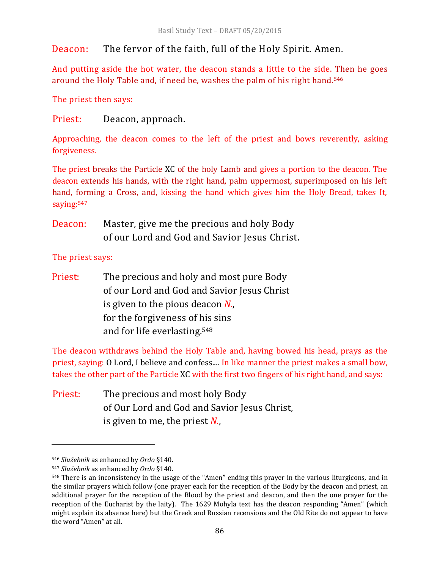# Deacon: The fervor of the faith, full of the Holy Spirit. Amen.

And putting aside the hot water, the deacon stands a little to the side. Then he goes around the Holy Table and, if need be, washes the palm of his right hand.<sup>546</sup>

The priest then says:

### Priest: Deacon, approach.

Approaching, the deacon comes to the left of the priest and bows reverently, asking forgiveness. 

The priest breaks the Particle XC of the holy Lamb and gives a portion to the deacon. The deacon extends his hands, with the right hand, palm uppermost, superimposed on his left hand, forming a Cross, and, kissing the hand which gives him the Holy Bread, takes It, saying:547

**Deacon:** Master, give me the precious and holy Body of our Lord and God and Savior Jesus Christ.

The priest says:

Priest: The precious and holy and most pure Body of our Lord and God and Savior Jesus Christ is given to the pious deacon *,* for the forgiveness of his sins and for life everlasting.<sup>548</sup>

The deacon withdraws behind the Holy Table and, having bowed his head, prays as the priest, saying: O Lord, I believe and confess.... In like manner the priest makes a small bow, takes the other part of the Particle XC with the first two fingers of his right hand, and says:

Priest: The precious and most holy Body of Our Lord and God and Savior Jesus Christ, is given to me, the priest *N*.,

<sup>546</sup> *Služebnik* as enhanced by *Ordo* §140. 

<sup>547</sup> *Služebnik* as enhanced by *Ordo* §140. 

<sup>548</sup> There is an inconsistency in the usage of the "Amen" ending this prayer in the various liturgicons, and in the similar prayers which follow (one prayer each for the reception of the Body by the deacon and priest, an additional prayer for the reception of the Blood by the priest and deacon, and then the one prayer for the reception of the Eucharist by the laity). The 1629 Mohyla text has the deacon responding "Amen" (which might explain its absence here) but the Greek and Russian recensions and the Old Rite do not appear to have the word "Amen" at all.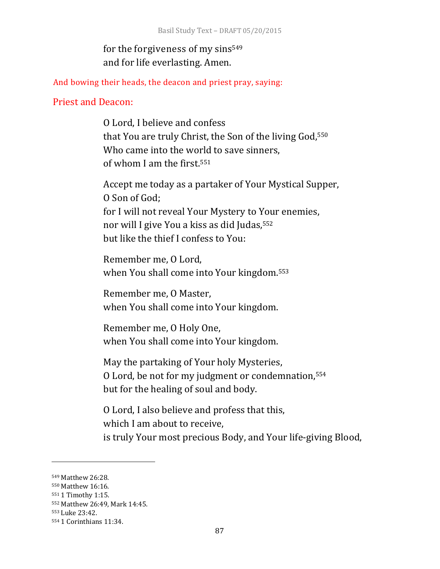for the forgiveness of my sins $549$ and for life everlasting. Amen.

And bowing their heads, the deacon and priest pray, saying:

#### Priest and Deacon:

O Lord, I believe and confess that You are truly Christ, the Son of the living God,<sup>550</sup> Who came into the world to save sinners, of whom I am the first.<sup>551</sup>

Accept me today as a partaker of Your Mystical Supper, O Son of God; for I will not reveal Your Mystery to Your enemies, nor will I give You a kiss as did Judas,<sup>552</sup> but like the thief I confess to You:

Remember me, O Lord, when You shall come into Your kingdom.<sup>553</sup>

Remember me, O Master, when You shall come into Your kingdom.

Remember me, O Holy One, when You shall come into Your kingdom.

May the partaking of Your holy Mysteries, O Lord, be not for my judgment or condemnation, 554 but for the healing of soul and body.

O Lord, I also believe and profess that this, which I am about to receive. is truly Your most precious Body, and Your life-giving Blood,

551 1 Timothy 1:15.

<sup>549</sup> Matthew 26:28.

<sup>550</sup> Matthew 16:16. 

<sup>552</sup> Matthew 26:49, Mark 14:45.

<sup>553</sup> Luke 23:42. 

<sup>&</sup>lt;sup>554</sup> 1 Corinthians 11:34.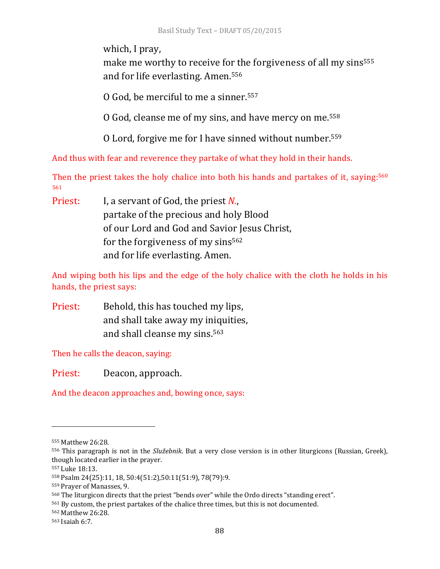which, I pray,

make me worthy to receive for the forgiveness of all my sins<sup>555</sup> and for life everlasting. Amen.<sup>556</sup>

O God, be merciful to me a sinner.<sup>557</sup>

O God, cleanse me of my sins, and have mercy on me.<sup>558</sup>

O Lord, forgive me for I have sinned without number.<sup>559</sup>

And thus with fear and reverence they partake of what they hold in their hands.

Then the priest takes the holy chalice into both his hands and partakes of it, saying: $560$ 561

Priest: I, a servant of God, the priest *N.*, partake of the precious and holy Blood of our Lord and God and Savior Jesus Christ, for the forgiveness of my sins $562$ and for life everlasting. Amen.

And wiping both his lips and the edge of the holy chalice with the cloth he holds in his hands, the priest says:

Priest: Behold, this has touched my lips, and shall take away my iniquities, and shall cleanse my sins.<sup>563</sup>

Then he calls the deacon, saying:

<u> 1989 - Johann Stein, fransk politik (d. 1989)</u>

Priest: Deacon, approach.

And the deacon approaches and, bowing once, says:

562 Matthew 26:28. 

<sup>555</sup> Matthew 26:28. 

<sup>556</sup> This paragraph is not in the *Služebnik*. But a very close version is in other liturgicons (Russian, Greek), though located earlier in the prayer.

<sup>557</sup> Luke 18:13. 

<sup>558</sup> Psalm 24(25):11, 18, 50:4(51:2),50:11(51:9), 78(79):9.

<sup>559</sup> Prayer of Manasses, 9.

<sup>560</sup> The liturgicon directs that the priest "bends over" while the Ordo directs "standing erect".

<sup>561</sup> By custom, the priest partakes of the chalice three times, but this is not documented.

<sup>563</sup> Isaiah 6:7.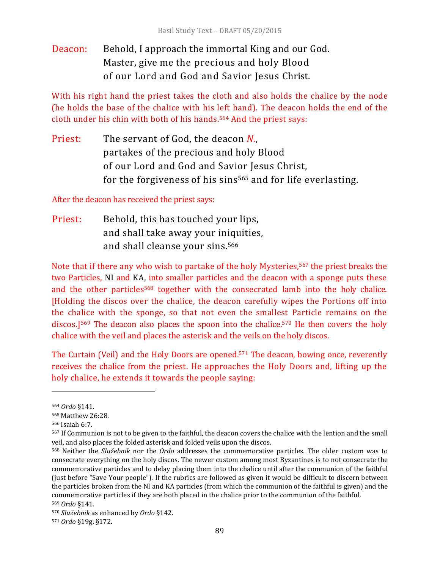Deacon: Behold, I approach the immortal King and our God. Master, give me the precious and holy Blood of our Lord and God and Savior Jesus Christ.

With his right hand the priest takes the cloth and also holds the chalice by the node (he holds the base of the chalice with his left hand). The deacon holds the end of the cloth under his chin with both of his hands.<sup>564</sup> And the priest says:

Priest: The servant of God, the deacon *N.*, partakes of the precious and holy Blood of our Lord and God and Savior Jesus Christ, for the forgiveness of his  $s$ ins<sup>565</sup> and for life everlasting.

After the deacon has received the priest says:

Priest: Behold, this has touched your lips, and shall take away your iniquities, and shall cleanse your sins.<sup>566</sup>

Note that if there any who wish to partake of the holy Mysteries,<sup>567</sup> the priest breaks the two Particles, NI and KA, into smaller particles and the deacon with a sponge puts these and the other particles<sup>568</sup> together with the consecrated lamb into the holy chalice. [Holding the discos over the chalice, the deacon carefully wipes the Portions off into the chalice with the sponge, so that not even the smallest Particle remains on the discos.]<sup>569</sup> The deacon also places the spoon into the chalice.<sup>570</sup> He then covers the holy chalice with the veil and places the asterisk and the veils on the holy discos.

The Curtain (Veil) and the Holy Doors are opened.<sup>571</sup> The deacon, bowing once, reverently receives the chalice from the priest. He approaches the Holy Doors and, lifting up the holy chalice, he extends it towards the people saying:

<sup>564</sup> *Ordo* §141. 

<sup>565</sup> Matthew 26:28.

<sup>566</sup> Isaiah 6:7. 

<sup>567</sup> If Communion is not to be given to the faithful, the deacon covers the chalice with the lention and the small veil, and also places the folded asterisk and folded veils upon the discos.

<sup>568</sup> Neither the *Služebnik* nor the *Ordo* addresses the commemorative particles. The older custom was to consecrate everything on the holy discos. The newer custom among most Byzantines is to not consecrate the commemorative particles and to delay placing them into the chalice until after the communion of the faithful (just before "Save Your people"). If the rubrics are followed as given it would be difficult to discern between the particles broken from the NI and KA particles (from which the communion of the faithful is given) and the commemorative particles if they are both placed in the chalice prior to the communion of the faithful. <sup>569</sup> *Ordo* §141. 

<sup>570</sup> *Služebnik* as enhanced by *Ordo* §142. 

<sup>571</sup> *Ordo* §19g, §172.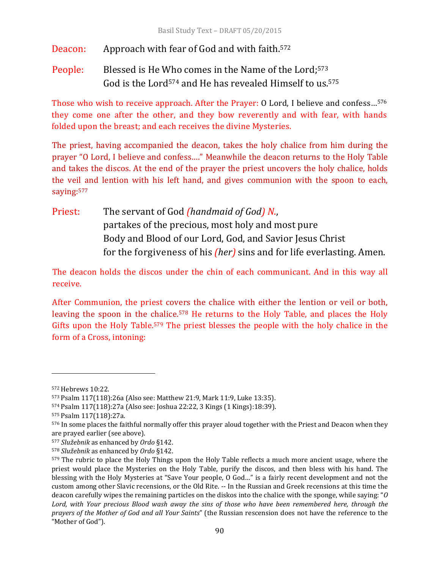# Deacon: Approach with fear of God and with faith.<sup>572</sup>

People: Blessed is He Who comes in the Name of the Lord;<sup>573</sup> God is the Lord<sup>574</sup> and He has revealed Himself to us.<sup>575</sup>

Those who wish to receive approach. After the Prayer: O Lord, I believe and confess...<sup>576</sup> they come one after the other, and they bow reverently and with fear, with hands folded upon the breast; and each receives the divine Mysteries.

The priest, having accompanied the deacon, takes the holy chalice from him during the prayer "O Lord, I believe and confess...." Meanwhile the deacon returns to the Holy Table and takes the discos. At the end of the prayer the priest uncovers the holy chalice, holds the veil and lention with his left hand, and gives communion with the spoon to each, saying:577

Priest: The servant of God *(handmaid of God) N.*, partakes of the precious, most holy and most pure Body and Blood of our Lord, God, and Savior Jesus Christ for the forgiveness of his *(her)* sins and for life everlasting. Amen.

The deacon holds the discos under the chin of each communicant. And in this way all receive. 

After Communion, the priest covers the chalice with either the lention or veil or both, leaving the spoon in the chalice.<sup>578</sup> He returns to the Holy Table, and places the Holy Gifts upon the Holy Table.<sup>579</sup> The priest blesses the people with the holy chalice in the form of a Cross, intoning:

<sup>572</sup> Hebrews 10:22. 

<sup>573</sup> Psalm 117(118):26a (Also see: Matthew 21:9, Mark 11:9, Luke 13:35).

<sup>574</sup> Psalm 117(118):27a (Also see: Joshua 22:22, 3 Kings (1 Kings):18:39).

<sup>575</sup> Psalm 117(118):27a.

<sup>576</sup> In some places the faithful normally offer this prayer aloud together with the Priest and Deacon when they are prayed earlier (see above).

<sup>577</sup> *Služebnik* as enhanced by *Ordo* §142. 

<sup>578</sup> *Služebnik* as enhanced by *Ordo* §142. 

<sup>579</sup> The rubric to place the Holy Things upon the Holy Table reflects a much more ancient usage, where the priest would place the Mysteries on the Holy Table, purify the discos, and then bless with his hand. The blessing with the Holy Mysteries at "Save Your people, O God..." is a fairly recent development and not the custom among other Slavic recensions, or the Old Rite. -- In the Russian and Greek recensions at this time the deacon carefully wipes the remaining particles on the diskos into the chalice with the sponge, while saying: "*O* Lord, with Your precious Blood wash away the sins of those who have been remembered here, through the *prayers of the Mother of God and all Your Saints*" (the Russian rescension does not have the reference to the "Mother of God").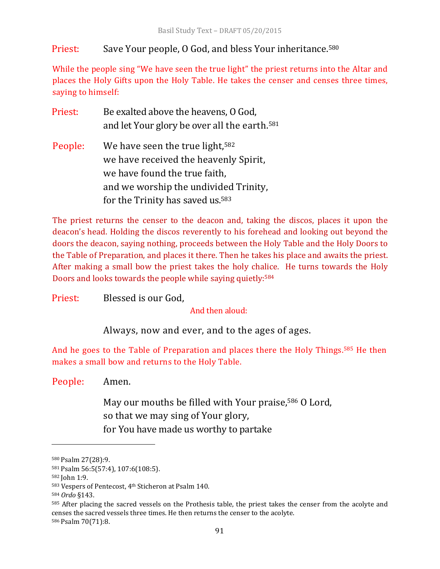# Priest: Save Your people, O God, and bless Your inheritance.<sup>580</sup>

While the people sing "We have seen the true light" the priest returns into the Altar and places the Holy Gifts upon the Holy Table. He takes the censer and censes three times, saying to himself:

| Priest: | Be exalted above the heavens, O God,<br>and let Your glory be over all the earth. <sup>581</sup>             |
|---------|--------------------------------------------------------------------------------------------------------------|
| People: | We have seen the true light, $582$<br>we have received the heavenly Spirit,<br>we have found the true faith, |
|         | and we worship the undivided Trinity,                                                                        |
|         | for the Trinity has saved us. <sup>583</sup>                                                                 |

The priest returns the censer to the deacon and, taking the discos, places it upon the deacon's head. Holding the discos reverently to his forehead and looking out beyond the doors the deacon, saying nothing, proceeds between the Holy Table and the Holy Doors to the Table of Preparation, and places it there. Then he takes his place and awaits the priest. After making a small bow the priest takes the holy chalice. He turns towards the Holy Doors and looks towards the people while saying quietly:<sup>584</sup>

Priest: Blessed is our God.

And then aloud:

Always, now and ever, and to the ages of ages.

And he goes to the Table of Preparation and places there the Holy Things.<sup>585</sup> He then makes a small bow and returns to the Holy Table.

People: Amen.

May our mouths be filled with Your praise,  $586$  O Lord, so that we may sing of Your glory, for You have made us worthy to partake

<sup>580</sup> Psalm 27(28):9. 

<sup>581</sup> Psalm 56:5(57:4), 107:6(108:5).

<sup>582</sup> John 1:9.

<sup>583</sup> Vespers of Pentecost, 4<sup>th</sup> Sticheron at Psalm 140.

<sup>584</sup> *Ordo* §143. 

 $585$  After placing the sacred vessels on the Prothesis table, the priest takes the censer from the acolyte and censes the sacred vessels three times. He then returns the censer to the acolyte.

<sup>586</sup> Psalm 70(71):8.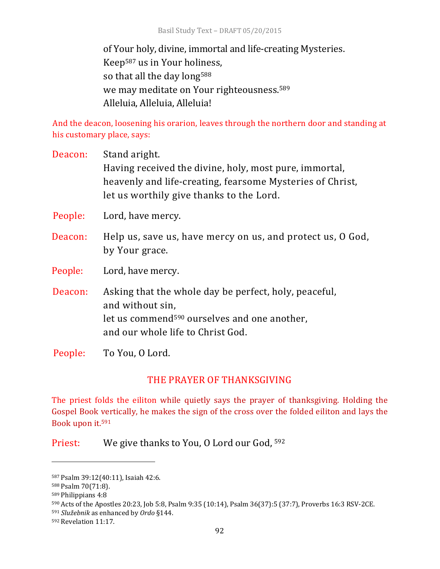of Your holy, divine, immortal and life-creating Mysteries. Keep<sup>587</sup> us in Your holiness, so that all the day long<sup>588</sup> we may meditate on Your righteousness.<sup>589</sup> Alleluia, Alleluia, Alleluia!

And the deacon, loosening his orarion, leaves through the northern door and standing at his customary place, says:

| Deacon: | Stand aright.                                                                |
|---------|------------------------------------------------------------------------------|
|         | Having received the divine, holy, most pure, immortal,                       |
|         | heavenly and life-creating, fearsome Mysteries of Christ,                    |
|         | let us worthily give thanks to the Lord.                                     |
| People: | Lord, have mercy.                                                            |
| Deacon: | Help us, save us, have mercy on us, and protect us, O God,<br>by Your grace. |
| People: | Lord, have mercy.                                                            |
| Deacon: | Asking that the whole day be perfect, holy, peaceful,<br>and without sin.    |
|         | let us commend <sup>590</sup> ourselves and one another,                     |
|         | and our whole life to Christ God.                                            |
| People: | To You, O Lord.                                                              |

# THE PRAYER OF THANKSGIVING

The priest folds the eiliton while quietly says the prayer of thanksgiving. Holding the Gospel Book vertically, he makes the sign of the cross over the folded eiliton and lays the Book upon it.<sup>591</sup>

Priest: We give thanks to You, O Lord our God,  $592$ 

<sup>587</sup> Psalm 39:12(40:11), Isaiah 42:6.

<sup>588</sup> Psalm 70(71:8). 

<sup>589</sup> Philippians 4:8

<sup>590</sup> Acts of the Apostles 20:23, Job 5:8, Psalm 9:35 (10:14), Psalm 36(37):5 (37:7), Proverbs 16:3 RSV-2CE.

<sup>591</sup> *Služebnik* as enhanced by *Ordo* §144. 

<sup>&</sup>lt;sup>592</sup> Revelation 11:17.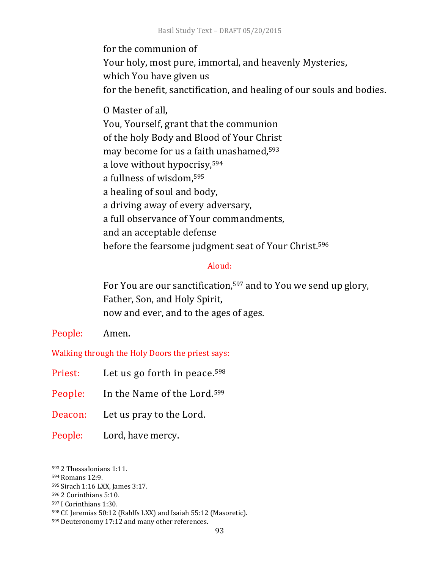for the communion of Your holy, most pure, immortal, and heavenly Mysteries, which You have given us for the benefit, sanctification, and healing of our souls and bodies.

O Master of all, You, Yourself, grant that the communion of the holy Body and Blood of Your Christ may become for us a faith unashamed, $593$ a love without hypocrisy,<sup>594</sup> a fullness of wisdom,<sup>595</sup> a healing of soul and body, a driving away of every adversary, a full observance of Your commandments, and an acceptable defense before the fearsome judgment seat of Your Christ.<sup>596</sup>

# Aloud:

For You are our sanctification,<sup>597</sup> and to You we send up glory, Father, Son, and Holy Spirit, now and ever, and to the ages of ages.

People: Amen.

Walking through the Holy Doors the priest says:

Priest: Let us go forth in peace. $598$ 

People: In the Name of the Lord.<sup>599</sup>

Deacon: Let us pray to the Lord.

People: Lord, have mercy.

 $593$  2 Thessalonians 1:11.

<sup>594</sup> Romans 12:9. 

<sup>595</sup> Sirach 1:16 LXX, James 3:17.

<sup>596 2</sup> Corinthians 5:10.

<sup>&</sup>lt;sup>597</sup> I Corinthians 1:30.

<sup>598</sup> Cf. Jeremias 50:12 (Rahlfs LXX) and Isaiah 55:12 (Masoretic).

<sup>599</sup> Deuteronomy 17:12 and many other references.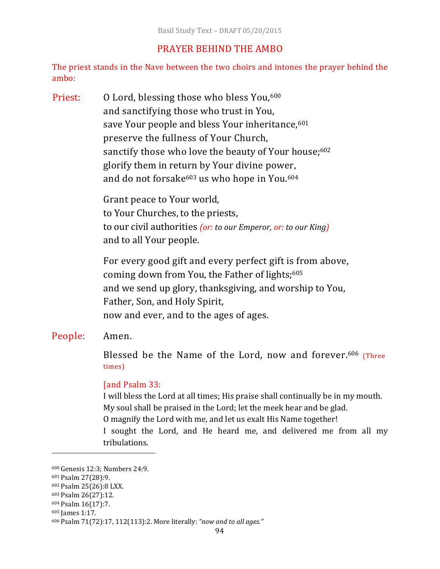# PRAYER BEHIND THE AMBO

The priest stands in the Nave between the two choirs and intones the prayer behind the ambo: 

Priest: 0 Lord, blessing those who bless You,<sup>600</sup> and sanctifying those who trust in You, save Your people and bless Your inheritance, 601 preserve the fullness of Your Church, sanctify those who love the beauty of Your house;<sup>602</sup> glorify them in return by Your divine power, and do not forsake<sup>603</sup> us who hope in You.<sup>604</sup>

> Grant peace to Your world, to Your Churches, to the priests, to our civil authorities *(or: to our Emperor, or: to our King)* and to all Your people.

For every good gift and every perfect gift is from above, coming down from You, the Father of lights;<sup>605</sup> and we send up glory, thanksgiving, and worship to You, Father, Son, and Holy Spirit, now and ever, and to the ages of ages.

People: Amen.

Blessed be the Name of the Lord, now and forever.<sup>606</sup> (Three times) 

#### [and Psalm 33:

I will bless the Lord at all times; His praise shall continually be in my mouth. My soul shall be praised in the Lord; let the meek hear and be glad.

O magnify the Lord with me, and let us exalt His Name together!

I sought the Lord, and He heard me, and delivered me from all my tribulations. 

<sup>600</sup> Genesis 12:3; Numbers 24:9.

<sup>601</sup> Psalm 27(28):9. 

<sup>602</sup> Psalm 25(26):8 LXX. 

<sup>603</sup> Psalm 26(27):12. 

<sup>604</sup> Psalm 16(17):7. 

<sup>605</sup> James 1:17.

<sup>606</sup> Psalm 71(72):17, 112(113):2. More literally: *"now and to all ages."*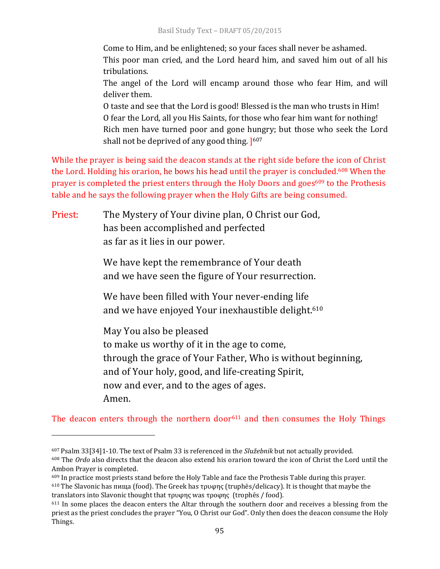Come to Him, and be enlightened; so your faces shall never be ashamed. This poor man cried, and the Lord heard him, and saved him out of all his tribulations. 

The angel of the Lord will encamp around those who fear Him, and will deliver them.

O taste and see that the Lord is good! Blessed is the man who trusts in Him! O fear the Lord, all you His Saints, for those who fear him want for nothing! Rich men have turned poor and gone hungry; but those who seek the Lord shall not be deprived of any good thing.  $]^{607}$ 

While the prayer is being said the deacon stands at the right side before the icon of Christ the Lord. Holding his orarion, he bows his head until the prayer is concluded.<sup>608</sup> When the prayer is completed the priest enters through the Holy Doors and goes $609$  to the Prothesis table and he says the following prayer when the Holy Gifts are being consumed.

Priest: The Mystery of Your divine plan, O Christ our God, has been accomplished and perfected as far as it lies in our power.

> We have kept the remembrance of Your death and we have seen the figure of Your resurrection.

We have been filled with Your never-ending life and we have enjoyed Your inexhaustible delight.<sup>610</sup>

May You also be pleased to make us worthy of it in the age to come, through the grace of Your Father, Who is without beginning, and of Your holy, good, and life-creating Spirit, now and ever, and to the ages of ages. Amen. 

The deacon enters through the northern door<sup>611</sup> and then consumes the Holy Things

 

<sup>610</sup> The Slavonic has πища (food). The Greek has τρυφης (truphēs/delicacy). It is thought that maybe the translators into Slavonic thought that τρυφης was τροφης (trophēs / food).

<sup>607</sup> Psalm 33[34]1-10. The text of Psalm 33 is referenced in the *Služebnik* but not actually provided. <sup>608</sup> The *Ordo* also directs that the deacon also extend his orarion toward the icon of Christ the Lord until the Ambon Prayer is completed.

 $609$  In practice most priests stand before the Holy Table and face the Prothesis Table during this prayer.

 $611$  In some places the deacon enters the Altar through the southern door and receives a blessing from the priest as the priest concludes the prayer "You, O Christ our God". Only then does the deacon consume the Holy Things.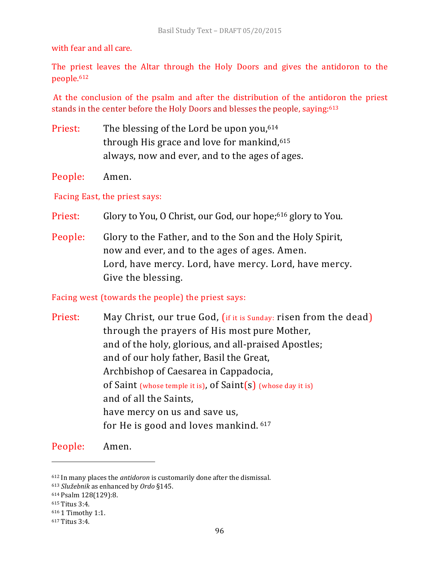with fear and all care.

The priest leaves the Altar through the Holy Doors and gives the antidoron to the people.612 

At the conclusion of the psalm and after the distribution of the antidoron the priest stands in the center before the Holy Doors and blesses the people, saying:<sup>613</sup>

Priest: The blessing of the Lord be upon you,  $614$ through His grace and love for mankind, $615$ always, now and ever, and to the ages of ages.

People: Amen.

Facing East, the priest says:

- Priest: Glory to You, O Christ, our God, our hope;<sup>616</sup> glory to You.
- People: Glory to the Father, and to the Son and the Holy Spirit, now and ever, and to the ages of ages. Amen. Lord, have mercy. Lord, have mercy. Lord, have mercy. Give the blessing.

Facing west (towards the people) the priest says:

Priest: May Christ, our true God, *(if it is Sunday: risen from the dead)* through the prayers of His most pure Mother, and of the holy, glorious, and all-praised Apostles; and of our holy father, Basil the Great, Archbishop of Caesarea in Cappadocia, of Saint (whose temple it is), of Saint(s) (whose day it is) and of all the Saints, have mercy on us and save us, for He is good and loves mankind.  $617$ 

People: Amen.

<u> 1989 - Johann Stein, fransk politik (d. 1989)</u>

<sup>&</sup>lt;sup>612</sup> In many places the *antidoron* is customarily done after the dismissal.

<sup>613</sup> *Služebnik* as enhanced by *Ordo* §145. 

<sup>614</sup> Psalm 128(129):8. 

<sup>&</sup>lt;sup>615</sup> Titus 3:4.

<sup>&</sup>lt;sup>616</sup> 1 Timothy 1:1.

<sup>&</sup>lt;sup>617</sup> Titus 3:4.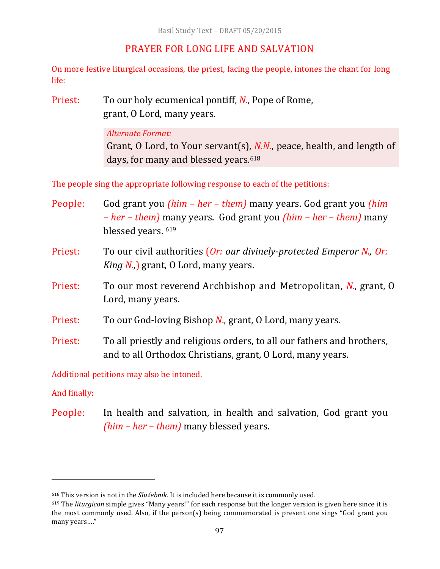### PRAYER FOR LONG LIFE AND SALVATION

On more festive liturgical occasions, the priest, facing the people, intones the chant for long life: 

Priest: To our holy ecumenical pontiff, *N.*, Pope of Rome, grant, O Lord, many years.

*Alternate Format:* 

Grant, O Lord, to Your servant(s), *N.N.*, peace, health, and length of days, for many and blessed years.<sup>618</sup>

The people sing the appropriate following response to each of the petitions:

| People: | God grant you <i>(him – her – them)</i> many years. God grant you <i>(him</i> )<br>$- her - them$ many years. God grant you <i>(him - her - them)</i> many<br>blessed years. 619 |
|---------|----------------------------------------------------------------------------------------------------------------------------------------------------------------------------------|
| Priest: | To our civil authorities $(0r:$ our divinely-protected Emperor N., Or:<br><i>King N.,</i> ) grant, O Lord, many years.                                                           |
| Priest: | To our most reverend Archbishop and Metropolitan, N., grant, O<br>Lord, many years.                                                                                              |
| Priest: | To our God-loving Bishop N., grant, O Lord, many years.                                                                                                                          |
| Priest: | To all priestly and religious orders, to all our fathers and brothers,<br>and to all Orthodox Christians, grant, O Lord, many years.                                             |

Additional petitions may also be intoned.

<u> 1989 - Johann Stein, fransk politik (d. 1989)</u>

And finally:

People: In health and salvation, in health and salvation, God grant you *(him – her – them)* many blessed years. 

<sup>&</sup>lt;sup>618</sup> This version is not in the *Služebnik*. It is included here because it is commonly used.

<sup>&</sup>lt;sup>619</sup> The *liturgicon* simple gives "Many years!" for each response but the longer version is given here since it is the most commonly used. Also, if the  $person(s)$  being commemorated is present one sings "God grant you many years...."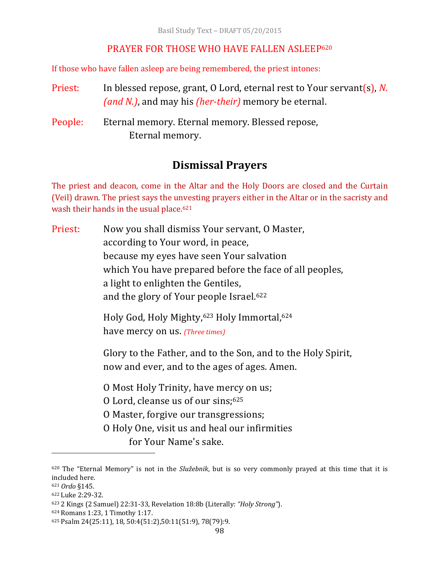#### PRAYER FOR THOSE WHO HAVE FALLEN ASLEEP620

If those who have fallen asleep are being remembered, the priest intones:

- Priest: In blessed repose, grant, O Lord, eternal rest to Your servant(s), *N. (and N.)*, and may his *(her-their)* memory be eternal.
- People: Eternal memory. Eternal memory. Blessed repose, Eternal memory.

## **Dismissal Prayers**

The priest and deacon, come in the Altar and the Holy Doors are closed and the Curtain (Veil) drawn. The priest says the unvesting prayers either in the Altar or in the sacristy and wash their hands in the usual place.<sup>621</sup>

Priest: Now you shall dismiss Your servant, O Master, according to Your word, in peace, because my eyes have seen Your salvation which You have prepared before the face of all peoples, a light to enlighten the Gentiles, and the glory of Your people Israel.<sup>622</sup>

> Holy God, Holy Mighty,<sup>623</sup> Holy Immortal, <sup>624</sup> have mercy on us. *(Three times)*

Glory to the Father, and to the Son, and to the Holy Spirit, now and ever, and to the ages of ages. Amen.

O Most Holy Trinity, have mercy on us;

- O Lord, cleanse us of our sins;<sup>625</sup>
- O Master, forgive our transgressions;

O Holy One, visit us and heal our infirmities

for Your Name's sake.

<sup>&</sup>lt;sup>620</sup> The "Eternal Memory" is not in the *Služebnik*, but is so very commonly prayed at this time that it is included here.

<sup>621</sup> *Ordo* §145. 

<sup>622</sup> Luke 2:29‐32. 

<sup>623 2</sup> Kings (2 Samuel) 22:31‐33, Revelation 18:8b (Literally: *"Holy Strong"*). 

<sup>624</sup> Romans 1:23, 1 Timothy 1:17.

<sup>625</sup> Psalm 24(25:11), 18, 50:4(51:2),50:11(51:9), 78(79):9.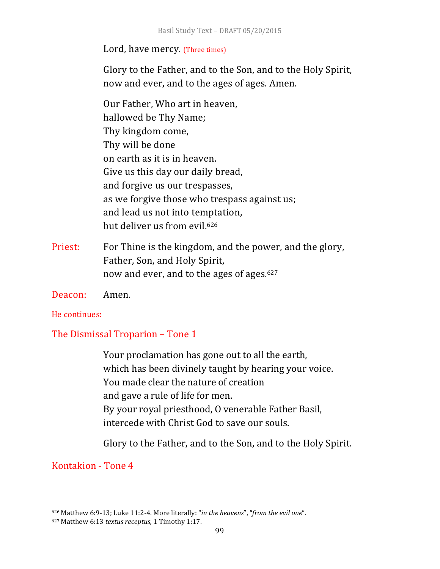Lord, have mercy. (Three times)

Glory to the Father, and to the Son, and to the Holy Spirit, now and ever, and to the ages of ages. Amen.

Our Father, Who art in heaven, hallowed be Thy Name; Thy kingdom come, Thy will be done on earth as it is in heaven. Give us this day our daily bread, and forgive us our trespasses, as we forgive those who trespass against us; and lead us not into temptation, but deliver us from evil.<sup>626</sup>

Priest: For Thine is the kingdom, and the power, and the glory, Father, Son, and Holy Spirit, now and ever, and to the ages of ages. $627$ 

Deacon: Amen.

He continues:

#### The Dismissal Troparion - Tone 1

Your proclamation has gone out to all the earth, which has been divinely taught by hearing your voice. You made clear the nature of creation and gave a rule of life for men. By your royal priesthood, O venerable Father Basil, intercede with Christ God to save our souls.

Glory to the Father, and to the Son, and to the Holy Spirit.

#### Kontakion - Tone 4

<sup>626</sup> Matthew 6:9‐13; Luke 11:2‐4. More literally: "*in the heavens*", "*from the evil one*". 

<sup>627</sup> Matthew 6:13 *textus receptus,* 1 Timothy 1:17.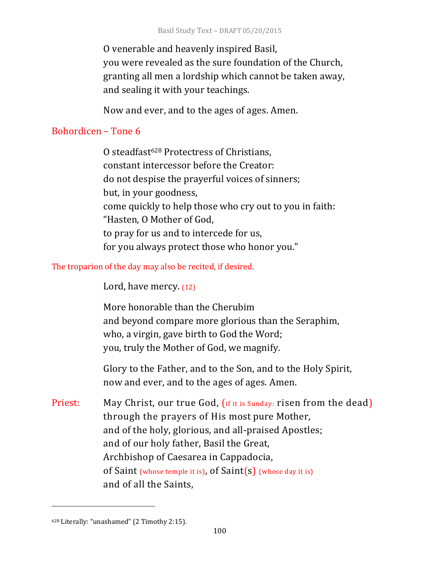O venerable and heavenly inspired Basil, you were revealed as the sure foundation of the Church, granting all men a lordship which cannot be taken away, and sealing it with your teachings.

Now and ever, and to the ages of ages. Amen.

#### Bohordicen – Tone 6

O steadfast<sup>628</sup> Protectress of Christians. constant intercessor before the Creator: do not despise the prayerful voices of sinners; but, in your goodness, come quickly to help those who cry out to you in faith: "Hasten, O Mother of God, to pray for us and to intercede for us, for you always protect those who honor you."

#### The troparion of the day may also be recited, if desired.

Lord, have mercy. (12)

More honorable than the Cherubim and beyond compare more glorious than the Seraphim, who, a virgin, gave birth to God the Word; you, truly the Mother of God, we magnify.

Glory to the Father, and to the Son, and to the Holy Spirit, now and ever, and to the ages of ages. Amen.

Priest: May Christ, our true God, *(if it is Sunday: risen from the dead)* through the prayers of His most pure Mother, and of the holy, glorious, and all-praised Apostles; and of our holy father, Basil the Great, Archbishop of Caesarea in Cappadocia, of Saint (whose temple it is), of Saint(s) (whose day it is) and of all the Saints.

<sup>628</sup> Literally: "unashamed" (2 Timothy 2:15).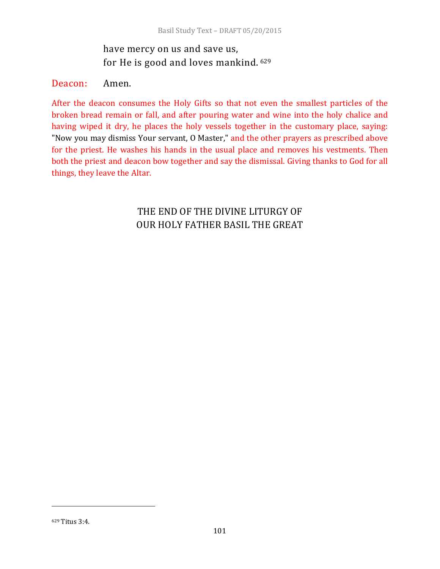### have mercy on us and save us, for He is good and loves mankind.  $629$

#### Deacon: Amen.

After the deacon consumes the Holy Gifts so that not even the smallest particles of the broken bread remain or fall, and after pouring water and wine into the holy chalice and having wiped it dry, he places the holy vessels together in the customary place, saying: "Now you may dismiss Your servant, O Master," and the other prayers as prescribed above for the priest. He washes his hands in the usual place and removes his vestments. Then both the priest and deacon bow together and say the dismissal. Giving thanks to God for all things, they leave the Altar.

### THE END OF THE DIVINE LITURGY OF OUR HOLY FATHER BASIL THE GREAT

629 Titus 3:4.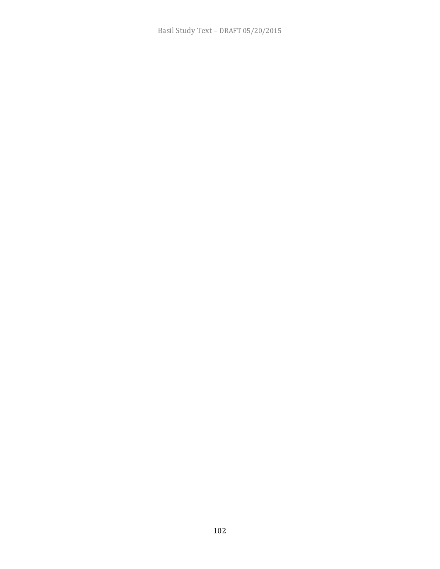Basil Study Text - DRAFT 05/20/2015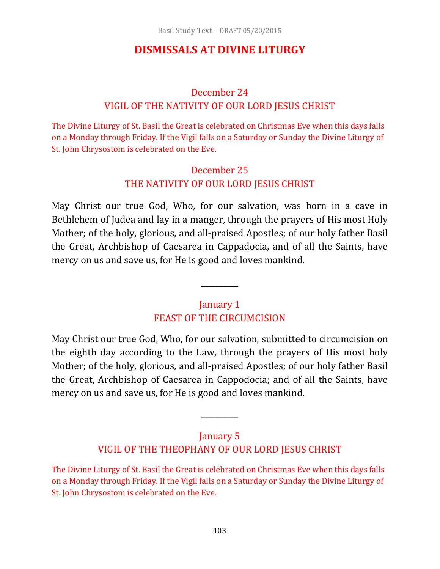# **DISMISSALS AT DIVINE LITURGY**

# December 24 VIGIL OF THE NATIVITY OF OUR LORD JESUS CHRIST

The Divine Liturgy of St. Basil the Great is celebrated on Christmas Eve when this days falls on a Monday through Friday. If the Vigil falls on a Saturday or Sunday the Divine Liturgy of St. John Chrysostom is celebrated on the Eve.

## December 25 THE NATIVITY OF OUR LORD JESUS CHRIST

May Christ our true God, Who, for our salvation, was born in a cave in Bethlehem of Judea and lay in a manger, through the prayers of His most Holy Mother; of the holy, glorious, and all-praised Apostles; of our holy father Basil the Great, Archbishop of Caesarea in Cappadocia, and of all the Saints, have mercy on us and save us, for He is good and loves mankind.

## January 1 FEAST OF THE CIRCUMCISION

\_\_\_\_\_\_\_\_\_\_ 

May Christ our true God, Who, for our salvation, submitted to circumcision on the eighth day according to the Law, through the prayers of His most holy Mother; of the holy, glorious, and all-praised Apostles; of our holy father Basil the Great, Archbishop of Caesarea in Cappodocia; and of all the Saints, have mercy on us and save us, for He is good and loves mankind.

# January 5

\_\_\_\_\_\_\_\_\_\_ 

#### VIGIL OF THE THEOPHANY OF OUR LORD JESUS CHRIST

The Divine Liturgy of St. Basil the Great is celebrated on Christmas Eve when this days falls on a Monday through Friday. If the Vigil falls on a Saturday or Sunday the Divine Liturgy of St. John Chrysostom is celebrated on the Eve.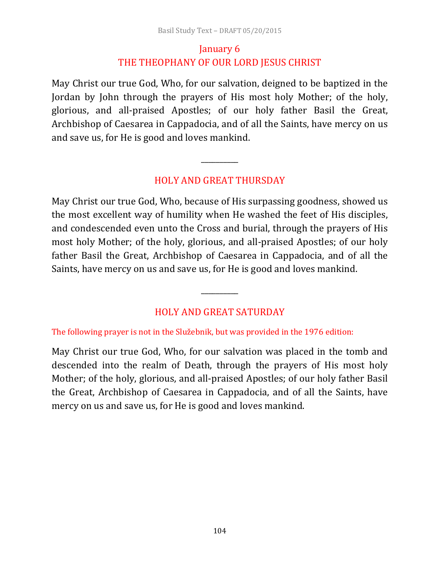# January 6 THE THEOPHANY OF OUR LORD JESUS CHRIST

May Christ our true God, Who, for our salvation, deigned to be baptized in the Jordan by John through the prayers of His most holy Mother; of the holy, glorious, and all-praised Apostles; of our holy father Basil the Great, Archbishop of Caesarea in Cappadocia, and of all the Saints, have mercy on us and save us, for He is good and loves mankind.

#### HOLY AND GREAT THURSDAY

\_\_\_\_\_\_\_\_\_\_ 

May Christ our true God, Who, because of His surpassing goodness, showed us the most excellent way of humility when He washed the feet of His disciples, and condescended even unto the Cross and burial, through the prayers of His most holy Mother; of the holy, glorious, and all-praised Apostles; of our holy father Basil the Great, Archbishop of Caesarea in Cappadocia, and of all the Saints, have mercy on us and save us, for He is good and loves mankind.

### HOLY AND GREAT SATURDAY

\_\_\_\_\_\_\_\_\_\_ 

The following prayer is not in the Služebnik, but was provided in the 1976 edition:

May Christ our true God, Who, for our salvation was placed in the tomb and descended into the realm of Death, through the prayers of His most holy Mother; of the holy, glorious, and all-praised Apostles; of our holy father Basil the Great, Archbishop of Caesarea in Cappadocia, and of all the Saints, have mercy on us and save us, for He is good and loves mankind.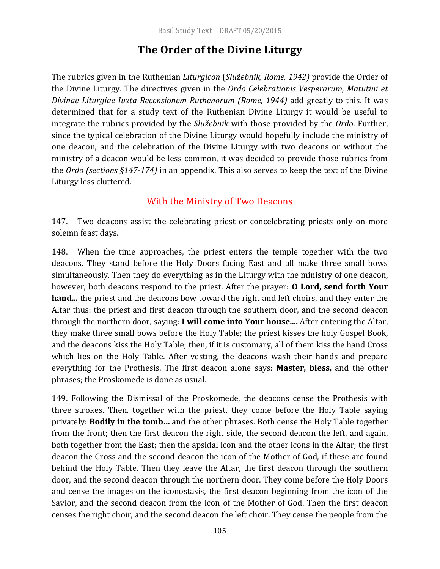# **The Order of the Divine Liturgy**

The rubrics given in the Ruthenian *Liturgicon* (*Služebnik, Rome, 1942*) provide the Order of the Divine Liturgy. The directives given in the *Ordo Celebrationis Vesperarum, Matutini et Divinae Liturgiae Iuxta Recensionem Ruthenorum (Rome, 1944)* add greatly to this. It was determined that for a study text of the Ruthenian Divine Liturgy it would be useful to integrate the rubrics provided by the *Služebnik* with those provided by the *Ordo*. Further, since the typical celebration of the Divine Liturgy would hopefully include the ministry of one deacon, and the celebration of the Divine Liturgy with two deacons or without the ministry of a deacon would be less common, it was decided to provide those rubrics from the *Ordo (sections* §147-174) in an appendix. This also serves to keep the text of the Divine Liturgy less cluttered.

#### With the Ministry of Two Deacons

147. Two deacons assist the celebrating priest or concelebrating priests only on more solemn feast days.

148. When the time approaches, the priest enters the temple together with the two deacons. They stand before the Holy Doors facing East and all make three small bows simultaneously. Then they do everything as in the Liturgy with the ministry of one deacon, however, both deacons respond to the priest. After the prayer: **O Lord, send forth Your hand...** the priest and the deacons bow toward the right and left choirs, and they enter the Altar thus: the priest and first deacon through the southern door, and the second deacon through the northern door, saying: **I will come into Your house....** After entering the Altar, they make three small bows before the Holy Table; the priest kisses the holy Gospel Book, and the deacons kiss the Holy Table; then, if it is customary, all of them kiss the hand Cross which lies on the Holy Table. After vesting, the deacons wash their hands and prepare everything for the Prothesis. The first deacon alone says: **Master, bless,** and the other phrases; the Proskomede is done as usual.

149. Following the Dismissal of the Proskomede, the deacons cense the Prothesis with three strokes. Then, together with the priest, they come before the Holy Table saying **privately:** Bodily in the tomb... and the other phrases. Both cense the Holy Table together from the front; then the first deacon the right side, the second deacon the left, and again, both together from the East; then the apsidal icon and the other icons in the Altar; the first deacon the Cross and the second deacon the icon of the Mother of God, if these are found behind the Holy Table. Then they leave the Altar, the first deacon through the southern door, and the second deacon through the northern door. They come before the Holy Doors and cense the images on the iconostasis, the first deacon beginning from the icon of the Savior, and the second deacon from the icon of the Mother of God. Then the first deacon censes the right choir, and the second deacon the left choir. They cense the people from the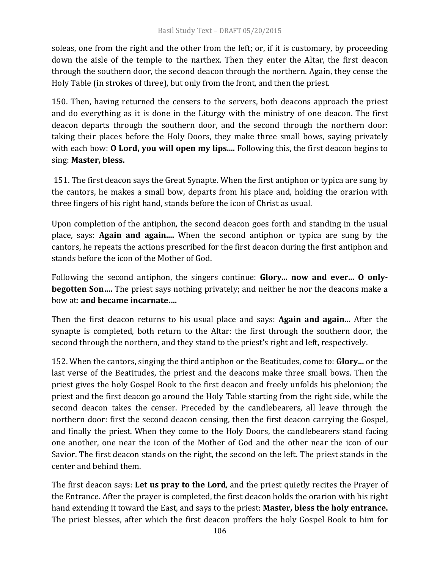soleas, one from the right and the other from the left; or, if it is customary, by proceeding down the aisle of the temple to the narthex. Then they enter the Altar, the first deacon through the southern door, the second deacon through the northern. Again, they cense the Holy Table (in strokes of three), but only from the front, and then the priest.

150. Then, having returned the censers to the servers, both deacons approach the priest and do everything as it is done in the Liturgy with the ministry of one deacon. The first deacon departs through the southern door, and the second through the northern door: taking their places before the Holy Doors, they make three small bows, saying privately with each bow: **O Lord, you will open my lips....** Following this, the first deacon begins to sing: **Master, bless.**

151. The first deacon says the Great Synapte. When the first antiphon or typica are sung by the cantors, he makes a small bow, departs from his place and, holding the orarion with three fingers of his right hand, stands before the icon of Christ as usual.

Upon completion of the antiphon, the second deacon goes forth and standing in the usual place, says: **Again and again....** When the second antiphon or typica are sung by the cantors, he repeats the actions prescribed for the first deacon during the first antiphon and stands before the icon of the Mother of God.

Following the second antiphon, the singers continue: **Glory... now and ever...** O only**begotten Son....** The priest says nothing privately; and neither he nor the deacons make a bow at: **and became incarnate….** 

Then the first deacon returns to his usual place and says: **Again and again...** After the synapte is completed, both return to the Altar: the first through the southern door, the second through the northern, and they stand to the priest's right and left, respectively.

152. When the cantors, singing the third antiphon or the Beatitudes, come to: **Glory...** or the last verse of the Beatitudes, the priest and the deacons make three small bows. Then the priest gives the holy Gospel Book to the first deacon and freely unfolds his phelonion; the priest and the first deacon go around the Holy Table starting from the right side, while the second deacon takes the censer. Preceded by the candlebearers, all leave through the northern door: first the second deacon censing, then the first deacon carrying the Gospel, and finally the priest. When they come to the Holy Doors, the candlebearers stand facing one another, one near the icon of the Mother of God and the other near the icon of our Savior. The first deacon stands on the right, the second on the left. The priest stands in the center and behind them.

The first deacon says: Let us pray to the Lord, and the priest quietly recites the Prayer of the Entrance. After the prayer is completed, the first deacon holds the orarion with his right hand extending it toward the East, and says to the priest: **Master, bless the holy entrance.** The priest blesses, after which the first deacon proffers the holy Gospel Book to him for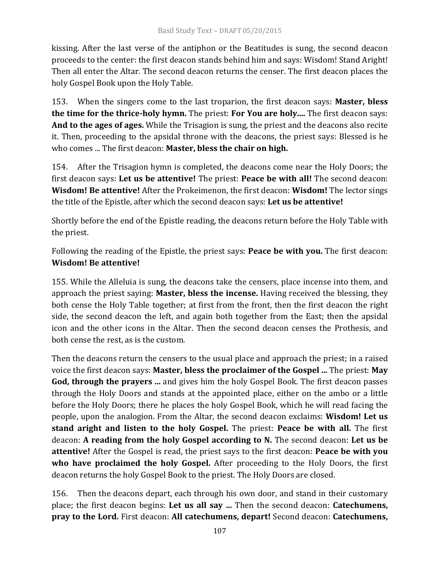kissing. After the last verse of the antiphon or the Beatitudes is sung, the second deacon proceeds to the center: the first deacon stands behind him and says: Wisdom! Stand Aright! Then all enter the Altar. The second deacon returns the censer. The first deacon places the holy Gospel Book upon the Holy Table.

153. When the singers come to the last troparion, the first deacon says: Master, bless **the time** for **the thrice-holy hymn.** The priest: **For You** are **holy....** The first deacon says: **And to the ages of ages.** While the Trisagion is sung, the priest and the deacons also recite it. Then, proceeding to the apsidal throne with the deacons, the priest says: Blessed is he who comes ... The first deacon: **Master, bless the chair on high.**

154. After the Trisagion hymn is completed, the deacons come near the Holy Doors; the **first deacon says: Let us be attentive!** The priest: **Peace be with all!** The second deacon: **Wisdom! Be attentive!** After the Prokeimenon, the first deacon: **Wisdom!** The lector sings the title of the Epistle, after which the second deacon says: Let us be attentive!

Shortly before the end of the Epistle reading, the deacons return before the Holy Table with the priest.

Following the reading of the Epistle, the priest says: **Peace be with you.** The first deacon: **Wisdom! Be attentive!**

155. While the Alleluia is sung, the deacons take the censers, place incense into them, and approach the priest saying: Master, bless the incense. Having received the blessing, they both cense the Holy Table together; at first from the front, then the first deacon the right side, the second deacon the left, and again both together from the East; then the apsidal icon and the other icons in the Altar. Then the second deacon censes the Prothesis, and both cense the rest, as is the custom.

Then the deacons return the censers to the usual place and approach the priest; in a raised **voice the first deacon says: Master, bless the proclaimer of the Gospel ...** The priest: May **God, through the prayers** ... and gives him the holy Gospel Book. The first deacon passes through the Holy Doors and stands at the appointed place, either on the ambo or a little before the Holy Doors; there he places the holy Gospel Book, which he will read facing the people, upon the analogion. From the Altar, the second deacon exclaims: **Wisdom!** Let us **stand aright and listen to the holy Gospel.** The priest: **Peace be with all.** The first deacon: **A reading from the holy Gospel according to N.** The second deacon: **Let us be attentive!** After the Gospel is read, the priest says to the first deacon: **Peace be with you who** have proclaimed the holy Gospel. After proceeding to the Holy Doors, the first deacon returns the holy Gospel Book to the priest. The Holy Doors are closed.

156. Then the deacons depart, each through his own door, and stand in their customary place; the first deacon begins: Let us all say ... Then the second deacon: Catechumens, **pray to the Lord.** First deacon: **All catechumens, depart!** Second deacon: **Catechumens,**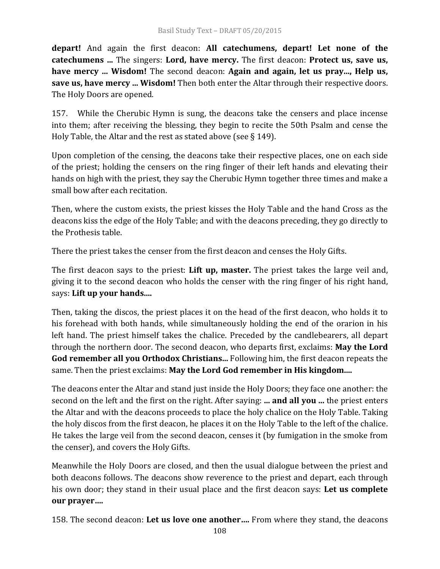**depart!** And again the first deacon: **All catechumens, depart! Let none of the catechumens** ... The singers: Lord, have mercy. The first deacon: Protect us, save us, **have mercy** ... Wisdom! The second deacon: Again and again, let us pray..., Help us, **save us, have mercy ... Wisdom!** Then both enter the Altar through their respective doors. The Holy Doors are opened.

157. While the Cherubic Hymn is sung, the deacons take the censers and place incense into them; after receiving the blessing, they begin to recite the 50th Psalm and cense the Holy Table, the Altar and the rest as stated above (see  $\S$  149).

Upon completion of the censing, the deacons take their respective places, one on each side of the priest; holding the censers on the ring finger of their left hands and elevating their hands on high with the priest, they say the Cherubic Hymn together three times and make a small bow after each recitation.

Then, where the custom exists, the priest kisses the Holy Table and the hand Cross as the deacons kiss the edge of the Holy Table; and with the deacons preceding, they go directly to the Prothesis table.

There the priest takes the censer from the first deacon and censes the Holy Gifts.

The first deacon says to the priest: **Lift up, master.** The priest takes the large veil and, giving it to the second deacon who holds the censer with the ring finger of his right hand, says: **Lift up your hands....**

Then, taking the discos, the priest places it on the head of the first deacon, who holds it to his forehead with both hands, while simultaneously holding the end of the orarion in his left hand. The priest himself takes the chalice. Preceded by the candlebearers, all depart through the northern door. The second deacon, who departs first, exclaims: May the Lord **God remember all you Orthodox Christians...** Following him, the first deacon repeats the same. Then the priest exclaims: May the Lord God remember in His kingdom....

The deacons enter the Altar and stand just inside the Holy Doors; they face one another: the second on the left and the first on the right. After saying: **... and all you** ... the priest enters the Altar and with the deacons proceeds to place the holy chalice on the Holy Table. Taking the holy discos from the first deacon, he places it on the Holy Table to the left of the chalice. He takes the large veil from the second deacon, censes it (by fumigation in the smoke from the censer), and covers the Holy Gifts.

Meanwhile the Holy Doors are closed, and then the usual dialogue between the priest and both deacons follows. The deacons show reverence to the priest and depart, each through his own door; they stand in their usual place and the first deacon says: Let us complete **our prayer….**

**158.** The second deacon: Let us love one another.... From where they stand, the deacons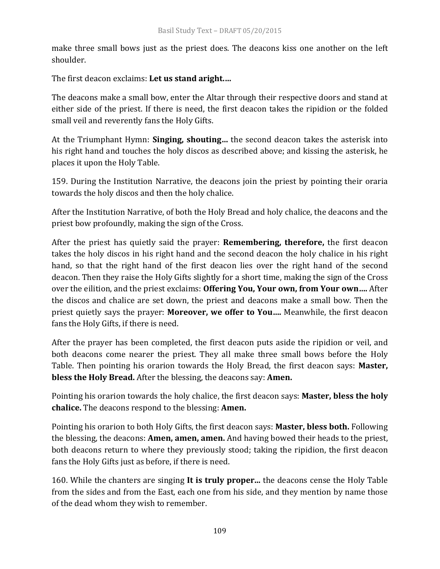make three small bows just as the priest does. The deacons kiss one another on the left shoulder. 

The first deacon exclaims: Let us stand aright....

The deacons make a small bow, enter the Altar through their respective doors and stand at either side of the priest. If there is need, the first deacon takes the ripidion or the folded small veil and reverently fans the Holy Gifts.

At the Triumphant Hymn: **Singing, shouting...** the second deacon takes the asterisk into his right hand and touches the holy discos as described above; and kissing the asterisk, he places it upon the Holy Table.

159. During the Institution Narrative, the deacons join the priest by pointing their oraria towards the holy discos and then the holy chalice.

After the Institution Narrative, of both the Holy Bread and holy chalice, the deacons and the priest bow profoundly, making the sign of the Cross.

After the priest has quietly said the prayer: **Remembering, therefore**, the first deacon takes the holy discos in his right hand and the second deacon the holy chalice in his right hand, so that the right hand of the first deacon lies over the right hand of the second deacon. Then they raise the Holy Gifts slightly for a short time, making the sign of the Cross **over the eilition, and the priest exclaims: Offering You, Your own, from Your own.... After** the discos and chalice are set down, the priest and deacons make a small bow. Then the priest quietly says the prayer: Moreover, we offer to You.... Meanwhile, the first deacon fans the Holy Gifts, if there is need.

After the prayer has been completed, the first deacon puts aside the ripidion or veil, and both deacons come nearer the priest. They all make three small bows before the Holy Table. Then pointing his orarion towards the Holy Bread, the first deacon says: **Master**, **bless the Holy Bread.** After the blessing, the deacons say: **Amen.** 

Pointing his orarion towards the holy chalice, the first deacon says: **Master, bless the holy chalice.** The deacons respond to the blessing: **Amen.** 

Pointing his orarion to both Holy Gifts, the first deacon says: Master, bless both. Following the blessing, the deacons: **Amen, amen, amen.** And having bowed their heads to the priest, both deacons return to where they previously stood; taking the ripidion, the first deacon fans the Holy Gifts just as before, if there is need.

**160.** While the chanters are singing **It is truly proper...** the deacons cense the Holy Table from the sides and from the East, each one from his side, and they mention by name those of the dead whom they wish to remember.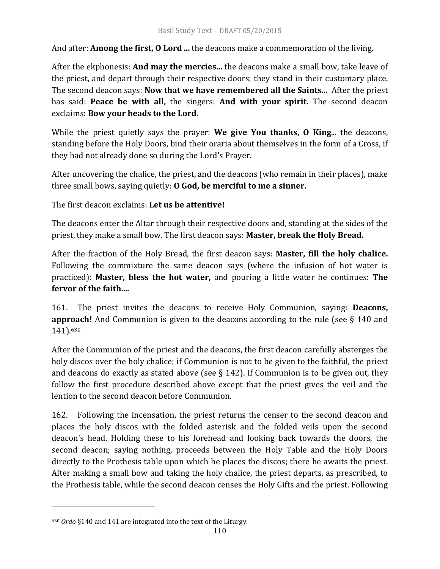And after: **Among the first, O Lord** ... the deacons make a commemoration of the living.

After the ekphonesis: And may the mercies... the deacons make a small bow, take leave of the priest, and depart through their respective doors; they stand in their customary place. **The second deacon says: Now that we have remembered all the Saints...** After the priest has said: **Peace be with all,** the singers: **And with your spirit.** The second deacon exclaims: **Bow your heads to the Lord.**

While the priest quietly says the prayer: **We give You thanks, O King...** the deacons, standing before the Holy Doors, bind their oraria about themselves in the form of a Cross, if they had not already done so during the Lord's Prayer.

After uncovering the chalice, the priest, and the deacons (who remain in their places), make three small bows, saying quietly: **O God, be merciful to me a sinner.**

The first deacon exclaims: **Let us be attentive!**

The deacons enter the Altar through their respective doors and, standing at the sides of the priest, they make a small bow. The first deacon says: **Master, break the Holy Bread.**

After the fraction of the Holy Bread, the first deacon says: Master, fill the holy chalice. Following the commixture the same deacon says (where the infusion of hot water is practiced): **Master, bless the hot water,** and pouring a little water he continues: **The fervor of the faith....**

161. The priest invites the deacons to receive Holy Communion, saying: **Deacons**, **approach!** And Communion is given to the deacons according to the rule (see  $\S$  140 and 141).630

After the Communion of the priest and the deacons, the first deacon carefully absterges the holy discos over the holy chalice; if Communion is not to be given to the faithful, the priest and deacons do exactly as stated above (see  $\S$  142). If Communion is to be given out, they follow the first procedure described above except that the priest gives the veil and the lention to the second deacon before Communion.

162. Following the incensation, the priest returns the censer to the second deacon and places the holy discos with the folded asterisk and the folded veils upon the second deacon's head. Holding these to his forehead and looking back towards the doors, the second deacon; saying nothing, proceeds between the Holy Table and the Holy Doors directly to the Prothesis table upon which he places the discos; there he awaits the priest. After making a small bow and taking the holy chalice, the priest departs, as prescribed, to the Prothesis table, while the second deacon censes the Holy Gifts and the priest. Following

<sup>&</sup>lt;sup>630</sup> *Ordo* §140 and 141 are integrated into the text of the Liturgy.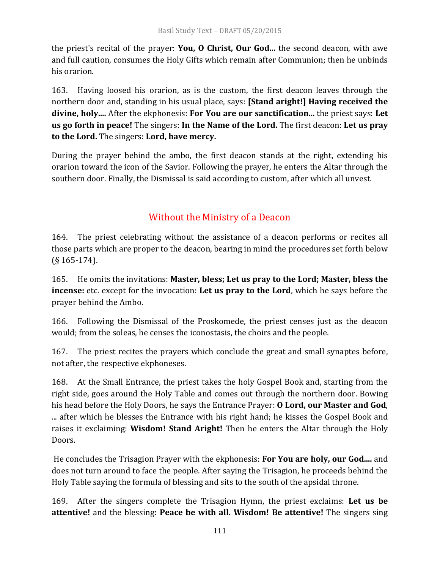the priest's recital of the prayer: **You, O Christ, Our God...** the second deacon, with awe and full caution, consumes the Holy Gifts which remain after Communion; then he unbinds his orarion.

163. Having loosed his orarion, as is the custom, the first deacon leaves through the northern door and, standing in his usual place, says: **[Stand aright!] Having received the divine, holy....** After the ekphonesis: For You are our sanctification... the priest says: Let **us go forth in peace!** The singers: **In the Name of the Lord.** The first deacon: **Let us pray to the Lord.** The singers: **Lord, have mercy.**

During the prayer behind the ambo, the first deacon stands at the right, extending his orarion toward the icon of the Savior. Following the prayer, he enters the Altar through the southern door. Finally, the Dismissal is said according to custom, after which all unvest.

# Without the Ministry of a Deacon

164. The priest celebrating without the assistance of a deacon performs or recites all those parts which are proper to the deacon, bearing in mind the procedures set forth below  $(S$  165-174).

165. He omits the invitations: **Master, bless; Let us pray to the Lord; Master, bless the incense:** etc. except for the invocation: Let us pray to the Lord, which he says before the prayer behind the Ambo.

166. Following the Dismissal of the Proskomede, the priest censes just as the deacon would; from the soleas, he censes the iconostasis, the choirs and the people.

167. The priest recites the prayers which conclude the great and small synaptes before, not after, the respective ekphoneses.

168. At the Small Entrance, the priest takes the holy Gospel Book and, starting from the right side, goes around the Holy Table and comes out through the northern door. Bowing his head before the Holy Doors, he says the Entrance Prayer: **O Lord, our Master and God**, ... after which he blesses the Entrance with his right hand; he kisses the Gospel Book and raises it exclaiming: **Wisdom! Stand Aright!** Then he enters the Altar through the Holy Doors. 

He concludes the Trisagion Prayer with the ekphonesis: **For You are holy, our God....** and does not turn around to face the people. After saying the Trisagion, he proceeds behind the Holy Table saying the formula of blessing and sits to the south of the apsidal throne.

169. After the singers complete the Trisagion Hymn, the priest exclaims: Let us be **attentive!** and the blessing: **Peace be with all. Wisdom! Be attentive!** The singers sing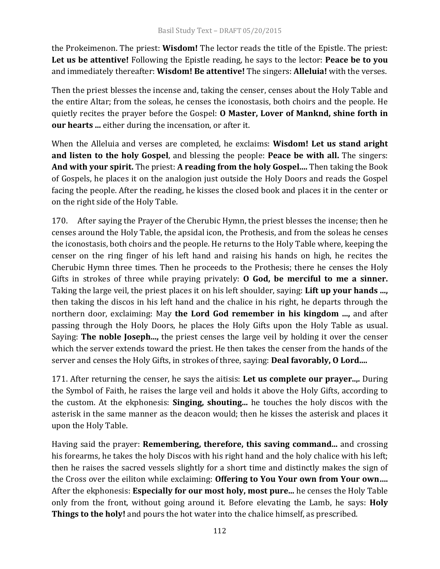the Prokeimenon. The priest: **Wisdom!** The lector reads the title of the Epistle. The priest: **Let us** be attentive! Following the Epistle reading, he says to the lector: **Peace be to you** and immediately thereafter: **Wisdom! Be attentive!** The singers: **Alleluia!** with the verses.

Then the priest blesses the incense and, taking the censer, censes about the Holy Table and the entire Altar; from the soleas, he censes the iconostasis, both choirs and the people. He quietly recites the prayer before the Gospel: **O Master, Lover of Manknd, shine forth in our hearts** ... either during the incensation, or after it.

When the Alleluia and verses are completed, he exclaims: **Wisdom!** Let us stand aright **and listen to the holy Gospel**, and blessing the people: **Peace** be with all. The singers: **And** with your spirit. The priest: A reading from the holy Gospel.... Then taking the Book of Gospels, he places it on the analogion just outside the Holy Doors and reads the Gospel facing the people. After the reading, he kisses the closed book and places it in the center or on the right side of the Holy Table.

170. After saying the Prayer of the Cherubic Hymn, the priest blesses the incense; then he censes around the Holy Table, the apsidal icon, the Prothesis, and from the soleas he censes the iconostasis, both choirs and the people. He returns to the Holy Table where, keeping the censer on the ring finger of his left hand and raising his hands on high, he recites the Cherubic Hymn three times. Then he proceeds to the Prothesis; there he censes the Holy Gifts in strokes of three while praying privately: **O** God, be merciful to me a sinner. Taking the large veil, the priest places it on his left shoulder, saying: **Lift up your hands** ..., then taking the discos in his left hand and the chalice in his right, he departs through the northern door, exclaiming: May **the Lord God remember in his kingdom ...,** and after passing through the Holy Doors, he places the Holy Gifts upon the Holy Table as usual. Saying: **The noble Joseph...,** the priest censes the large veil by holding it over the censer which the server extends toward the priest. He then takes the censer from the hands of the server and censes the Holy Gifts, in strokes of three, saying: **Deal favorably, O Lord....** 

171. After returning the censer, he says the aitisis: Let us complete our prayer..,. During the Symbol of Faith, he raises the large veil and holds it above the Holy Gifts, according to the custom. At the ekphonesis: **Singing, shouting...** he touches the holy discos with the asterisk in the same manner as the deacon would; then he kisses the asterisk and places it upon the Holy Table.

Having said the prayer: **Remembering, therefore, this saving command...** and crossing his forearms, he takes the holy Discos with his right hand and the holy chalice with his left; then he raises the sacred vessels slightly for a short time and distinctly makes the sign of the Cross over the eiliton while exclaiming: **Offering to You Your own from Your own…. After the ekphonesis: Especially for our most holy, most pure...** he censes the Holy Table only from the front, without going around it. Before elevating the Lamb, he says: **Holy Things to the holy!** and pours the hot water into the chalice himself, as prescribed.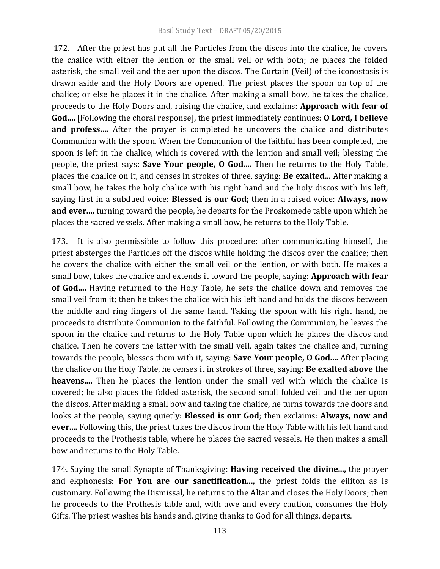172. After the priest has put all the Particles from the discos into the chalice, he covers the chalice with either the lention or the small veil or with both; he places the folded asterisk, the small veil and the aer upon the discos. The Curtain (Veil) of the iconostasis is drawn aside and the Holy Doors are opened. The priest places the spoon on top of the chalice; or else he places it in the chalice. After making a small bow, he takes the chalice, proceeds to the Holy Doors and, raising the chalice, and exclaims: **Approach with fear of God....** [Following the choral response], the priest immediately continues: **O Lord, I believe and profess....** After the prayer is completed he uncovers the chalice and distributes Communion with the spoon. When the Communion of the faithful has been completed, the spoon is left in the chalice, which is covered with the lention and small veil; blessing the **people, the priest says: Save Your people, O God....** Then he returns to the Holy Table, places the chalice on it, and censes in strokes of three, saying: **Be exalted...** After making a small bow, he takes the holy chalice with his right hand and the holy discos with his left, saying first in a subdued voice: **Blessed is our God**; then in a raised voice: **Always**, now **and ever...,** turning toward the people, he departs for the Proskomede table upon which he places the sacred vessels. After making a small bow, he returns to the Holy Table.

173. It is also permissible to follow this procedure: after communicating himself, the priest absterges the Particles off the discos while holding the discos over the chalice; then he covers the chalice with either the small veil or the lention, or with both. He makes a small bow, takes the chalice and extends it toward the people, saying: **Approach with fear of God....** Having returned to the Holy Table, he sets the chalice down and removes the small veil from it; then he takes the chalice with his left hand and holds the discos between the middle and ring fingers of the same hand. Taking the spoon with his right hand, he proceeds to distribute Communion to the faithful. Following the Communion, he leaves the spoon in the chalice and returns to the Holy Table upon which he places the discos and chalice. Then he covers the latter with the small veil, again takes the chalice and, turning towards the people, blesses them with it, saying: **Save Your people, O God....** After placing **the chalice on the Holy Table, he censes it in strokes of three, saying: <b>Be exalted above the heavens....** Then he places the lention under the small veil with which the chalice is covered; he also places the folded asterisk, the second small folded veil and the aer upon the discos. After making a small bow and taking the chalice, he turns towards the doors and looks at the people, saying quietly: **Blessed is our God**; then exclaims: **Always, now and ever....** Following this, the priest takes the discos from the Holy Table with his left hand and proceeds to the Prothesis table, where he places the sacred vessels. He then makes a small bow and returns to the Holy Table.

174. Saying the small Synapte of Thanksgiving: **Having received the divine...,** the prayer and ekphonesis: For You are our sanctification..., the priest folds the eiliton as is customary. Following the Dismissal, he returns to the Altar and closes the Holy Doors; then he proceeds to the Prothesis table and, with awe and every caution, consumes the Holy Gifts. The priest washes his hands and, giving thanks to God for all things, departs.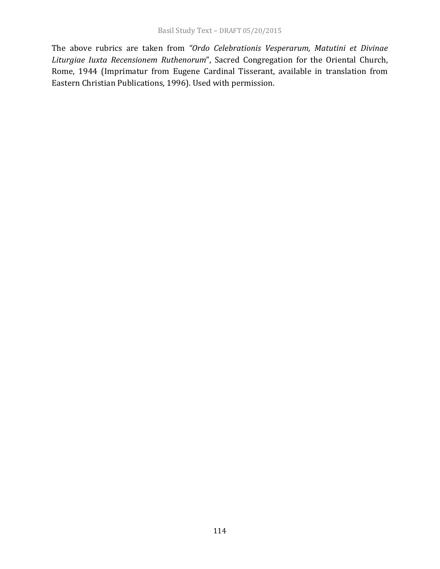The above rubrics are taken from *"Ordo Celebrationis Vesperarum, Matutini et Divinae Liturgiae Iuxta Recensionem Ruthenorum*", Sacred Congregation for the Oriental Church, Rome, 1944 (Imprimatur from Eugene Cardinal Tisserant, available in translation from Eastern Christian Publications, 1996). Used with permission.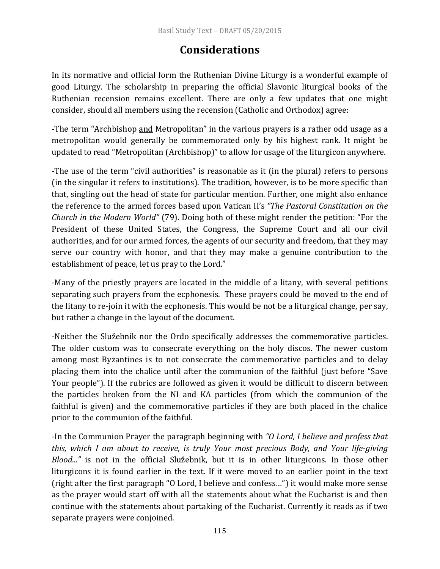# **Considerations**

In its normative and official form the Ruthenian Divine Liturgy is a wonderful example of good Liturgy. The scholarship in preparing the official Slavonic liturgical books of the Ruthenian recension remains excellent. There are only a few updates that one might consider, should all members using the recension (Catholic and Orthodox) agree:

-The term "Archbishop and Metropolitan" in the various prayers is a rather odd usage as a metropolitan would generally be commemorated only by his highest rank. It might be updated to read "Metropolitan (Archbishop)" to allow for usage of the liturgicon anywhere.

-The use of the term "civil authorities" is reasonable as it (in the plural) refers to persons (in the singular it refers to institutions). The tradition, however, is to be more specific than that, singling out the head of state for particular mention. Further, one might also enhance the reference to the armed forces based upon Vatican II's *"The Pastoral Constitution on the Church in the Modern World"* (79). Doing both of these might render the petition: "For the President of these United States, the Congress, the Supreme Court and all our civil authorities, and for our armed forces, the agents of our security and freedom, that they may serve our country with honor, and that they may make a genuine contribution to the establishment of peace, let us pray to the Lord."

-Many of the priestly prayers are located in the middle of a litany, with several petitions separating such prayers from the ecphonesis. These prayers could be moved to the end of the litany to re-join it with the ecphonesis. This would be not be a liturgical change, per say, but rather a change in the layout of the document.

-Neither the Služebnik nor the Ordo specifically addresses the commemorative particles. The older custom was to consecrate everything on the holy discos. The newer custom among most Byzantines is to not consecrate the commemorative particles and to delay placing them into the chalice until after the communion of the faithful (just before "Save Your people"). If the rubrics are followed as given it would be difficult to discern between the particles broken from the NI and KA particles (from which the communion of the faithful is given) and the commemorative particles if they are both placed in the chalice prior to the communion of the faithful.

‐In the Communion Prayer the paragraph beginning with *"O Lord, I believe and profess that this, which I am about to receive, is truly Your most precious Body, and Your life‐giving Blood...*" is not in the official Služebnik, but it is in other liturgicons. In those other liturgicons it is found earlier in the text. If it were moved to an earlier point in the text (right after the first paragraph "O Lord, I believe and confess...") it would make more sense as the prayer would start off with all the statements about what the Eucharist is and then continue with the statements about partaking of the Eucharist. Currently it reads as if two separate prayers were conjoined.